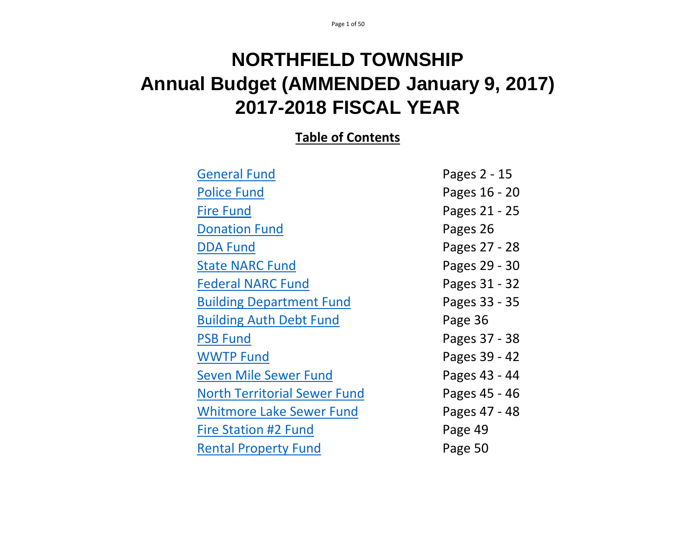# **NORTHFIELD TOWNSHIP Annual Budget (AMMENDED January 9, 2017) 2017-2018 FISCAL YEAR**

# **Table of Contents**

| <b>General Fund</b>                 | Pages 2 - 15  |
|-------------------------------------|---------------|
| <b>Police Fund</b>                  | Pages 16 - 20 |
| <b>Fire Fund</b>                    | Pages 21 - 25 |
| <b>Donation Fund</b>                | Pages 26      |
| <b>DDA Fund</b>                     | Pages 27 - 28 |
| <b>State NARC Fund</b>              | Pages 29 - 30 |
| <b>Federal NARC Fund</b>            | Pages 31 - 32 |
| <b>Building Department Fund</b>     | Pages 33 - 35 |
| <b>Building Auth Debt Fund</b>      | Page 36       |
| <b>PSB Fund</b>                     | Pages 37 - 38 |
| <b>WWTP Fund</b>                    | Pages 39 - 42 |
| <b>Seven Mile Sewer Fund</b>        | Pages 43 - 44 |
| <b>North Territorial Sewer Fund</b> | Pages 45 - 46 |
| <b>Whitmore Lake Sewer Fund</b>     | Pages 47 - 48 |
| Fire Station #2 Fund                | Page 49       |
| <b>Rental Property Fund</b>         | Page 50       |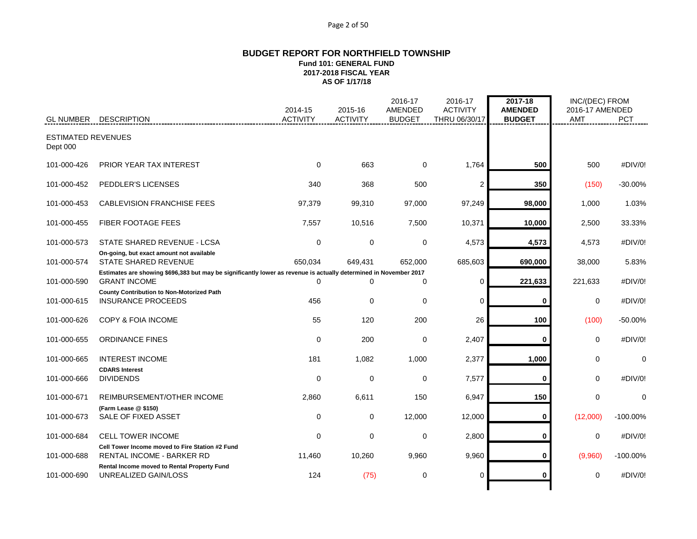#### Page 2 of 50

#### **BUDGET REPORT FOR NORTHFIELD TOWNSHIP Fund 101: GENERAL FUND 2017-2018 FISCAL YEAR AS OF 1/17/18**

|                                       |                                                                                                                                          | 2014-15         | 2015-16         | 2016-17<br>AMENDED | 2016-17<br><b>ACTIVITY</b> | 2017-18<br><b>AMENDED</b> | INC/(DEC) FROM<br>2016-17 AMENDED |             |
|---------------------------------------|------------------------------------------------------------------------------------------------------------------------------------------|-----------------|-----------------|--------------------|----------------------------|---------------------------|-----------------------------------|-------------|
| <b>GL NUMBER</b>                      | <b>DESCRIPTION</b>                                                                                                                       | <b>ACTIVITY</b> | <b>ACTIVITY</b> | <b>BUDGET</b>      | THRU 06/30/17              | <b>BUDGET</b>             | <b>AMT</b>                        | <b>PCT</b>  |
| <b>ESTIMATED REVENUES</b><br>Dept 000 |                                                                                                                                          |                 |                 |                    |                            |                           |                                   |             |
| 101-000-426                           | PRIOR YEAR TAX INTEREST                                                                                                                  | $\Omega$        | 663             | $\Omega$           | 1,764                      | 500                       | 500                               | #DIV/0!     |
| 101-000-452                           | PEDDLER'S LICENSES                                                                                                                       | 340             | 368             | 500                | $\overline{2}$             | 350                       | (150)                             | $-30.00%$   |
| 101-000-453                           | <b>CABLEVISION FRANCHISE FEES</b>                                                                                                        | 97,379          | 99,310          | 97,000             | 97,249                     | 98,000                    | 1,000                             | 1.03%       |
| 101-000-455                           | FIBER FOOTAGE FEES                                                                                                                       | 7,557           | 10,516          | 7,500              | 10,371                     | 10,000                    | 2,500                             | 33.33%      |
| 101-000-573                           | STATE SHARED REVENUE - LCSA                                                                                                              | 0               | 0               | 0                  | 4,573                      | 4,573                     | 4,573                             | #DIV/0!     |
| 101-000-574                           | On-going, but exact amount not available<br>STATE SHARED REVENUE                                                                         | 650,034         | 649,431         | 652,000            | 685,603                    | 690,000                   | 38,000                            | 5.83%       |
| 101-000-590                           | Estimates are showing \$696,383 but may be significantly lower as revenue is actually determined in November 2017<br><b>GRANT INCOME</b> | $\Omega$        | $\Omega$        | $\Omega$           | $\Omega$                   | 221,633                   | 221,633                           | #DIV/0!     |
| 101-000-615                           | <b>County Contribution to Non-Motorized Path</b><br><b>INSURANCE PROCEEDS</b>                                                            | 456             | 0               | $\mathbf 0$        | $\mathbf 0$                | 0                         | 0                                 | #DIV/0!     |
| 101-000-626                           | COPY & FOIA INCOME                                                                                                                       | 55              | 120             | 200                | 26                         | 100                       | (100)                             | $-50.00%$   |
| 101-000-655                           | <b>ORDINANCE FINES</b>                                                                                                                   | $\mathbf 0$     | 200             | $\mathbf 0$        | 2,407                      | $\bf{0}$                  | $\mathbf 0$                       | #DIV/0!     |
| 101-000-665                           | <b>INTEREST INCOME</b>                                                                                                                   | 181             | 1,082           | 1,000              | 2,377                      | 1,000                     | 0                                 | $\mathbf 0$ |
| 101-000-666                           | <b>CDARS Interest</b><br><b>DIVIDENDS</b>                                                                                                | 0               | $\mathbf 0$     | 0                  | 7,577                      | $\bf{0}$                  | $\Omega$                          | #DIV/0!     |
| 101-000-671                           | REIMBURSEMENT/OTHER INCOME                                                                                                               | 2,860           | 6,611           | 150                | 6,947                      | 150                       | $\mathbf 0$                       | $\mathbf 0$ |
| 101-000-673                           | (Farm Lease @ \$150)<br>SALE OF FIXED ASSET                                                                                              | 0               | $\mathbf 0$     | 12,000             | 12,000                     | $\bf{0}$                  | (12,000)                          | $-100.00\%$ |
| 101-000-684                           | <b>CELL TOWER INCOME</b>                                                                                                                 | 0               | 0               | 0                  | 2,800                      | 0                         | $\mathbf 0$                       | #DIV/0!     |
| 101-000-688                           | Cell Tower Income moved to Fire Station #2 Fund<br><b>RENTAL INCOME - BARKER RD</b>                                                      | 11,460          | 10,260          | 9,960              | 9,960                      | 0                         | (9,960)                           | $-100.00\%$ |
| 101-000-690                           | Rental Income moved to Rental Property Fund<br>UNREALIZED GAIN/LOSS                                                                      | 124             | (75)            | 0                  | $\Omega$                   |                           | $\Omega$                          | #DIV/0!     |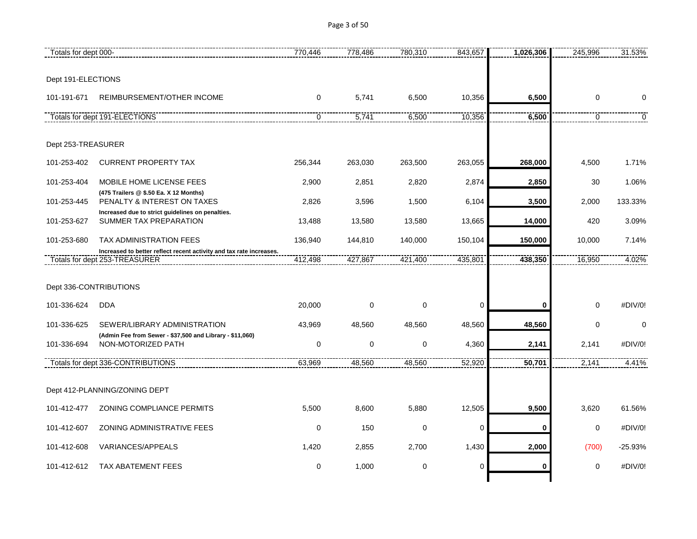Page 3 of 50

| Totals for dept 000-   |                                                                                                      | 770,446     | 778,486     | 780,310     | 843,657 | 1,026,306 | 245,996          | 31.53%      |
|------------------------|------------------------------------------------------------------------------------------------------|-------------|-------------|-------------|---------|-----------|------------------|-------------|
|                        |                                                                                                      |             |             |             |         |           |                  |             |
| Dept 191-ELECTIONS     |                                                                                                      |             |             |             |         |           |                  |             |
| 101-191-671            | REIMBURSEMENT/OTHER INCOME                                                                           | $\mathbf 0$ | 5,741       | 6,500       | 10,356  | 6,500     | $\boldsymbol{0}$ | $\Omega$    |
|                        | Totals for dept 191-ELECTIONS                                                                        | $\mathbf 0$ | 5,741       | 6,500       | 10,356  | 6,500     | $\mathbf 0$      | $\mathbf 0$ |
| Dept 253-TREASURER     |                                                                                                      |             |             |             |         |           |                  |             |
| 101-253-402            | <b>CURRENT PROPERTY TAX</b>                                                                          | 256,344     | 263,030     | 263,500     | 263,055 | 268,000   | 4,500            | 1.71%       |
| 101-253-404            | MOBILE HOME LICENSE FEES                                                                             | 2,900       | 2,851       | 2,820       | 2,874   | 2,850     | 30               | 1.06%       |
| 101-253-445            | (475 Trailers @ \$.50 Ea. X 12 Months)<br>PENALTY & INTEREST ON TAXES                                | 2,826       | 3,596       | 1,500       | 6,104   | 3,500     | 2,000            | 133.33%     |
| 101-253-627            | Increased due to strict guidelines on penalties.<br>SUMMER TAX PREPARATION                           | 13,488      | 13,580      | 13,580      | 13,665  | 14,000    | 420              | 3.09%       |
| 101-253-680            | TAX ADMINISTRATION FEES                                                                              | 136,940     | 144,810     | 140,000     | 150,104 | 150,000   | 10,000           | 7.14%       |
|                        | Increased to better reflect recent activity and tax rate increases.<br>Totals for dept 253-TREASURER | 412,498     | 427,867     | 421,400     | 435,801 | 438,350   | 16,950           | 4.02%       |
|                        |                                                                                                      |             |             |             |         |           |                  |             |
| Dept 336-CONTRIBUTIONS |                                                                                                      |             |             |             |         |           |                  |             |
| 101-336-624            | <b>DDA</b>                                                                                           | 20,000      | $\mathbf 0$ | $\mathbf 0$ | 0       | $\bf{0}$  | $\mathbf 0$      | #DIV/0!     |
| 101-336-625            | SEWER/LIBRARY ADMINISTRATION                                                                         | 43,969      | 48,560      | 48,560      | 48,560  | 48,560    | $\mathbf 0$      | $\mathbf 0$ |
| 101-336-694            | (Admin Fee from Sewer - \$37,500 and Library - \$11,060)<br>NON-MOTORIZED PATH                       | 0           | $\pmb{0}$   | 0           | 4,360   | 2,141     | 2,141            | #DIV/0!     |
|                        | Totals for dept 336-CONTRIBUTIONS                                                                    | 63,969      | 48,560      | 48,560      | 52,920  | 50,701    | 2,141            | 4.41%       |
|                        |                                                                                                      |             |             |             |         |           |                  |             |
|                        | Dept 412-PLANNING/ZONING DEPT                                                                        |             |             |             |         |           |                  |             |
| 101-412-477            | ZONING COMPLIANCE PERMITS                                                                            | 5,500       | 8,600       | 5,880       | 12,505  | 9,500     | 3,620            | 61.56%      |
| 101-412-607            | ZONING ADMINISTRATIVE FEES                                                                           | $\mathbf 0$ | 150         | $\mathbf 0$ | 0       | 0         | 0                | #DIV/0!     |
| 101-412-608            | VARIANCES/APPEALS                                                                                    | 1,420       | 2,855       | 2,700       | 1,430   | 2,000     | (700)            | $-25.93%$   |
| 101-412-612            | <b>TAX ABATEMENT FEES</b>                                                                            | 0           | 1,000       | 0           | 0       | 0         | $\mathbf 0$      | #DIV/0!     |
|                        |                                                                                                      |             |             |             |         |           |                  |             |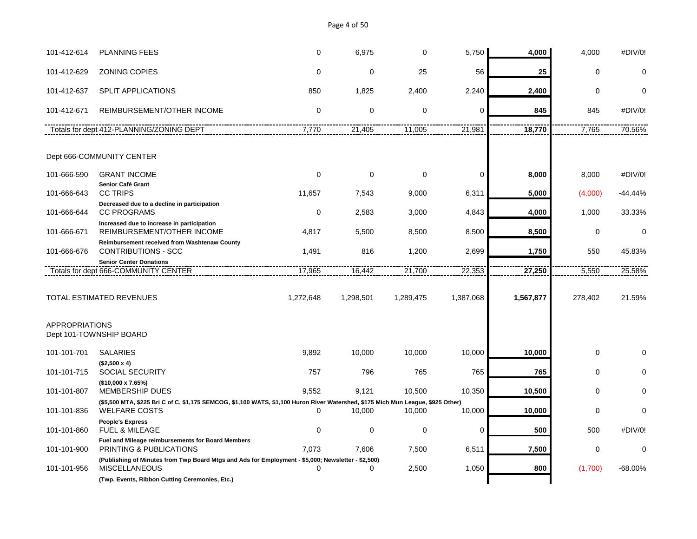Page 4 of 50

| 101-412-614           | <b>PLANNING FEES</b>                                                                                                             | 0           | 6,975       | $\mathbf 0$ | 5,750     | 4,000     | 4,000       | #DIV/0!     |
|-----------------------|----------------------------------------------------------------------------------------------------------------------------------|-------------|-------------|-------------|-----------|-----------|-------------|-------------|
| 101-412-629           | <b>ZONING COPIES</b>                                                                                                             | $\mathbf 0$ | $\mathbf 0$ | 25          | 56        | 25        | $\mathbf 0$ | 0           |
| 101-412-637           | <b>SPLIT APPLICATIONS</b>                                                                                                        | 850         | 1,825       | 2,400       | 2,240     | 2,400     | 0           | $\Omega$    |
| 101-412-671           | REIMBURSEMENT/OTHER INCOME                                                                                                       | $\Omega$    | $\mathbf 0$ | $\mathbf 0$ | $\Omega$  | 845       | 845         | #DIV/0!     |
|                       | Totals for dept 412-PLANNING/ZONING DEPT                                                                                         | 7,770       | 21,405      | 11,005      | 21,981    | 18,770    | 7,765       | 70.56%      |
|                       | Dept 666-COMMUNITY CENTER                                                                                                        |             |             |             |           |           |             |             |
|                       |                                                                                                                                  |             |             |             |           |           |             |             |
| 101-666-590           | <b>GRANT INCOME</b><br>Senior Café Grant                                                                                         | 0           | $\mathbf 0$ | $\mathbf 0$ | 0         | 8,000     | 8,000       | #DIV/0!     |
| 101-666-643           | <b>CC TRIPS</b>                                                                                                                  | 11,657      | 7,543       | 9,000       | 6,311     | 5,000     | (4,000)     | -44.44%     |
|                       | Decreased due to a decline in participation                                                                                      |             |             |             |           |           |             |             |
| 101-666-644           | <b>CC PROGRAMS</b><br>Increased due to increase in participation                                                                 | $\mathbf 0$ | 2,583       | 3,000       | 4,843     | 4,000     | 1,000       | 33.33%      |
| 101-666-671           | REIMBURSEMENT/OTHER INCOME                                                                                                       | 4,817       | 5,500       | 8,500       | 8,500     | 8,500     | 0           | 0           |
| 101-666-676           | Reimbursement received from Washtenaw County<br><b>CONTRIBUTIONS - SCC</b>                                                       | 1,491       | 816         | 1,200       | 2,699     | 1,750     | 550         | 45.83%      |
|                       | <b>Senior Center Donations</b><br>Totals for dept 666-COMMUNITY CENTER                                                           | 17,965      | 16,442      | 21,700      | 22,353    | 27,250    | 5,550       | 25.58%      |
|                       |                                                                                                                                  |             |             |             |           |           |             |             |
|                       | TOTAL ESTIMATED REVENUES                                                                                                         | 1,272,648   | 1,298,501   | 1,289,475   | 1,387,068 | 1,567,877 | 278,402     | 21.59%      |
| <b>APPROPRIATIONS</b> | Dept 101-TOWNSHIP BOARD                                                                                                          |             |             |             |           |           |             |             |
| 101-101-701           | <b>SALARIES</b>                                                                                                                  | 9,892       | 10,000      | 10,000      | 10,000    | 10,000    | 0           |             |
|                       | $($2,500 \times 4)$                                                                                                              |             |             |             |           |           |             |             |
| 101-101-715           | <b>SOCIAL SECURITY</b>                                                                                                           | 757         | 796         | 765         | 765       | 765       | 0           | $\Omega$    |
| 101-101-807           | (\$10,000 x 7.65%)<br><b>MEMBERSHIP DUES</b>                                                                                     | 9.552       | 9.121       | 10,500      | 10,350    | 10,500    | 0           | $\Omega$    |
|                       | (\$5,500 MTA, \$225 Bri C of C, \$1,175 SEMCOG, \$1,100 WATS, \$1,100 Huron River Watershed, \$175 Mich Mun League, \$925 Other) |             |             |             |           |           |             |             |
| 101-101-836           | <b>WELFARE COSTS</b>                                                                                                             | $\Omega$    | 10,000      | 10,000      | 10,000    | 10,000    | 0           | $\Omega$    |
| 101-101-860           | <b>People's Express</b><br><b>FUEL &amp; MILEAGE</b>                                                                             | $\Omega$    | $\mathbf 0$ | $\mathbf 0$ | 0         | 500       | 500         | #DIV/0!     |
| 101-101-900           | Fuel and Mileage reimbursements for Board Members<br>PRINTING & PUBLICATIONS                                                     | 7,073       | 7,606       | 7,500       | 6,511     | 7,500     | 0           | $\mathbf 0$ |
| 101-101-956           | (Publishing of Minutes from Twp Board Mtgs and Ads for Employment - \$5,000; Newsletter - \$2,500)<br><b>MISCELLANEOUS</b>       | $\mathbf 0$ | 0           | 2,500       | 1,050     | 800       | (1,700)     | -68.00%     |
|                       | (Twp. Events, Ribbon Cutting Ceremonies, Etc.)                                                                                   |             |             |             |           |           |             |             |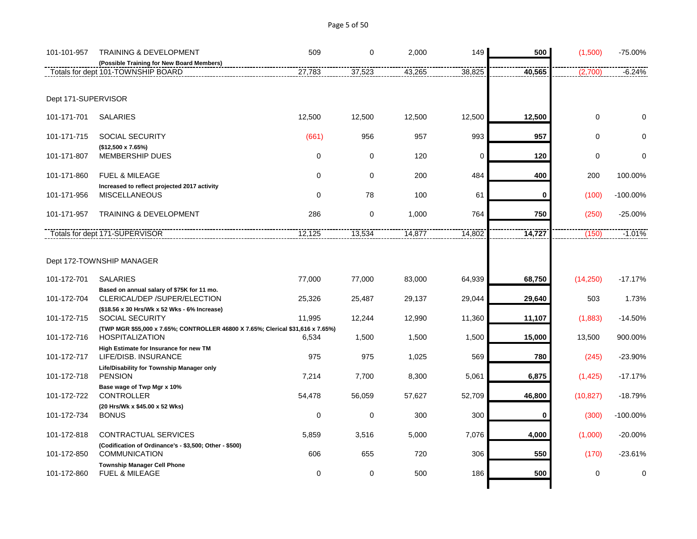| Page 5 of 50 |  |  |  |
|--------------|--|--|--|
|--------------|--|--|--|

| 101-101-957         | <b>TRAINING &amp; DEVELOPMENT</b>                                               | 509         | 0           | 2,000  | 149    | 500      | (1,500)     | -75.00%     |
|---------------------|---------------------------------------------------------------------------------|-------------|-------------|--------|--------|----------|-------------|-------------|
|                     | (Possible Training for New Board Members)                                       |             | 37,523      |        |        |          |             |             |
|                     | Totals for dept 101-TOWNSHIP BOARD                                              | 27,783      |             | 43,265 | 38,825 | 40,565   | (2,700)     | $-6.24%$    |
|                     |                                                                                 |             |             |        |        |          |             |             |
| Dept 171-SUPERVISOR |                                                                                 |             |             |        |        |          |             |             |
| 101-171-701         | <b>SALARIES</b>                                                                 | 12,500      | 12,500      | 12,500 | 12,500 | 12,500   | $\mathbf 0$ | $\Omega$    |
| 101-171-715         | <b>SOCIAL SECURITY</b>                                                          | (661)       | 956         | 957    | 993    | 957      | $\mathbf 0$ | $\Omega$    |
| 101-171-807         | (\$12,500 x 7.65%)<br><b>MEMBERSHIP DUES</b>                                    | 0           | $\mathbf 0$ | 120    | 0      | 120      | $\mathbf 0$ | $\mathbf 0$ |
| 101-171-860         | <b>FUEL &amp; MILEAGE</b>                                                       | 0           | 0           | 200    | 484    | 400      | 200         | 100.00%     |
| 101-171-956         | Increased to reflect projected 2017 activity<br><b>MISCELLANEOUS</b>            | $\mathbf 0$ | 78          | 100    | 61     | $\bf{0}$ | (100)       | $-100.00\%$ |
| 101-171-957         | <b>TRAINING &amp; DEVELOPMENT</b>                                               | 286         | $\pmb{0}$   | 1,000  | 764    | 750      | (250)       | $-25.00%$   |
|                     | Totals for dept 171-SUPERVISOR                                                  | 12,125      | 13,534      | 14,877 | 14,802 | 14,727   | (150)       | $-1.01%$    |
|                     |                                                                                 |             |             |        |        |          |             |             |
|                     | Dept 172-TOWNSHIP MANAGER                                                       |             |             |        |        |          |             |             |
| 101-172-701         | <b>SALARIES</b>                                                                 | 77,000      | 77,000      | 83,000 | 64,939 | 68,750   | (14, 250)   | $-17.17%$   |
| 101-172-704         | Based on annual salary of \$75K for 11 mo.<br>CLERICAL/DEP /SUPER/ELECTION      | 25,326      | 25,487      | 29,137 | 29,044 | 29,640   | 503         | 1.73%       |
| 101-172-715         | (\$18.56 x 30 Hrs/Wk x 52 Wks - 6% Increase)<br>SOCIAL SECURITY                 | 11,995      | 12,244      | 12,990 | 11,360 | 11,107   | (1,883)     | $-14.50%$   |
|                     | (TWP MGR \$55,000 x 7.65%; CONTROLLER 46800 X 7.65%; Clerical \$31,616 x 7.65%) |             |             |        |        |          |             |             |
| 101-172-716         | <b>HOSPITALIZATION</b>                                                          | 6,534       | 1,500       | 1,500  | 1,500  | 15,000   | 13,500      | 900.00%     |
| 101-172-717         | High Estimate for Insurance for new TM<br>LIFE/DISB, INSURANCE                  | 975         | 975         | 1,025  | 569    | 780      | (245)       | $-23.90%$   |
| 101-172-718         | Life/Disability for Township Manager only<br><b>PENSION</b>                     | 7,214       | 7,700       | 8,300  | 5,061  | 6,875    | (1, 425)    | $-17.17%$   |
| 101-172-722         | Base wage of Twp Mgr x 10%<br><b>CONTROLLER</b>                                 | 54,478      | 56,059      | 57,627 | 52,709 | 46,800   | (10, 827)   | $-18.79%$   |
| 101-172-734         | (20 Hrs/Wk x \$45.00 x 52 Wks)<br><b>BONUS</b>                                  | 0           | $\mathbf 0$ | 300    | 300    | 0        | (300)       | $-100.00\%$ |
| 101-172-818         | CONTRACTUAL SERVICES                                                            | 5,859       | 3,516       | 5,000  | 7,076  | 4,000    | (1,000)     | $-20.00%$   |
|                     | (Codification of Ordinance's - \$3,500; Other - \$500)                          |             |             |        |        |          |             |             |
| 101-172-850         | <b>COMMUNICATION</b>                                                            | 606         | 655         | 720    | 306    | 550      | (170)       | $-23.61%$   |
| 101-172-860         | <b>Township Manager Cell Phone</b><br><b>FUEL &amp; MILEAGE</b>                 | $\Omega$    | $\pmb{0}$   | 500    | 186    | 500      | $\mathbf 0$ | $\mathbf 0$ |
|                     |                                                                                 |             |             |        |        |          |             |             |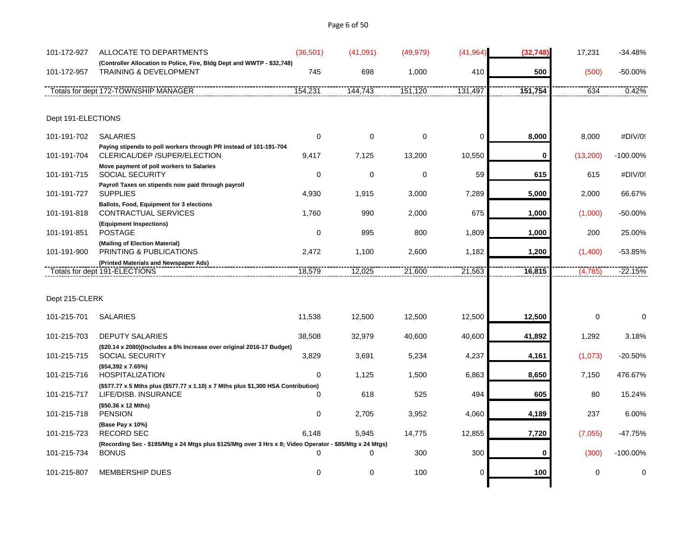# Page 6 of 50

| 101-172-927        | ALLOCATE TO DEPARTMENTS                                                                                                  | (36, 501)   | (41,091)    | (49, 979)   | (41, 964)   | (32, 748) | 17,231   | $-34.48%$   |
|--------------------|--------------------------------------------------------------------------------------------------------------------------|-------------|-------------|-------------|-------------|-----------|----------|-------------|
| 101-172-957        | (Controller Allocation to Police, Fire, Bldg Dept and WWTP - \$32,748)<br><b>TRAINING &amp; DEVELOPMENT</b>              | 745         | 698         | 1,000       | 410         | 500       | (500)    | -50.00%     |
|                    | Totals for dept 172-TOWNSHIP MANAGER                                                                                     | 154,231     | 144,743     | 151,120     | 131,497     | 151,754   | 634      | 0.42%       |
|                    |                                                                                                                          |             |             |             |             |           |          |             |
| Dept 191-ELECTIONS |                                                                                                                          |             |             |             |             |           |          |             |
| 101-191-702        | <b>SALARIES</b>                                                                                                          | $\mathbf 0$ | $\mathbf 0$ | $\mathbf 0$ | $\mathbf 0$ | 8,000     | 8,000    | #DIV/0!     |
| 101-191-704        | Paying stipends to poll workers through PR instead of 101-191-704<br>CLERICAL/DEP /SUPER/ELECTION                        | 9,417       | 7,125       | 13,200      | 10,550      | 0         | (13,200) | $-100.00\%$ |
| 101-191-715        | Move payment of poll workers to Salaries<br><b>SOCIAL SECURITY</b>                                                       | $\Omega$    | $\mathbf 0$ | 0           | 59          | 615       | 615      | #DIV/0!     |
| 101-191-727        | Payroll Taxes on stipends now paid through payroll<br><b>SUPPLIES</b>                                                    | 4,930       | 1,915       | 3,000       | 7,289       | 5,000     | 2,000    | 66.67%      |
| 101-191-818        | Ballots, Food, Equipment for 3 elections<br>CONTRACTUAL SERVICES                                                         | 1,760       | 990         | 2,000       | 675         | 1,000     | (1,000)  | -50.00%     |
| 101-191-851        | (Equipment Inspections)<br><b>POSTAGE</b>                                                                                | $\Omega$    | 895         | 800         | 1,809       | 1,000     | 200      | 25.00%      |
| 101-191-900        | (Mailing of Election Material)<br>PRINTING & PUBLICATIONS                                                                | 2,472       | 1,100       | 2,600       | 1,182       | 1,200     | (1,400)  | -53.85%     |
|                    | (Printed Materials and Newspaper Ads)<br>Totals for dept 191-ELECTIONS                                                   | 18,579      | 12,025      | 21,600      | 21,563      | 16,815    | (4,785)  | $-22.15%$   |
|                    |                                                                                                                          |             |             |             |             |           |          |             |
| Dept 215-CLERK     |                                                                                                                          |             |             |             |             |           |          |             |
| 101-215-701        | <b>SALARIES</b>                                                                                                          | 11,538      | 12,500      | 12,500      | 12,500      | 12,500    | 0        | $\mathbf 0$ |
| 101-215-703        | <b>DEPUTY SALARIES</b>                                                                                                   | 38,508      | 32,979      | 40,600      | 40,600      | 41,892    | 1,292    | 3.18%       |
| 101-215-715        | (\$20.14 x 2080)(Includes a 6% Increase over original 2016-17 Budget)<br><b>SOCIAL SECURITY</b>                          | 3,829       | 3,691       | 5,234       | 4,237       | 4,161     | (1,073)  | -20.50%     |
| 101-215-716        | (\$54,392 x 7.65%)<br><b>HOSPITALIZATION</b>                                                                             | $\Omega$    | 1,125       | 1,500       | 6,863       | 8,650     | 7,150    | 476.67%     |
| 101-215-717        | (\$577.77 x 5 Mths plus (\$577.77 x 1.10) x 7 Mths plus \$1,300 HSA Contribution)<br>LIFE/DISB. INSURANCE                | $\Omega$    | 618         | 525         | 494         | 605       | 80       | 15.24%      |
| 101-215-718        | (\$50.36 x 12 Mths)<br><b>PENSION</b>                                                                                    | 0           | 2,705       | 3,952       | 4,060       | 4,189     | 237      | 6.00%       |
|                    | (Base Pay x 10%)                                                                                                         |             |             |             |             |           |          |             |
| 101-215-723        | <b>RECORD SEC</b>                                                                                                        | 6.148       | 5,945       | 14,775      | 12,855      | 7,720     | (7,055)  | -47.75%     |
| 101-215-734        | (Recording Sec - \$195/Mtg x 24 Mtgs plus \$125/Mtg over 3 Hrs x 8; Video Operator - \$85/Mtg x 24 Mtgs)<br><b>BONUS</b> | $\Omega$    | $\Omega$    | 300         | 300         | 0         | (300)    | $-100.00\%$ |
| 101-215-807        | <b>MEMBERSHIP DUES</b>                                                                                                   | $\mathbf 0$ | $\mathbf 0$ | 100         | $\mathbf 0$ | 100       | $\Omega$ | U           |
|                    |                                                                                                                          |             |             |             |             |           |          |             |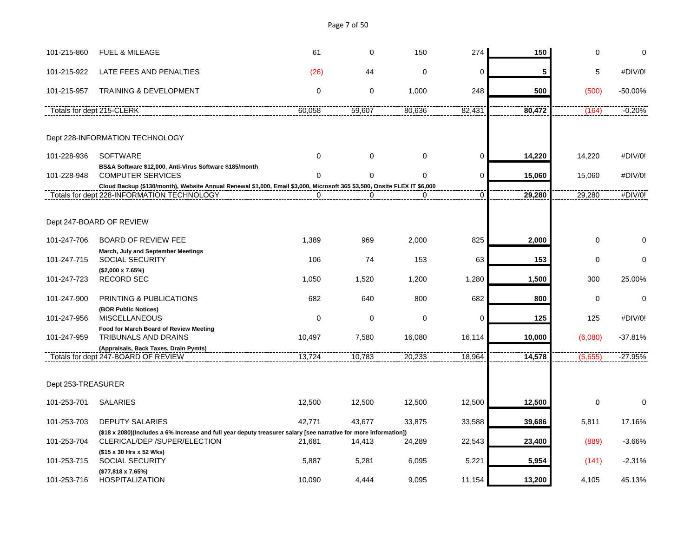Page 7 of 50

| 101-215-860        | <b>FUEL &amp; MILEAGE</b>                                                                                                                                              | 61          | $\Omega$    | 150    | 274            | 150    | $\Omega$    | $\Omega$  |
|--------------------|------------------------------------------------------------------------------------------------------------------------------------------------------------------------|-------------|-------------|--------|----------------|--------|-------------|-----------|
|                    |                                                                                                                                                                        |             |             |        |                |        |             |           |
| 101-215-922        | LATE FEES AND PENALTIES                                                                                                                                                | (26)        | 44          | 0      | $\mathbf 0$    | 5      | 5           | #DIV/0!   |
| 101-215-957        | <b>TRAINING &amp; DEVELOPMENT</b>                                                                                                                                      | $\mathbf 0$ | 0           | 1,000  | 248            | 500    | (500)       | $-50.00%$ |
|                    | Totals for dept 215-CLERK                                                                                                                                              | 60,058      | 59,607      | 80,636 | 82,431         | 80,472 | (164)       | $-0.20%$  |
|                    |                                                                                                                                                                        |             |             |        |                |        |             |           |
|                    | Dept 228-INFORMATION TECHNOLOGY                                                                                                                                        |             |             |        |                |        |             |           |
| 101-228-936        | <b>SOFTWARE</b>                                                                                                                                                        | $\mathbf 0$ | $\mathbf 0$ | 0      | $\mathbf 0$    | 14,220 | 14,220      | #DIV/0!   |
|                    | BS&A Software \$12,000, Anti-Virus Software \$185/month                                                                                                                |             |             |        |                |        |             |           |
| 101-228-948        | <b>COMPUTER SERVICES</b>                                                                                                                                               | $\Omega$    | $\mathbf 0$ | 0      | $\mathbf 0$    | 15,060 | 15,060      | #DIV/0!   |
|                    | Cloud Backup (\$130/month), Website Annual Renewal \$1,000, Email \$3,000, Microsoft 365 \$3,500, Onsite FLEX IT \$6,000<br>Totals for dept 228-INFORMATION TECHNOLOGY | $\mathbf 0$ | $\mathbf 0$ | 0      | $\overline{0}$ | 29,280 | 29,280      | #DIV/0!   |
|                    |                                                                                                                                                                        |             |             |        |                |        |             |           |
|                    |                                                                                                                                                                        |             |             |        |                |        |             |           |
|                    | Dept 247-BOARD OF REVIEW                                                                                                                                               |             |             |        |                |        |             |           |
| 101-247-706        | <b>BOARD OF REVIEW FEE</b>                                                                                                                                             | 1,389       | 969         | 2,000  | 825            | 2,000  | $\mathbf 0$ | 0         |
|                    | March, July and September Meetings                                                                                                                                     |             |             |        |                |        |             |           |
| 101-247-715        | <b>SOCIAL SECURITY</b>                                                                                                                                                 | 106         | 74          | 153    | 63             | 153    | $\mathbf 0$ | $\Omega$  |
|                    | $($2,000 \times 7.65%)$                                                                                                                                                |             |             |        |                |        |             |           |
| 101-247-723        | <b>RECORD SEC</b>                                                                                                                                                      | 1,050       | 1,520       | 1,200  | 1,280          | 1,500  | 300         | 25.00%    |
| 101-247-900        | PRINTING & PUBLICATIONS                                                                                                                                                | 682         | 640         | 800    | 682            | 800    | $\mathbf 0$ | $\Omega$  |
|                    | (BOR Public Notices)                                                                                                                                                   |             |             |        |                |        |             |           |
| 101-247-956        | <b>MISCELLANEOUS</b>                                                                                                                                                   | $\mathbf 0$ | $\mathbf 0$ | 0      | $\mathbf 0$    | 125    | 125         | #DIV/0!   |
| 101-247-959        | Food for March Board of Review Meeting<br>TRIBUNALS AND DRAINS                                                                                                         | 10,497      | 7,580       | 16,080 | 16,114         | 10,000 | (6,080)     | $-37.81%$ |
|                    | (Appraisals, Back Taxes, Drain Pymts)                                                                                                                                  |             |             |        |                |        |             |           |
|                    | Totals for dept 247-BOARD OF REVIEW                                                                                                                                    | 13,724      | 10,783      | 20,233 | 18,964         | 14,578 | (5,655)     | $-27.95%$ |
|                    |                                                                                                                                                                        |             |             |        |                |        |             |           |
| Dept 253-TREASURER |                                                                                                                                                                        |             |             |        |                |        |             |           |
| 101-253-701        | <b>SALARIES</b>                                                                                                                                                        | 12,500      | 12,500      | 12,500 | 12,500         | 12,500 | $\mathbf 0$ | $\Omega$  |
| 101-253-703        | <b>DEPUTY SALARIES</b>                                                                                                                                                 | 42,771      | 43,677      | 33,875 | 33,588         | 39,686 | 5,811       | 17.16%    |
|                    | (\$18 x 2080)(Includes a 6% Increase and full year deputy treasurer salary [see narrative for more information])                                                       |             |             |        |                |        |             |           |
| 101-253-704        | CLERICAL/DEP /SUPER/ELECTION                                                                                                                                           | 21,681      | 14,413      | 24,289 | 22,543         | 23,400 | (889)       | $-3.66%$  |
| 101-253-715        | (\$15 x 30 Hrs x 52 Wks)<br><b>SOCIAL SECURITY</b>                                                                                                                     | 5,887       | 5,281       | 6,095  | 5,221          | 5,954  | (141)       | $-2.31%$  |
|                    | (\$77,818 x 7.65%)                                                                                                                                                     |             |             |        |                |        |             |           |
| 101-253-716        | <b>HOSPITALIZATION</b>                                                                                                                                                 | 10,090      | 4,444       | 9,095  | 11,154         | 13,200 | 4,105       | 45.13%    |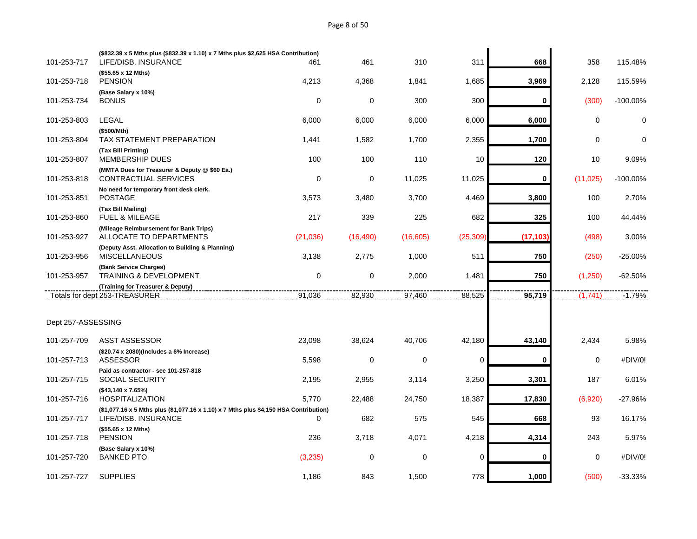# Page 8 of 50

| 101-253-717        | (\$832.39 x 5 Mths plus (\$832.39 x 1.10) x 7 Mths plus \$2,625 HSA Contribution)<br>LIFE/DISB. INSURANCE     | 461         | 461         | 310      | 311             | 668       | 358         | 115.48%     |
|--------------------|---------------------------------------------------------------------------------------------------------------|-------------|-------------|----------|-----------------|-----------|-------------|-------------|
|                    | (\$55.65 x 12 Mths)                                                                                           |             |             |          |                 |           |             |             |
| 101-253-718        | <b>PENSION</b>                                                                                                | 4,213       | 4,368       | 1,841    | 1,685           | 3,969     | 2,128       | 115.59%     |
| 101-253-734        | (Base Salary x 10%)<br><b>BONUS</b>                                                                           | $\mathbf 0$ | $\mathbf 0$ | 300      | 300             | 0         | (300)       | $-100.00\%$ |
|                    |                                                                                                               |             |             |          |                 |           |             |             |
| 101-253-803        | <b>LEGAL</b>                                                                                                  | 6,000       | 6,000       | 6,000    | 6,000           | 6,000     | $\mathsf 0$ | $\mathbf 0$ |
| 101-253-804        | (\$500/Mth)<br>TAX STATEMENT PREPARATION                                                                      | 1,441       | 1,582       | 1,700    | 2,355           | 1,700     | $\mathbf 0$ | $\mathbf 0$ |
| 101-253-807        | (Tax Bill Printing)<br><b>MEMBERSHIP DUES</b>                                                                 | 100         | 100         | 110      | 10 <sup>°</sup> | 120       | 10          | 9.09%       |
| 101-253-818        | (MMTA Dues for Treasurer & Deputy @ \$60 Ea.)<br><b>CONTRACTUAL SERVICES</b>                                  | $\mathbf 0$ | $\mathbf 0$ | 11,025   | 11,025          | 0         | (11, 025)   | $-100.00\%$ |
| 101-253-851        | No need for temporary front desk clerk.<br><b>POSTAGE</b>                                                     | 3,573       | 3,480       | 3,700    | 4,469           | 3,800     | 100         | 2.70%       |
| 101-253-860        | (Tax Bill Mailing)<br>FUEL & MILEAGE                                                                          | 217         | 339         | 225      | 682             | 325       | 100         | 44.44%      |
| 101-253-927        | (Mileage Reimbursement for Bank Trips)<br>ALLOCATE TO DEPARTMENTS                                             | (21,036)    | (16, 490)   | (16,605) | (25, 309)       | (17, 103) | (498)       | 3.00%       |
| 101-253-956        | (Deputy Asst. Allocation to Building & Planning)<br><b>MISCELLANEOUS</b>                                      | 3,138       | 2,775       | 1,000    | 511             | 750       | (250)       | -25.00%     |
| 101-253-957        | (Bank Service Charges)<br><b>TRAINING &amp; DEVELOPMENT</b>                                                   | $\mathbf 0$ | $\mathbf 0$ | 2,000    | 1,481           | 750       | (1,250)     | $-62.50%$   |
|                    | (Training for Treasurer & Deputy)                                                                             |             |             |          |                 |           |             |             |
|                    | Totals for dept 253-TREASURER                                                                                 | 91,036      | 82,930      | 97,460   | 88,525          | 95,719    | (1,741)     | $-1.79%$    |
|                    |                                                                                                               |             |             |          |                 |           |             |             |
| Dept 257-ASSESSING |                                                                                                               |             |             |          |                 |           |             |             |
| 101-257-709        | ASST ASSESSOR                                                                                                 | 23,098      | 38,624      | 40,706   | 42,180          | 43,140    | 2,434       | 5.98%       |
| 101-257-713        | (\$20.74 x 2080)(Includes a 6% Increase)<br><b>ASSESSOR</b>                                                   | 5,598       | $\mathbf 0$ | 0        | 0               | 0         | $\mathbf 0$ | #DIV/0!     |
| 101-257-715        | Paid as contractor - see 101-257-818<br><b>SOCIAL SECURITY</b>                                                | 2,195       | 2,955       | 3,114    | 3,250           | 3,301     | 187         | 6.01%       |
| 101-257-716        | (\$43,140 x 7.65%)<br><b>HOSPITALIZATION</b>                                                                  | 5,770       | 22,488      | 24,750   | 18,387          | 17,830    | (6,920)     | -27.96%     |
| 101-257-717        | (\$1,077.16 x 5 Mths plus (\$1,077.16 x 1.10) x 7 Mths plus \$4,150 HSA Contribution)<br>LIFE/DISB. INSURANCE | 0           | 682         | 575      | 545             | 668       | 93          | 16.17%      |
| 101-257-718        | (\$55.65 x 12 Mths)<br><b>PENSION</b>                                                                         | 236         | 3,718       | 4,071    | 4,218           | 4,314     | 243         | 5.97%       |
|                    | (Base Salary x 10%)                                                                                           |             |             |          |                 |           |             |             |
| 101-257-720        | <b>BANKED PTO</b>                                                                                             | (3,235)     | $\mathbf 0$ | 0        | 0               | 0         | $\mathbf 0$ | #DIV/0!     |
| 101-257-727        | <b>SUPPLIES</b>                                                                                               | 1,186       | 843         | 1,500    | 778             | 1,000     | (500)       | -33.33%     |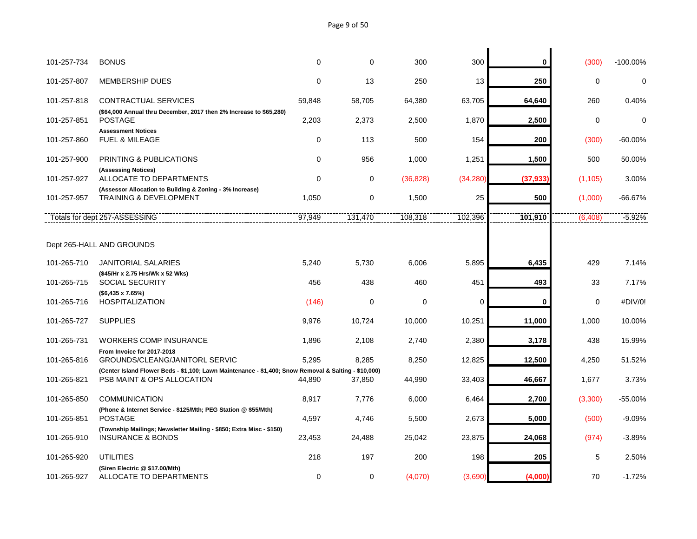# Page 9 of 50

| 101-257-734 | <b>BONUS</b>                                                                                                                       | $\Omega$    | $\mathbf 0$ | 300       | 300         | 0         | (300)    | $-100.00\%$ |
|-------------|------------------------------------------------------------------------------------------------------------------------------------|-------------|-------------|-----------|-------------|-----------|----------|-------------|
| 101-257-807 | <b>MEMBERSHIP DUES</b>                                                                                                             | $\Omega$    | 13          | 250       | 13          | 250       | $\Omega$ | $\mathbf 0$ |
| 101-257-818 | CONTRACTUAL SERVICES                                                                                                               | 59,848      | 58,705      | 64,380    | 63,705      | 64,640    | 260      | 0.40%       |
| 101-257-851 | (\$64,000 Annual thru December, 2017 then 2% Increase to \$65,280)<br><b>POSTAGE</b>                                               | 2,203       | 2,373       | 2,500     | 1,870       | 2,500     | $\Omega$ | $\Omega$    |
| 101-257-860 | <b>Assessment Notices</b><br><b>FUEL &amp; MILEAGE</b>                                                                             | $\mathbf 0$ | 113         | 500       | 154         | 200       | (300)    | $-60.00\%$  |
| 101-257-900 | <b>PRINTING &amp; PUBLICATIONS</b>                                                                                                 | $\mathbf 0$ | 956         | 1,000     | 1,251       | 1,500     | 500      | 50.00%      |
| 101-257-927 | (Assessing Notices)<br>ALLOCATE TO DEPARTMENTS                                                                                     | $\Omega$    | $\mathbf 0$ | (36, 828) | (34, 280)   | (37, 933) | (1, 105) | 3.00%       |
| 101-257-957 | (Assessor Allocation to Building & Zoning - 3% Increase)<br><b>TRAINING &amp; DEVELOPMENT</b>                                      | 1,050       | $\mathbf 0$ | 1,500     | 25          | 500       | (1,000)  | -66.67%     |
|             | Totals for dept 257-ASSESSING                                                                                                      | 97,949      | 131,470     | 108,318   | 102,396     | 101,910   | (6, 408) | $-5.92%$    |
|             |                                                                                                                                    |             |             |           |             |           |          |             |
|             | Dept 265-HALL AND GROUNDS                                                                                                          |             |             |           |             |           |          |             |
| 101-265-710 | <b>JANITORIAL SALARIES</b>                                                                                                         | 5,240       | 5,730       | 6,006     | 5,895       | 6,435     | 429      | 7.14%       |
| 101-265-715 | (\$45/Hr x 2.75 Hrs/Wk x 52 Wks)<br><b>SOCIAL SECURITY</b>                                                                         | 456         | 438         | 460       | 451         | 493       | 33       | 7.17%       |
| 101-265-716 | $($6,435 \times 7.65%)$<br><b>HOSPITALIZATION</b>                                                                                  | (146)       | 0           | 0         | $\mathbf 0$ | 0         | 0        | #DIV/0!     |
| 101-265-727 | <b>SUPPLIES</b>                                                                                                                    | 9,976       | 10,724      | 10,000    | 10,251      | 11,000    | 1,000    | 10.00%      |
| 101-265-731 | <b>WORKERS COMP INSURANCE</b>                                                                                                      | 1,896       | 2,108       | 2,740     | 2,380       | 3,178     | 438      | 15.99%      |
| 101-265-816 | From Invoice for 2017-2018<br>GROUNDS/CLEANG/JANITORL SERVIC                                                                       | 5,295       | 8,285       | 8,250     | 12,825      | 12,500    | 4,250    | 51.52%      |
| 101-265-821 | (Center Island Flower Beds - \$1,100; Lawn Maintenance - \$1,400; Snow Removal & Salting - \$10,000)<br>PSB MAINT & OPS ALLOCATION | 44,890      | 37,850      | 44,990    | 33,403      | 46,667    | 1,677    | 3.73%       |
| 101-265-850 | <b>COMMUNICATION</b>                                                                                                               | 8,917       | 7,776       | 6,000     | 6,464       | 2,700     | (3,300)  | $-55.00%$   |
| 101-265-851 | (Phone & Internet Service - \$125/Mth; PEG Station @ \$55/Mth)<br><b>POSTAGE</b>                                                   | 4,597       | 4,746       | 5,500     | 2,673       | 5,000     | (500)    | $-9.09%$    |
| 101-265-910 | (Township Mailings; Newsletter Mailing - \$850; Extra Misc - \$150)<br><b>INSURANCE &amp; BONDS</b>                                | 23,453      | 24,488      | 25,042    | 23,875      | 24,068    | (974)    | $-3.89%$    |
| 101-265-920 | <b>UTILITIES</b>                                                                                                                   | 218         | 197         | 200       | 198         | 205       | 5        | 2.50%       |
| 101-265-927 | (Siren Electric @ \$17.00/Mth)<br>ALLOCATE TO DEPARTMENTS                                                                          | $\Omega$    | $\mathbf 0$ | (4,070)   | (3,690)     | (4,000)   | 70       | $-1.72%$    |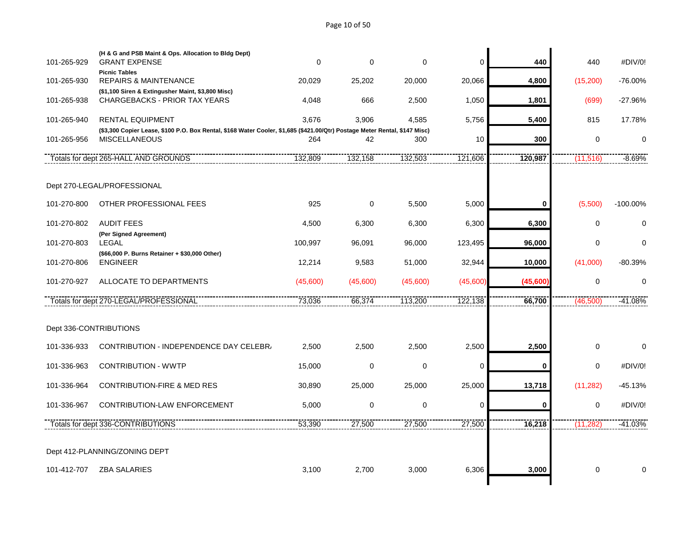# Page 10 of 50

| 101-265-929            | (H & G and PSB Maint & Ops. Allocation to Bldg Dept)<br><b>GRANT EXPENSE</b>                                               | 0        | 0                | 0              | 0           | 440       | 440         | #DIV/0!     |
|------------------------|----------------------------------------------------------------------------------------------------------------------------|----------|------------------|----------------|-------------|-----------|-------------|-------------|
|                        | <b>Picnic Tables</b>                                                                                                       |          |                  |                |             |           |             |             |
| 101-265-930            | <b>REPAIRS &amp; MAINTENANCE</b>                                                                                           | 20,029   | 25,202           | 20,000         | 20,066      | 4,800     | (15, 200)   | $-76.00%$   |
|                        | (\$1,100 Siren & Extingusher Maint, \$3,800 Misc)                                                                          |          |                  |                |             |           |             |             |
| 101-265-938            | <b>CHARGEBACKS - PRIOR TAX YEARS</b>                                                                                       | 4.048    | 666              | 2.500          | 1,050       | 1,801     | (699)       | $-27.96%$   |
| 101-265-940            | <b>RENTAL EQUIPMENT</b>                                                                                                    | 3.676    | 3,906            | 4,585          | 5,756       | 5,400     | 815         | 17.78%      |
|                        | (\$3,300 Copier Lease, \$100 P.O. Box Rental, \$168 Water Cooler, \$1,685 (\$421.00/Qtr) Postage Meter Rental, \$147 Misc) |          |                  |                |             |           |             |             |
| 101-265-956            | <b>MISCELLANEOUS</b>                                                                                                       | 264      | 42               | 300            | 10          | 300       | $\Omega$    | $\mathbf 0$ |
|                        | Totals for dept 265-HALL AND GROUNDS                                                                                       | 132,809  | 132,158          | 132,503        | 121,606     | 120,987   | (11, 516)   | $-8.69%$    |
|                        |                                                                                                                            |          |                  |                |             |           |             |             |
|                        | Dept 270-LEGAL/PROFESSIONAL                                                                                                |          |                  |                |             |           |             |             |
| 101-270-800            | OTHER PROFESSIONAL FEES                                                                                                    | 925      | $\mathbf 0$      | 5,500          | 5,000       | 0         | (5,500)     | $-100.00\%$ |
|                        |                                                                                                                            |          |                  |                |             |           |             |             |
| 101-270-802            | <b>AUDIT FEES</b>                                                                                                          | 4,500    | 6,300            | 6,300          | 6,300       | 6,300     | $\mathbf 0$ | $\mathbf 0$ |
|                        | (Per Signed Agreement)                                                                                                     |          |                  |                |             |           |             |             |
| 101-270-803            | <b>LEGAL</b>                                                                                                               | 100,997  | 96,091           | 96,000         | 123,495     | 96,000    | $\mathbf 0$ | $\Omega$    |
| 101-270-806            | (\$66,000 P. Burns Retainer + \$30,000 Other)<br><b>ENGINEER</b>                                                           | 12,214   | 9,583            | 51,000         | 32,944      | 10,000    | (41,000)    | $-80.39%$   |
| 101-270-927            | ALLOCATE TO DEPARTMENTS                                                                                                    | (45,600) | (45,600)         | (45,600)       | (45,600)    | (45, 600) | $\mathbf 0$ | $\mathbf 0$ |
|                        |                                                                                                                            |          |                  |                |             |           |             |             |
|                        | Totals for dept 270-LEGAL/PROFESSIONAL                                                                                     | 73,036   | 66,374           | 113,200        | 122,138     | 66,700    | (46,500)    | $-41.08%$   |
|                        |                                                                                                                            |          |                  |                |             |           |             |             |
| Dept 336-CONTRIBUTIONS |                                                                                                                            |          |                  |                |             |           |             |             |
| 101-336-933            | CONTRIBUTION - INDEPENDENCE DAY CELEBR/                                                                                    | 2,500    | 2,500            | 2,500          | 2,500       | 2,500     | $\mathbf 0$ | $\Omega$    |
|                        |                                                                                                                            |          |                  |                |             |           |             |             |
| 101-336-963            | <b>CONTRIBUTION - WWTP</b>                                                                                                 | 15,000   | 0                | 0              | $\mathbf 0$ | 0         | 0           | #DIV/0!     |
| 101-336-964            | <b>CONTRIBUTION-FIRE &amp; MED RES</b>                                                                                     | 30,890   | 25,000           | 25,000         | 25,000      | 13,718    | (11, 282)   | $-45.13%$   |
| 101-336-967            | CONTRIBUTION-LAW ENFORCEMENT                                                                                               | 5,000    | $\boldsymbol{0}$ | $\overline{0}$ | $\mathbf 0$ | 0         | $\mathbf 0$ | #DIV/0!     |
|                        | Totals for dept 336-CONTRIBUTIONS                                                                                          | 53,390   | 27,500           | 27,500         | 27,500      | 16,218    | (11, 282)   | $-41.03%$   |
|                        |                                                                                                                            |          |                  |                |             |           |             |             |
|                        |                                                                                                                            |          |                  |                |             |           |             |             |
|                        | Dept 412-PLANNING/ZONING DEPT                                                                                              |          |                  |                |             |           |             |             |
|                        |                                                                                                                            |          |                  |                |             |           |             | $\Omega$    |
| 101-412-707            | <b>ZBA SALARIES</b>                                                                                                        | 3,100    | 2,700            | 3,000          | 6,306       | 3,000     | $\mathbf 0$ |             |
|                        |                                                                                                                            |          |                  |                |             |           |             |             |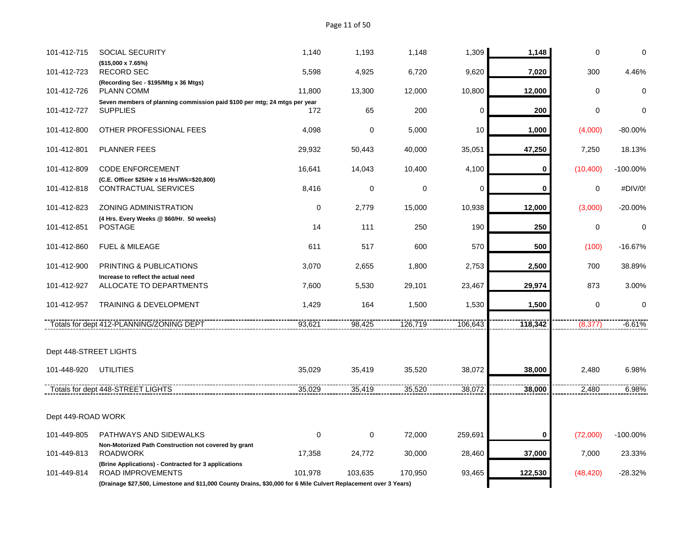| 101-412-715            | <b>SOCIAL SECURITY</b>                                                                                          | 1,140    | 1,193       | 1,148   | 1,309   | 1,148   | 0           | $\mathbf 0$ |
|------------------------|-----------------------------------------------------------------------------------------------------------------|----------|-------------|---------|---------|---------|-------------|-------------|
| 101-412-723            | (\$15,000 x 7.65%)<br><b>RECORD SEC</b>                                                                         | 5,598    | 4,925       | 6,720   | 9,620   | 7,020   | 300         | 4.46%       |
| 101-412-726            | (Recording Sec - \$195/Mtg x 36 Mtgs)<br><b>PLANN COMM</b>                                                      | 11,800   | 13,300      | 12,000  | 10,800  | 12,000  | 0           | $\mathbf 0$ |
| 101-412-727            | Seven members of planning commission paid \$100 per mtg; 24 mtgs per year<br><b>SUPPLIES</b>                    | 172      | 65          | 200     | 0       | 200     | $\mathbf 0$ | $\Omega$    |
| 101-412-800            | OTHER PROFESSIONAL FEES                                                                                         | 4,098    | 0           | 5,000   | 10      | 1,000   | (4,000)     | $-80.00\%$  |
| 101-412-801            | <b>PLANNER FEES</b>                                                                                             | 29,932   | 50,443      | 40,000  | 35,051  | 47,250  | 7,250       | 18.13%      |
| 101-412-809            | <b>CODE ENFORCEMENT</b>                                                                                         | 16,641   | 14,043      | 10,400  | 4,100   | 0       | (10, 400)   | $-100.00\%$ |
| 101-412-818            | (C.E. Officer \$25/Hr x 16 Hrs/Wk=\$20,800)<br>CONTRACTUAL SERVICES                                             | 8,416    | $\mathbf 0$ | 0       | 0       | 0       | 0           | #DIV/0!     |
| 101-412-823            | ZONING ADMINISTRATION                                                                                           | $\Omega$ | 2,779       | 15,000  | 10,938  | 12,000  | (3,000)     | $-20.00%$   |
| 101-412-851            | (4 Hrs. Every Weeks @ \$60/Hr. 50 weeks)<br><b>POSTAGE</b>                                                      | 14       | 111         | 250     | 190     | 250     | $\mathbf 0$ | $\mathbf 0$ |
| 101-412-860            | <b>FUEL &amp; MILEAGE</b>                                                                                       | 611      | 517         | 600     | 570     | 500     | (100)       | $-16.67%$   |
| 101-412-900            | PRINTING & PUBLICATIONS                                                                                         | 3,070    | 2,655       | 1,800   | 2,753   | 2,500   | 700         | 38.89%      |
| 101-412-927            | Increase to reflect the actual need<br>ALLOCATE TO DEPARTMENTS                                                  | 7,600    | 5,530       | 29,101  | 23,467  | 29,974  | 873         | 3.00%       |
| 101-412-957            | <b>TRAINING &amp; DEVELOPMENT</b>                                                                               | 1,429    | 164         | 1,500   | 1,530   | 1,500   | $\mathbf 0$ | $\mathbf 0$ |
|                        | Totals for dept 412-PLANNING/ZONING DEPT                                                                        | 93,621   | 98,425      | 126,719 | 106,643 | 118,342 | (8,377)     | $-6.61%$    |
| Dept 448-STREET LIGHTS |                                                                                                                 |          |             |         |         |         |             |             |
| 101-448-920            | <b>UTILITIES</b>                                                                                                | 35,029   | 35,419      | 35,520  | 38,072  | 38,000  | 2,480       | 6.98%       |
|                        | Totals for dept 448-STREET LIGHTS                                                                               | 35,029   | 35,419      | 35,520  | 38,072  | 38,000  | 2,480       | 6.98%       |
| Dept 449-ROAD WORK     |                                                                                                                 |          |             |         |         |         |             |             |
| 101-449-805            | PATHWAYS AND SIDEWALKS                                                                                          | $\Omega$ | 0           | 72,000  | 259,691 | 0       | (72,000)    | $-100.00\%$ |
| 101-449-813            | Non-Motorized Path Construction not covered by grant<br><b>ROADWORK</b>                                         | 17,358   | 24,772      | 30,000  | 28,460  | 37,000  | 7,000       | 23.33%      |
| 101-449-814            | (Brine Applications) - Contracted for 3 applications<br><b>ROAD IMPROVEMENTS</b>                                | 101,978  | 103,635     | 170,950 | 93,465  | 122,530 | (48, 420)   | -28.32%     |
|                        | (Drainage \$27,500, Limestone and \$11,000 County Drains, \$30,000 for 6 Mile Culvert Replacement over 3 Years) |          |             |         |         |         |             |             |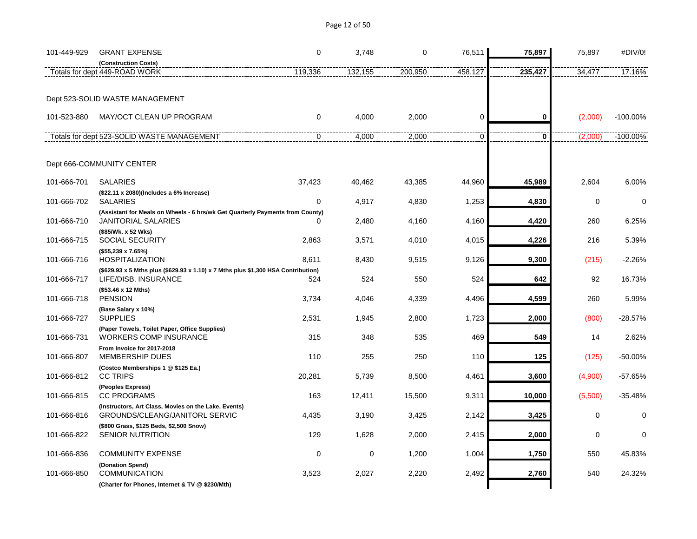| 101-449-929 | <b>GRANT EXPENSE</b>                                                                                        | 0        | 3,748   | 0       | 76,511      | 75,897      | 75,897   | #DIV/0!     |
|-------------|-------------------------------------------------------------------------------------------------------------|----------|---------|---------|-------------|-------------|----------|-------------|
|             | (Construction Costs)<br>Totals for dept 449-ROAD WORK                                                       | 119,336  | 132,155 | 200,950 | 458,127     | 235,427     | 34,477   | 17.16%      |
|             |                                                                                                             |          |         |         |             |             |          |             |
|             | Dept 523-SOLID WASTE MANAGEMENT                                                                             |          |         |         |             |             |          |             |
| 101-523-880 | MAY/OCT CLEAN UP PROGRAM                                                                                    | $\Omega$ | 4,000   | 2,000   | $\mathbf 0$ | 0           | (2,000)  | $-100.00\%$ |
|             | Totals for dept 523-SOLID WASTE MANAGEMENT                                                                  | $\Omega$ | 4,000   | 2,000   | 0           | $\mathbf 0$ | (2,000)  | $-100.00\%$ |
|             | Dept 666-COMMUNITY CENTER                                                                                   |          |         |         |             |             |          |             |
| 101-666-701 | <b>SALARIES</b>                                                                                             | 37,423   | 40,462  | 43,385  | 44,960      | 45,989      | 2,604    | 6.00%       |
| 101-666-702 | (\$22.11 x 2080)(Includes a 6% Increase)<br><b>SALARIES</b>                                                 | 0        | 4,917   | 4,830   | 1,253       | 4,830       | 0        | $\mathbf 0$ |
| 101-666-710 | (Assistant for Meals on Wheels - 6 hrs/wk Get Quarterly Payments from County)<br><b>JANITORIAL SALARIES</b> | 0        | 2,480   | 4,160   | 4,160       | 4,420       | 260      | 6.25%       |
| 101-666-715 | (\$85/Wk. x 52 Wks)<br><b>SOCIAL SECURITY</b>                                                               | 2,863    | 3,571   | 4,010   | 4,015       | 4,226       | 216      | 5.39%       |
| 101-666-716 | (\$55,239 x 7.65%)<br><b>HOSPITALIZATION</b>                                                                | 8,611    | 8,430   | 9,515   | 9,126       | 9,300       | (215)    | $-2.26%$    |
| 101-666-717 | (\$629.93 x 5 Mths plus (\$629.93 x 1.10) x 7 Mths plus \$1,300 HSA Contribution)<br>LIFE/DISB. INSURANCE   | 524      | 524     | 550     | 524         | 642         | 92       | 16.73%      |
| 101-666-718 | (\$53.46 x 12 Mths)<br><b>PENSION</b>                                                                       | 3,734    | 4,046   | 4,339   | 4,496       | 4,599       | 260      | 5.99%       |
| 101-666-727 | (Base Salary x 10%)<br><b>SUPPLIES</b>                                                                      | 2,531    | 1,945   | 2,800   | 1,723       | 2,000       | (800)    | $-28.57%$   |
| 101-666-731 | (Paper Towels, Toilet Paper, Office Supplies)<br><b>WORKERS COMP INSURANCE</b>                              | 315      | 348     | 535     | 469         | 549         | 14       | 2.62%       |
| 101-666-807 | From Invoice for 2017-2018<br><b>MEMBERSHIP DUES</b>                                                        | 110      | 255     | 250     | 110         | 125         | (125)    | $-50.00%$   |
| 101-666-812 | (Costco Memberships 1 @ \$125 Ea.)<br><b>CC TRIPS</b>                                                       | 20,281   | 5,739   | 8,500   | 4,461       | 3,600       | (4,900)  | $-57.65%$   |
| 101-666-815 | (Peoples Express)<br><b>CC PROGRAMS</b>                                                                     | 163      | 12,411  | 15,500  | 9,311       | 10,000      | (5,500)  | $-35.48%$   |
| 101-666-816 | (Instructors, Art Class, Movies on the Lake, Events)<br>GROUNDS/CLEANG/JANITORL SERVIC                      | 4,435    | 3,190   | 3,425   | 2,142       | 3,425       | $\Omega$ | $\Omega$    |
| 101-666-822 | (\$800 Grass, \$125 Beds, \$2,500 Snow)<br><b>SENIOR NUTRITION</b>                                          | 129      | 1,628   | 2,000   | 2,415       | 2,000       | 0        | $\Omega$    |
| 101-666-836 | <b>COMMUNITY EXPENSE</b><br>(Donation Spend)                                                                | 0        | 0       | 1,200   | 1,004       | 1,750       | 550      | 45.83%      |

101-666-850 COMMUNICATION 3,523 2,027 2,220 2,492 **2,760** 540 24.32%

**(Charter for Phones, Internet & TV @ \$230/Mth)**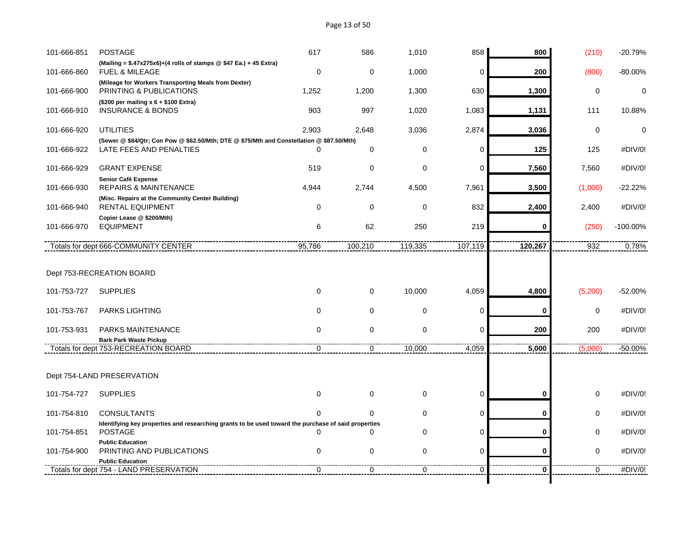# Page 13 of 50

| 101-666-851 | <b>POSTAGE</b>                                                                                      | 617         | 586            | 1,010          | 858            | 800                     | (210)          | -20.79%     |
|-------------|-----------------------------------------------------------------------------------------------------|-------------|----------------|----------------|----------------|-------------------------|----------------|-------------|
| 101-666-860 | (Mailing = $$.47x275x6$ )+(4 rolls of stamps @ \$47 Ea.) + 45 Extra)<br><b>FUEL &amp; MILEAGE</b>   | $\mathbf 0$ | $\mathbf 0$    | 1,000          | $\mathbf 0$    | 200                     | (800)          | $-80.00%$   |
| 101-666-900 | (Mileage for Workers Transporting Meals from Dexter)<br><b>PRINTING &amp; PUBLICATIONS</b>          | 1,252       | 1,200          | 1,300          | 630            | 1,300                   | 0              | $\mathbf 0$ |
| 101-666-910 | $($200 \text{ per mailing x } 6 + $100 \text{ Extra})$<br><b>INSURANCE &amp; BONDS</b>              | 903         | 997            | 1,020          | 1,083          | 1,131                   | 111            | 10.88%      |
| 101-666-920 | <b>UTILITIES</b>                                                                                    | 2,903       | 2,648          | 3,036          | 2,874          | 3,036                   | 0              | $\mathbf 0$ |
|             | (Sewer @ \$84/Qtr; Con Pow @ \$62.50/Mth; DTE @ \$75/Mth and Constellation @ \$87.50/Mth)           |             |                |                |                |                         |                |             |
| 101-666-922 | LATE FEES AND PENALTIES                                                                             | $\Omega$    | $\mathbf 0$    | 0              | $\Omega$       | 125                     | 125            | #DIV/0!     |
| 101-666-929 | <b>GRANT EXPENSE</b>                                                                                | 519         | $\mathbf 0$    | 0              | $\mathbf 0$    | 7,560                   | 7,560          | #DIV/0!     |
| 101-666-930 | Senior Café Expense<br><b>REPAIRS &amp; MAINTENANCE</b>                                             | 4,944       | 2,744          | 4,500          | 7,961          | 3,500                   | (1,000)        | $-22.22%$   |
| 101-666-940 | (Misc. Repairs at the Community Center Building)<br><b>RENTAL EQUIPMENT</b>                         | $\Omega$    | $\mathbf 0$    | 0              | 832            | 2,400                   | 2,400          | #DIV/0!     |
| 101-666-970 | Copier Lease @ \$200/Mth)<br><b>EQUIPMENT</b>                                                       | 6           | 62             | 250            | 219            | 0                       | (250)          | $-100.00\%$ |
|             | Totals for dept 666-COMMUNITY CENTER                                                                | 95,786      | 100,210        | 119,335        | 107,119        | 120,267                 | 932            | 0.78%       |
| 101-753-727 | Dept 753-RECREATION BOARD<br><b>SUPPLIES</b>                                                        | $\mathbf 0$ | $\mathbf 0$    | 10,000         | 4,059          | 4,800                   | (5,200)        | $-52.00%$   |
| 101-753-767 | <b>PARKS LIGHTING</b>                                                                               | $\mathbf 0$ | $\mathbf 0$    | 0              | 0              | O                       | 0              | #DIV/0!     |
| 101-753-931 | PARKS MAINTENANCE                                                                                   | 0           | $\mathbf 0$    | 0              | $\Omega$       | 200                     | 200            | #DIV/0!     |
|             | <b>Bark Park Waste Pickup</b>                                                                       |             |                |                |                |                         |                |             |
|             | Totals for dept 753-RECREATION BOARD                                                                | 0           | 0              | 10,000         | 4,059          | 5,000                   | (5,000)        | $-50.00%$   |
|             | Dept 754-LAND PRESERVATION                                                                          |             |                |                |                |                         |                |             |
| 101-754-727 | <b>SUPPLIES</b>                                                                                     | $\mathbf 0$ | $\mathbf 0$    | 0              | 0              | 0                       | $\mathbf 0$    | #DIV/0!     |
| 101-754-810 | <b>CONSULTANTS</b>                                                                                  | $\Omega$    | 0              | 0              | 0              | 0                       | 0              | #DIV/0!     |
|             | Identifying key properties and researching grants to be used toward the purchase of said properties |             |                |                |                |                         |                |             |
| 101-754-851 | <b>POSTAGE</b>                                                                                      | $\Omega$    | $\Omega$       | 0              | $\mathbf 0$    | 0                       | 0              | #DIV/0!     |
| 101-754-900 | <b>Public Education</b><br>PRINTING AND PUBLICATIONS                                                | $\mathbf 0$ | $\mathbf 0$    | 0              | $\mathbf 0$    | 0                       | 0              | #DIV/0!     |
|             | <b>Public Education</b>                                                                             |             |                |                |                |                         | $\overline{0}$ |             |
|             | Totals for dept 754 - LAND PRESERVATION                                                             | 0           | $\overline{0}$ | $\overline{0}$ | $\overline{0}$ | $\overline{\mathbf{0}}$ |                | #DIV/0!     |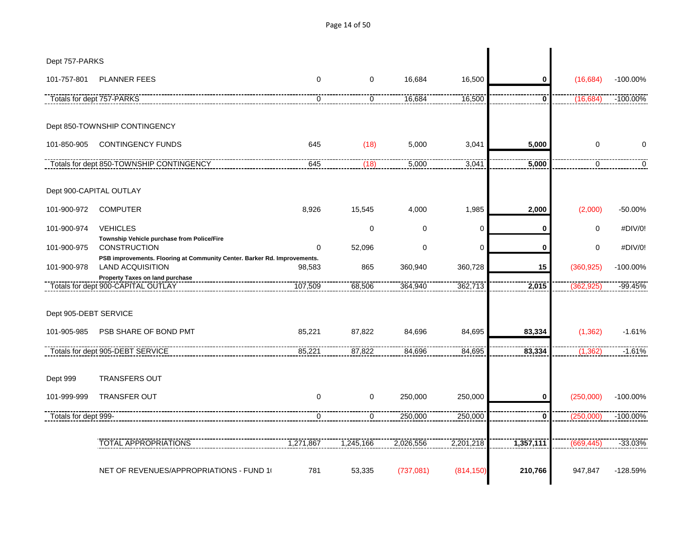Dept 757-PARKS 101-757-801 PLANNER FEES 0 0 16,684 16,500 **0** (16,684) -100.00% Totals for dept 757-PARKS 0 0 16,684 16,500 **0** (16,684) -100.00% Dept 850-TOWNSHIP CONTINGENCY 101-850-905 CONTINGENCY FUNDS 645 (18) 5,000 3,041 **5,000** 0 0 Totals for dept 850-TOWNSHIP CONTINGENCY 645 (18) 5,000 3,041 **5,000** 0 0 Dept 900-CAPITAL OUTLAY 101-900-972 COMPUTER 8,926 15,545 4,000 1,985 **2,000** (2,000) -50.00% 101-900-974 VEHICLES 0 0 0 **0** 0 #DIV/0! **Township Vehicle purchase from Police/Fire** 101-900-975 CONSTRUCTION 0 52,096 0 0 **0** 0 #DIV/0! **PSB improvements. Flooring at Community Center. Barker Rd. Improvements.** 101-900-978 LAND ACQUISITION 98,583 865 360,940 360,728 **15** (360,925) -100.00% **Property Taxes on land purchase** Totals for dept 900-CAPITAL OUTLAY 107,509 68,506 364,940 362,713 **2,015** (362,925) -99.45% Dept 905-DEBT SERVICE 101-905-985 PSB SHARE OF BOND PMT 85,221 87,822 84,696 84,695 **83,334** (1,362) -1.61% Totals for dept 905-DEBT SERVICE 85,221 87,822 84,696 84,695 **83,334** (1,362) -1.61% Dept 999 TRANSFERS OUT 101-999-999 TRANSFER OUT 0 0 250,000 250,000 **0** (250,000) -100.00% Totals for dept 999- 0 0 250,000 250,000 **0** (250,000) -100.00% TOTAL APPROPRIATIONS 1,271,867 1,245,166 2,026,556 2,201,218 **1,357,111** (669,445) -33.03% NET OF REVENUES/APPROPRIATIONS - FUND 10 781 53,335 (737,081) (814,150) **210,766** 947,847 -128.59%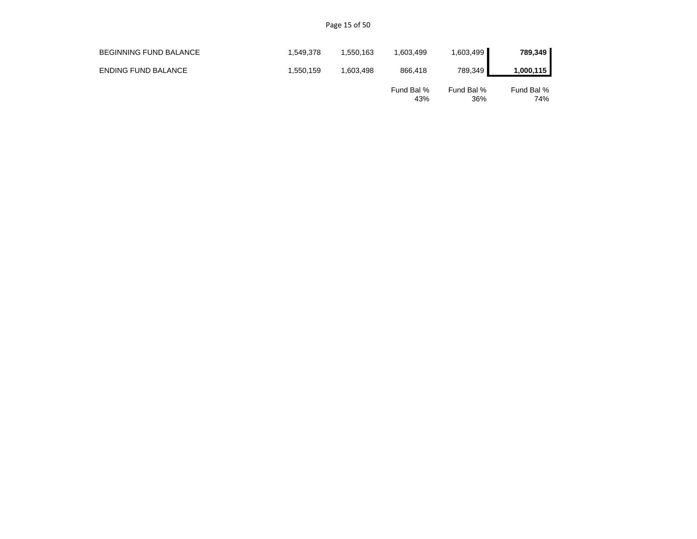Page 15 of 50

| <b>BEGINNING FUND BALANCE</b> | 1.549.378 | .550.163 | 1,603,499         | 1,603,499         | 789,349           |
|-------------------------------|-----------|----------|-------------------|-------------------|-------------------|
| <b>ENDING FUND BALANCE</b>    | 1.550.159 | .603.498 | 866.418           | 789.349           | 1,000,115         |
|                               |           |          | Fund Bal %<br>43% | Fund Bal %<br>36% | Fund Bal %<br>74% |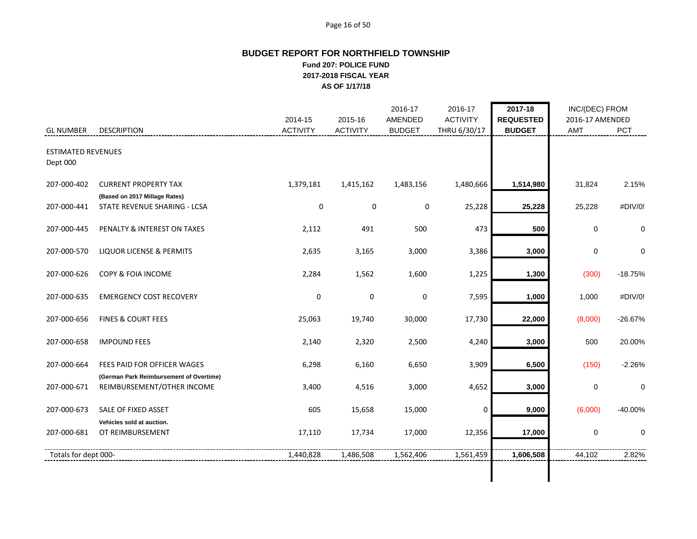#### Page 16 of 50

# **BUDGET REPORT FOR NORTHFIELD TOWNSHIP Fund 207: POLICE FUND 2017-2018 FISCAL YEAR AS OF 1/17/18**

|                                       |                                                                       | 2014-15         | 2015-16         | 2016-17<br>AMENDED | 2016-17<br><b>ACTIVITY</b> | 2017-18<br><b>REQUESTED</b> | INC/(DEC) FROM<br>2016-17 AMENDED |             |
|---------------------------------------|-----------------------------------------------------------------------|-----------------|-----------------|--------------------|----------------------------|-----------------------------|-----------------------------------|-------------|
| <b>GL NUMBER</b>                      | <b>DESCRIPTION</b>                                                    | <b>ACTIVITY</b> | <b>ACTIVITY</b> | <b>BUDGET</b>      | THRU 6/30/17               | <b>BUDGET</b>               | AMT                               | PCT         |
| <b>ESTIMATED REVENUES</b><br>Dept 000 |                                                                       |                 |                 |                    |                            |                             |                                   |             |
| 207-000-402                           | <b>CURRENT PROPERTY TAX</b>                                           | 1,379,181       | 1,415,162       | 1,483,156          | 1,480,666                  | 1,514,980                   | 31,824                            | 2.15%       |
| 207-000-441                           | (Based on 2017 Millage Rates)<br>STATE REVENUE SHARING - LCSA         | $\mathbf 0$     | $\mathbf 0$     | $\mathbf 0$        | 25,228                     | 25,228                      | 25,228                            | #DIV/0!     |
| 207-000-445                           | PENALTY & INTEREST ON TAXES                                           | 2,112           | 491             | 500                | 473                        | 500                         | $\mathbf 0$                       | $\mathbf 0$ |
| 207-000-570                           | LIQUOR LICENSE & PERMITS                                              | 2,635           | 3,165           | 3,000              | 3,386                      | 3,000                       | $\mathbf 0$                       | $\mathbf 0$ |
| 207-000-626                           | COPY & FOIA INCOME                                                    | 2,284           | 1,562           | 1,600              | 1,225                      | 1,300                       | (300)                             | $-18.75%$   |
| 207-000-635                           | <b>EMERGENCY COST RECOVERY</b>                                        | 0               | $\mathbf 0$     | 0                  | 7,595                      | 1,000                       | 1,000                             | #DIV/0!     |
| 207-000-656                           | <b>FINES &amp; COURT FEES</b>                                         | 25,063          | 19,740          | 30,000             | 17,730                     | 22,000                      | (8,000)                           | $-26.67%$   |
| 207-000-658                           | <b>IMPOUND FEES</b>                                                   | 2,140           | 2,320           | 2,500              | 4,240                      | 3,000                       | 500                               | 20.00%      |
| 207-000-664                           | FEES PAID FOR OFFICER WAGES                                           | 6,298           | 6,160           | 6,650              | 3,909                      | 6,500                       | (150)                             | $-2.26%$    |
| 207-000-671                           | (German Park Reimbursement of Overtime)<br>REIMBURSEMENT/OTHER INCOME | 3,400           | 4,516           | 3,000              | 4,652                      | 3,000                       | 0                                 | 0           |
| 207-000-673                           | SALE OF FIXED ASSET                                                   | 605             | 15,658          | 15,000             | 0                          | 9,000                       | (6,000)                           | $-40.00%$   |
| 207-000-681                           | Vehicles sold at auction.<br>OT REIMBURSEMENT                         | 17,110          | 17,734          | 17,000             | 12,356                     | 17,000                      | $\mathbf 0$                       | $\mathbf 0$ |
| Totals for dept 000-                  |                                                                       | 1,440,828       | 1,486,508       | 1,562,406          | 1,561,459                  | 1,606,508                   | 44,102                            | 2.82%       |
|                                       |                                                                       |                 |                 |                    |                            |                             |                                   |             |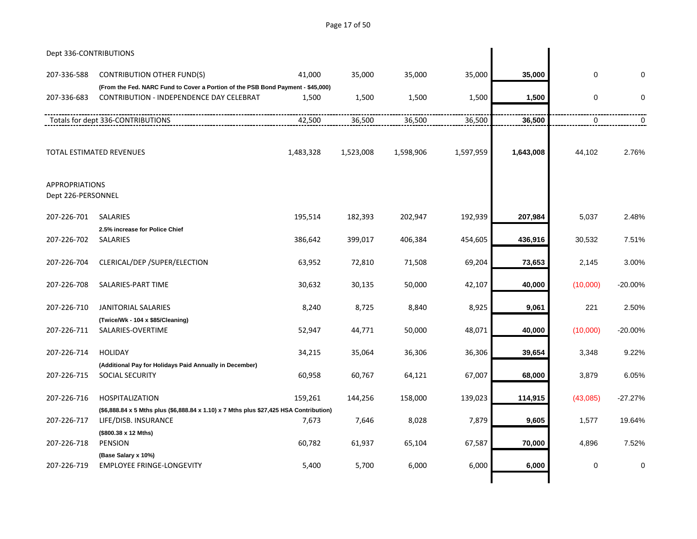Page 17 of 50

| Dept 336-CONTRIBUTIONS                      |                                                                                                                |           |           |           |           |           |           |             |
|---------------------------------------------|----------------------------------------------------------------------------------------------------------------|-----------|-----------|-----------|-----------|-----------|-----------|-------------|
| 207-336-588                                 | <b>CONTRIBUTION OTHER FUND(S)</b>                                                                              | 41,000    | 35,000    | 35,000    | 35,000    | 35,000    | $\pmb{0}$ | $\mathbf 0$ |
|                                             | (From the Fed. NARC Fund to Cover a Portion of the PSB Bond Payment - \$45,000)                                |           |           |           |           |           |           |             |
| 207-336-683                                 | CONTRIBUTION - INDEPENDENCE DAY CELEBRAT                                                                       | 1,500     | 1,500     | 1,500     | 1,500     | 1,500     | 0         | $\mathbf 0$ |
|                                             | Totals for dept 336-CONTRIBUTIONS                                                                              | 42,500    | 36,500    | 36,500    | 36,500    | 36,500    | 0         | 0           |
|                                             | TOTAL ESTIMATED REVENUES                                                                                       | 1,483,328 | 1,523,008 | 1,598,906 | 1,597,959 | 1,643,008 | 44,102    | 2.76%       |
| <b>APPROPRIATIONS</b><br>Dept 226-PERSONNEL |                                                                                                                |           |           |           |           |           |           |             |
| 207-226-701                                 | <b>SALARIES</b>                                                                                                | 195,514   | 182,393   | 202,947   | 192,939   | 207,984   | 5,037     | 2.48%       |
| 207-226-702                                 | 2.5% increase for Police Chief<br>SALARIES                                                                     | 386,642   | 399,017   | 406,384   | 454,605   | 436,916   | 30,532    | 7.51%       |
| 207-226-704                                 | CLERICAL/DEP /SUPER/ELECTION                                                                                   | 63,952    | 72,810    | 71,508    | 69,204    | 73,653    | 2,145     | 3.00%       |
| 207-226-708                                 | SALARIES-PART TIME                                                                                             | 30,632    | 30,135    | 50,000    | 42,107    | 40,000    | (10,000)  | $-20.00\%$  |
| 207-226-710                                 | <b>JANITORIAL SALARIES</b>                                                                                     | 8,240     | 8,725     | 8,840     | 8,925     | 9,061     | 221       | 2.50%       |
| 207-226-711                                 | (Twice/Wk - 104 x \$85/Cleaning)<br>SALARIES-OVERTIME                                                          | 52,947    | 44,771    | 50,000    | 48,071    | 40,000    | (10,000)  | $-20.00%$   |
| 207-226-714                                 | <b>HOLIDAY</b>                                                                                                 | 34,215    | 35,064    | 36,306    | 36,306    | 39,654    | 3,348     | 9.22%       |
| 207-226-715                                 | (Additional Pay for Holidays Paid Annually in December)<br><b>SOCIAL SECURITY</b>                              | 60,958    | 60,767    | 64,121    | 67,007    | 68,000    | 3,879     | 6.05%       |
| 207-226-716                                 | <b>HOSPITALIZATION</b>                                                                                         | 159,261   | 144,256   | 158,000   | 139,023   | 114,915   | (43,085)  | $-27.27%$   |
| 207-226-717                                 | (\$6,888.84 x 5 Mths plus (\$6,888.84 x 1.10) x 7 Mths plus \$27,425 HSA Contribution)<br>LIFE/DISB. INSURANCE | 7,673     | 7,646     | 8,028     | 7,879     | 9,605     | 1,577     | 19.64%      |
| 207-226-718                                 | (\$800.38 x 12 Mths)<br><b>PENSION</b>                                                                         | 60,782    | 61,937    | 65,104    | 67,587    | 70,000    | 4,896     | 7.52%       |
| 207-226-719                                 | (Base Salary x 10%)<br><b>EMPLOYEE FRINGE-LONGEVITY</b>                                                        | 5,400     | 5,700     | 6,000     | 6,000     | 6,000     | 0         | $\mathbf 0$ |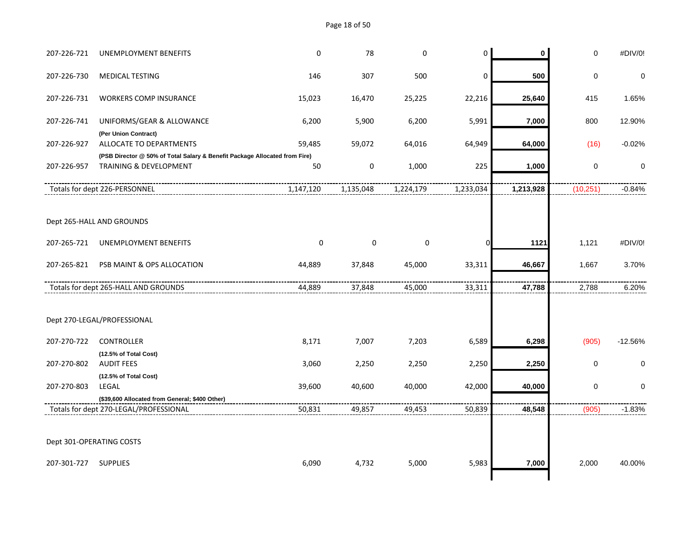Page 18 of 50

| 207-226-721 | <b>UNEMPLOYMENT BENEFITS</b>                                               | $\mathbf 0$ | 78        | $\mathbf 0$ | $\pmb{0}$ | $\mathbf 0$ | $\mathsf 0$ | #DIV/0!     |
|-------------|----------------------------------------------------------------------------|-------------|-----------|-------------|-----------|-------------|-------------|-------------|
| 207-226-730 | <b>MEDICAL TESTING</b>                                                     | 146         | 307       | 500         | 0         | 500         | $\mathbf 0$ | 0           |
| 207-226-731 | <b>WORKERS COMP INSURANCE</b>                                              | 15,023      | 16,470    | 25,225      | 22,216    | 25,640      | 415         | 1.65%       |
| 207-226-741 | UNIFORMS/GEAR & ALLOWANCE                                                  | 6,200       | 5,900     | 6,200       | 5,991     | 7,000       | 800         | 12.90%      |
| 207-226-927 | (Per Union Contract)<br>ALLOCATE TO DEPARTMENTS                            | 59,485      | 59,072    | 64,016      | 64,949    | 64,000      | (16)        | $-0.02%$    |
|             | (PSB Director @ 50% of Total Salary & Benefit Package Allocated from Fire) |             |           |             |           |             |             |             |
| 207-226-957 | <b>TRAINING &amp; DEVELOPMENT</b>                                          | 50          | $\pmb{0}$ | 1,000       | 225       | 1,000       | $\mathbf 0$ | 0           |
|             | Totals for dept 226-PERSONNEL                                              | 1,147,120   | 1,135,048 | 1,224,179   | 1,233,034 | 1,213,928   | (10, 251)   | $-0.84%$    |
|             | Dept 265-HALL AND GROUNDS                                                  |             |           |             |           |             |             |             |
| 207-265-721 | UNEMPLOYMENT BENEFITS                                                      | $\pmb{0}$   | 0         | $\pmb{0}$   | $\Omega$  | 1121        | 1,121       | #DIV/0!     |
| 207-265-821 | PSB MAINT & OPS ALLOCATION                                                 | 44,889      | 37,848    | 45,000      | 33,311    | 46,667      | 1,667       | 3.70%       |
|             | Totals for dept 265-HALL AND GROUNDS                                       | 44,889      | 37,848    | 45,000      | 33,311    | 47,788      | 2,788       | 6.20%       |
|             | Dept 270-LEGAL/PROFESSIONAL                                                |             |           |             |           |             |             |             |
| 207-270-722 | <b>CONTROLLER</b>                                                          | 8,171       | 7,007     | 7,203       | 6,589     | 6,298       | (905)       | $-12.56%$   |
|             | (12.5% of Total Cost)                                                      |             |           |             |           |             |             |             |
| 207-270-802 | <b>AUDIT FEES</b>                                                          | 3,060       | 2,250     | 2,250       | 2,250     | 2,250       | $\mathbf 0$ | $\mathbf 0$ |
| 207-270-803 | (12.5% of Total Cost)<br>LEGAL                                             | 39,600      | 40,600    | 40,000      | 42,000    | 40,000      | $\mathbf 0$ | 0           |
|             | (\$39,600 Allocated from General; \$400 Other)                             |             |           |             |           |             |             |             |
|             | Totals for dept 270-LEGAL/PROFESSIONAL                                     | 50,831      | 49,857    | 49,453      | 50,839    | 48,548      | (905)       | $-1.83%$    |
|             |                                                                            |             |           |             |           |             |             |             |
|             | Dept 301-OPERATING COSTS                                                   |             |           |             |           |             |             |             |
| 207-301-727 | <b>SUPPLIES</b>                                                            | 6,090       | 4,732     | 5,000       | 5,983     | 7,000       | 2,000       | 40.00%      |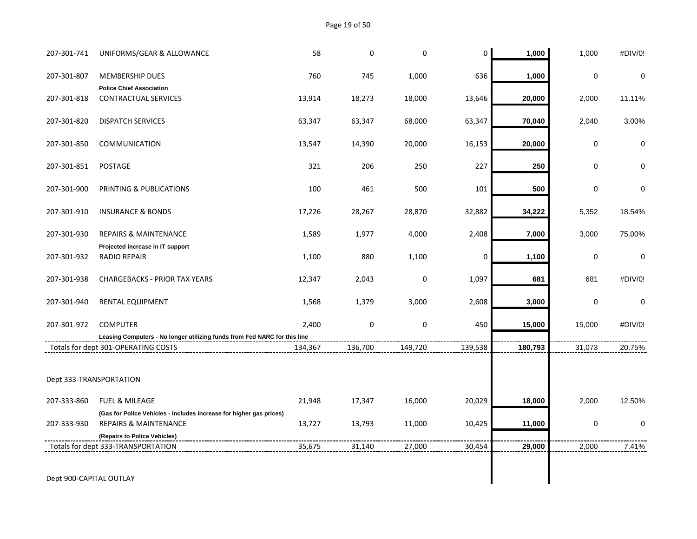Page 19 of 50

| 207-301-741             | UNIFORMS/GEAR & ALLOWANCE                                                                                        | 58      | 0         | 0       | 0       | 1,000   | 1,000       | #DIV/0!     |
|-------------------------|------------------------------------------------------------------------------------------------------------------|---------|-----------|---------|---------|---------|-------------|-------------|
| 207-301-807             | <b>MEMBERSHIP DUES</b>                                                                                           | 760     | 745       | 1,000   | 636     | 1,000   | $\pmb{0}$   | $\mathbf 0$ |
| 207-301-818             | <b>Police Chief Association</b><br><b>CONTRACTUAL SERVICES</b>                                                   | 13,914  | 18,273    | 18,000  | 13,646  | 20,000  | 2,000       | 11.11%      |
| 207-301-820             | <b>DISPATCH SERVICES</b>                                                                                         | 63,347  | 63,347    | 68,000  | 63,347  | 70,040  | 2,040       | 3.00%       |
| 207-301-850             | <b>COMMUNICATION</b>                                                                                             | 13,547  | 14,390    | 20,000  | 16,153  | 20,000  | $\mathbf 0$ | 0           |
| 207-301-851             | POSTAGE                                                                                                          | 321     | 206       | 250     | 227     | 250     | $\mathbf 0$ | 0           |
| 207-301-900             | PRINTING & PUBLICATIONS                                                                                          | 100     | 461       | 500     | 101     | 500     | $\pmb{0}$   | 0           |
| 207-301-910             | <b>INSURANCE &amp; BONDS</b>                                                                                     | 17,226  | 28,267    | 28,870  | 32,882  | 34,222  | 5,352       | 18.54%      |
| 207-301-930             | <b>REPAIRS &amp; MAINTENANCE</b>                                                                                 | 1,589   | 1,977     | 4,000   | 2,408   | 7,000   | 3,000       | 75.00%      |
| 207-301-932             | Projected increase in IT support<br>RADIO REPAIR                                                                 | 1,100   | 880       | 1,100   | 0       | 1,100   | $\pmb{0}$   | $\pmb{0}$   |
| 207-301-938             | <b>CHARGEBACKS - PRIOR TAX YEARS</b>                                                                             | 12,347  | 2,043     | 0       | 1,097   | 681     | 681         | #DIV/0!     |
| 207-301-940             | RENTAL EQUIPMENT                                                                                                 | 1,568   | 1,379     | 3,000   | 2,608   | 3,000   | $\mathbf 0$ | $\mathbf 0$ |
| 207-301-972             | <b>COMPUTER</b>                                                                                                  | 2,400   | $\pmb{0}$ | 0       | 450     | 15,000  | 15,000      | #DIV/0!     |
|                         | Leasing Computers - No longer utilizing funds from Fed NARC for this line<br>Totals for dept 301-OPERATING COSTS | 134,367 | 136,700   | 149,720 | 139,538 | 180,793 | 31,073      | 20.75%      |
| Dept 333-TRANSPORTATION |                                                                                                                  |         |           |         |         |         |             |             |
|                         |                                                                                                                  |         |           |         |         |         |             |             |
| 207-333-860             | <b>FUEL &amp; MILEAGE</b>                                                                                        | 21,948  | 17,347    | 16,000  | 20,029  | 18,000  | 2,000       | 12.50%      |
|                         | (Gas for Police Vehicles - Includes increase for higher gas prices)                                              |         |           |         |         |         |             |             |
| 207-333-930             | <b>REPAIRS &amp; MAINTENANCE</b>                                                                                 | 13,727  | 13,793    | 11,000  | 10,425  | 11,000  | $\pmb{0}$   | 0           |
|                         | (Repairs to Police Vehicles)                                                                                     | 35,675  | 31,140    | 27,000  | 30,454  | 29,000  | 2,000       | 7.41%       |
|                         | Totals for dept 333-TRANSPORTATION                                                                               |         |           |         |         |         |             |             |
| Dept 900-CAPITAL OUTLAY |                                                                                                                  |         |           |         |         |         |             |             |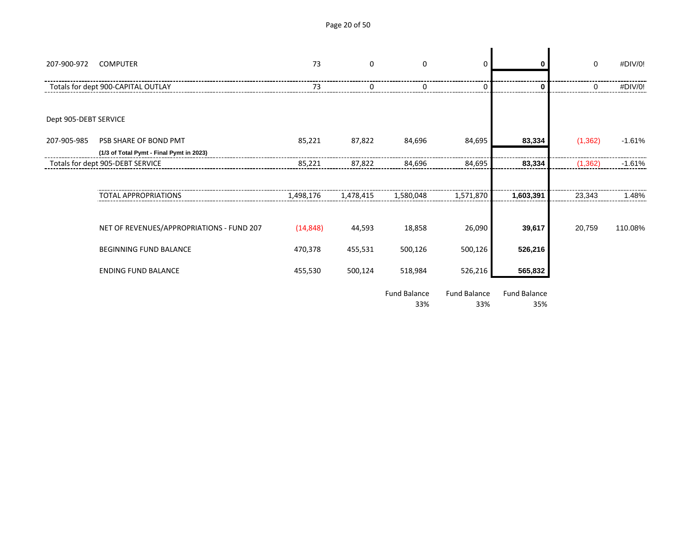Page 20 of 50

| 207-900-972           | <b>COMPUTER</b>                           | 73        | $\mathbf 0$ | $\mathbf 0$                | 0                          | ŋ                          | 0        | #DIV/0!  |
|-----------------------|-------------------------------------------|-----------|-------------|----------------------------|----------------------------|----------------------------|----------|----------|
|                       | Totals for dept 900-CAPITAL OUTLAY        | 73        |             |                            | 0                          | 0                          | 0        | #DIV/0!  |
|                       |                                           |           |             |                            |                            |                            |          |          |
| Dept 905-DEBT SERVICE |                                           |           |             |                            |                            |                            |          |          |
| 207-905-985           | PSB SHARE OF BOND PMT                     | 85,221    | 87,822      | 84,696                     | 84,695                     | 83,334                     | (1, 362) | $-1.61%$ |
|                       | (1/3 of Total Pymt - Final Pymt in 2023)  |           |             |                            |                            |                            |          |          |
|                       | Totals for dept 905-DEBT SERVICE          | 85,221    | 87,822      | 84,696                     | 84,695                     | 83,334                     | (1, 362) | $-1.61%$ |
|                       |                                           |           |             |                            |                            |                            |          |          |
|                       | <b>TOTAL APPROPRIATIONS</b>               | 1,498,176 | 1,478,415   | 1,580,048                  | 1,571,870                  | 1,603,391                  | 23,343   | 1.48%    |
|                       |                                           |           |             |                            |                            |                            |          |          |
|                       | NET OF REVENUES/APPROPRIATIONS - FUND 207 | (14, 848) | 44,593      | 18,858                     | 26,090                     | 39,617                     | 20,759   | 110.08%  |
|                       | BEGINNING FUND BALANCE                    | 470,378   | 455,531     | 500,126                    | 500,126                    | 526,216                    |          |          |
|                       | <b>ENDING FUND BALANCE</b>                | 455,530   | 500,124     | 518,984                    | 526,216                    | 565,832                    |          |          |
|                       |                                           |           |             | <b>Fund Balance</b><br>33% | <b>Fund Balance</b><br>33% | <b>Fund Balance</b><br>35% |          |          |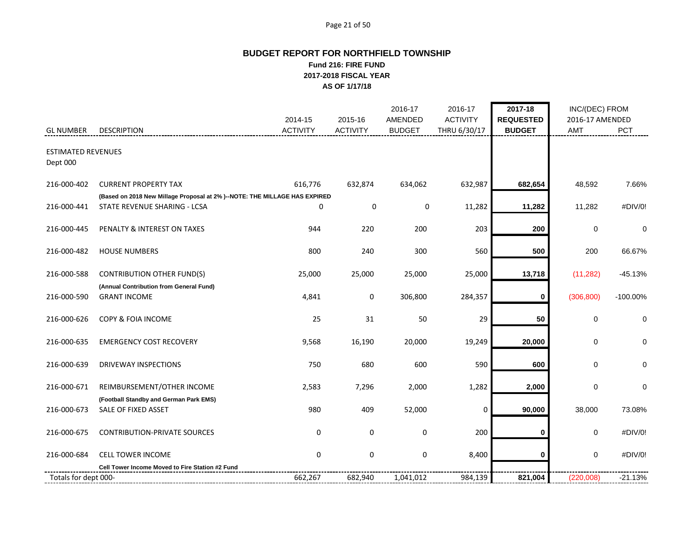#### Page 21 of 50

# **BUDGET REPORT FOR NORTHFIELD TOWNSHIP Fund 216: FIRE FUND 2017-2018 FISCAL YEAR AS OF 1/17/18**

|                                       |                                                                            |                            |                            | 2016-17                         | 2016-17                         | 2017-18                           | INC/(DEC) FROM         |             |
|---------------------------------------|----------------------------------------------------------------------------|----------------------------|----------------------------|---------------------------------|---------------------------------|-----------------------------------|------------------------|-------------|
| <b>GL NUMBER</b>                      | <b>DESCRIPTION</b>                                                         | 2014-15<br><b>ACTIVITY</b> | 2015-16<br><b>ACTIVITY</b> | <b>AMENDED</b><br><b>BUDGET</b> | <b>ACTIVITY</b><br>THRU 6/30/17 | <b>REQUESTED</b><br><b>BUDGET</b> | 2016-17 AMENDED<br>AMT | PCT         |
|                                       |                                                                            |                            |                            |                                 |                                 |                                   |                        |             |
| <b>ESTIMATED REVENUES</b><br>Dept 000 |                                                                            |                            |                            |                                 |                                 |                                   |                        |             |
| 216-000-402                           | <b>CURRENT PROPERTY TAX</b>                                                | 616,776                    | 632,874                    | 634,062                         | 632,987                         | 682,654                           | 48,592                 | 7.66%       |
|                                       | (Based on 2018 New Millage Proposal at 2% )--NOTE: THE MILLAGE HAS EXPIRED |                            |                            |                                 |                                 |                                   |                        |             |
| 216-000-441                           | STATE REVENUE SHARING - LCSA                                               | 0                          | $\mathbf 0$                | 0                               | 11,282                          | 11,282                            | 11,282                 | #DIV/0!     |
| 216-000-445                           | PENALTY & INTEREST ON TAXES                                                | 944                        | 220                        | 200                             | 203                             | 200                               | $\mathbf 0$            | $\mathbf 0$ |
| 216-000-482                           | <b>HOUSE NUMBERS</b>                                                       | 800                        | 240                        | 300                             | 560                             | 500                               | 200                    | 66.67%      |
| 216-000-588                           | <b>CONTRIBUTION OTHER FUND(S)</b>                                          | 25,000                     | 25,000                     | 25,000                          | 25,000                          | 13,718                            | (11, 282)              | $-45.13%$   |
| 216-000-590                           | (Annual Contribution from General Fund)<br><b>GRANT INCOME</b>             | 4,841                      | 0                          | 306,800                         | 284,357                         | 0                                 | (306, 800)             | $-100.00\%$ |
| 216-000-626                           | <b>COPY &amp; FOIA INCOME</b>                                              | 25                         | 31                         | 50                              | 29                              | 50                                | $\mathbf 0$            | 0           |
| 216-000-635                           | <b>EMERGENCY COST RECOVERY</b>                                             | 9,568                      | 16,190                     | 20,000                          | 19,249                          | 20,000                            | 0                      | 0           |
| 216-000-639                           | <b>DRIVEWAY INSPECTIONS</b>                                                | 750                        | 680                        | 600                             | 590                             | 600                               | 0                      | 0           |
| 216-000-671                           | REIMBURSEMENT/OTHER INCOME                                                 | 2,583                      | 7,296                      | 2,000                           | 1,282                           | 2,000                             | 0                      | 0           |
| 216-000-673                           | (Football Standby and German Park EMS)<br>SALE OF FIXED ASSET              | 980                        | 409                        | 52,000                          | 0                               | 90,000                            | 38,000                 | 73.08%      |
| 216-000-675                           | <b>CONTRIBUTION-PRIVATE SOURCES</b>                                        | $\mathbf 0$                | $\mathbf 0$                | 0                               | 200                             | 0                                 | 0                      | #DIV/0!     |
| 216-000-684                           | <b>CELL TOWER INCOME</b>                                                   | $\mathbf 0$                | $\pmb{0}$                  | $\mathbf 0$                     | 8,400                           | 0                                 | $\mathbf 0$            | #DIV/0!     |
|                                       | Cell Tower Income Moved to Fire Station #2 Fund                            |                            |                            |                                 |                                 |                                   |                        |             |
| Totals for dept 000-                  |                                                                            | 662,267                    | 682,940                    | 1,041,012                       | 984,139                         | 821,004                           | (220,008)              | $-21.13%$   |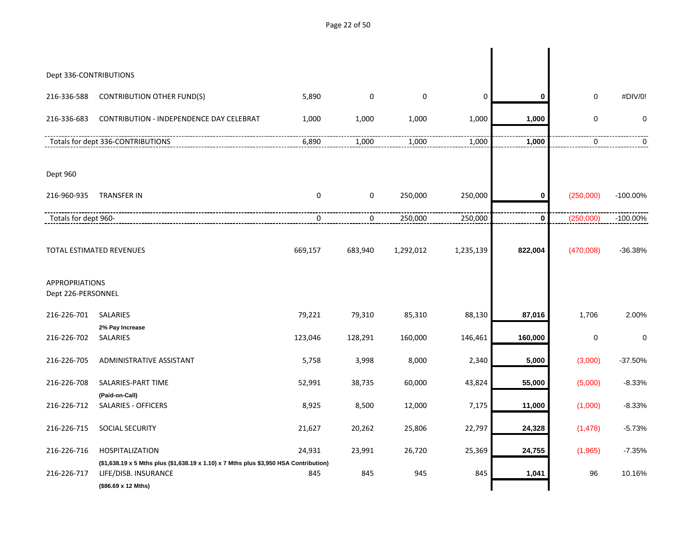Page 22 of 50

| Dept 336-CONTRIBUTIONS                      |                                                                                                                                      |             |             |             |             |             |             |             |
|---------------------------------------------|--------------------------------------------------------------------------------------------------------------------------------------|-------------|-------------|-------------|-------------|-------------|-------------|-------------|
| 216-336-588                                 | <b>CONTRIBUTION OTHER FUND(S)</b>                                                                                                    | 5,890       | 0           | $\mathbf 0$ | $\mathbf 0$ | 0           | $\mathbf 0$ | #DIV/0!     |
| 216-336-683                                 | CONTRIBUTION - INDEPENDENCE DAY CELEBRAT                                                                                             | 1,000       | 1,000       | 1,000       | 1,000       | 1,000       | $\mathbf 0$ | 0           |
|                                             | Totals for dept 336-CONTRIBUTIONS                                                                                                    | 6,890       | 1,000       | 1,000       | 1,000       | 1,000       | $\mathbf 0$ | $\Omega$    |
| Dept 960                                    |                                                                                                                                      |             |             |             |             |             |             |             |
| 216-960-935                                 | <b>TRANSFER IN</b>                                                                                                                   | $\mathbf 0$ | $\mathbf 0$ | 250,000     | 250,000     | $\mathbf 0$ | (250,000)   | $-100.00\%$ |
| Totals for dept 960-                        |                                                                                                                                      | 0           | 0           | 250,000     | 250,000     | $\bf{0}$    | (250,000)   | $-100.00\%$ |
|                                             | <b>TOTAL ESTIMATED REVENUES</b>                                                                                                      | 669,157     | 683,940     | 1,292,012   | 1,235,139   | 822,004     | (470,008)   | $-36.38%$   |
| <b>APPROPRIATIONS</b><br>Dept 226-PERSONNEL |                                                                                                                                      |             |             |             |             |             |             |             |
| 216-226-701                                 | <b>SALARIES</b>                                                                                                                      | 79,221      | 79,310      | 85,310      | 88,130      | 87,016      | 1,706       | 2.00%       |
| 216-226-702                                 | 2% Pay Increase<br><b>SALARIES</b>                                                                                                   | 123,046     | 128,291     | 160,000     | 146,461     | 160,000     | $\mathbf 0$ | $\mathbf 0$ |
| 216-226-705                                 | ADMINISTRATIVE ASSISTANT                                                                                                             | 5,758       | 3,998       | 8,000       | 2,340       | 5,000       | (3,000)     | $-37.50%$   |
| 216-226-708                                 | SALARIES-PART TIME                                                                                                                   | 52,991      | 38,735      | 60,000      | 43,824      | 55,000      | (5,000)     | $-8.33%$    |
| 216-226-712                                 | (Paid-on-Call)<br><b>SALARIES - OFFICERS</b>                                                                                         | 8,925       | 8,500       | 12,000      | 7,175       | 11,000      | (1,000)     | $-8.33%$    |
| 216-226-715                                 | <b>SOCIAL SECURITY</b>                                                                                                               | 21,627      | 20,262      | 25,806      | 22,797      | 24,328      | (1,478)     | $-5.73%$    |
| 216-226-716                                 | <b>HOSPITALIZATION</b>                                                                                                               | 24,931      | 23,991      | 26,720      | 25,369      | 24,755      | (1,965)     | $-7.35%$    |
| 216-226-717                                 | (\$1,638.19 x 5 Mths plus (\$1,638.19 x 1.10) x 7 Mths plus \$3,950 HSA Contribution)<br>LIFE/DISB. INSURANCE<br>(\$86.69 x 12 Mths) | 845         | 845         | 945         | 845         | 1,041       | 96          | 10.16%      |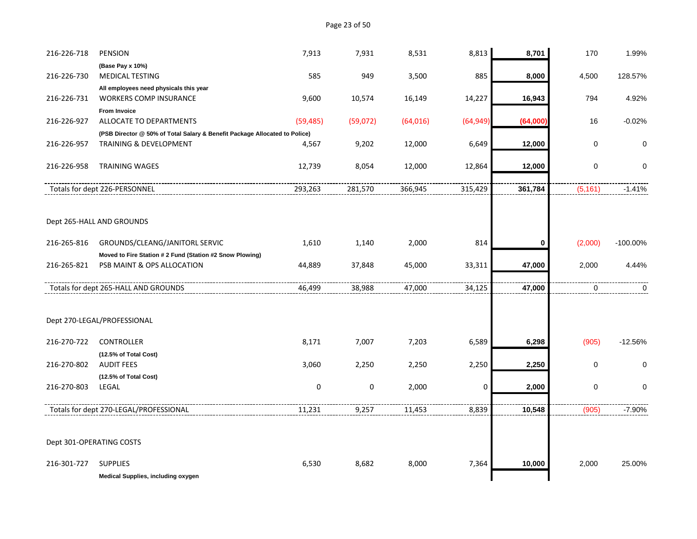| 216-226-718 | <b>PENSION</b>                                                                                                  | 7,913       | 7,931     | 8,531     | 8,813       | 8,701    | 170      | 1.99%       |
|-------------|-----------------------------------------------------------------------------------------------------------------|-------------|-----------|-----------|-------------|----------|----------|-------------|
| 216-226-730 | (Base Pay x 10%)<br><b>MEDICAL TESTING</b>                                                                      | 585         | 949       | 3,500     | 885         | 8,000    | 4,500    | 128.57%     |
|             |                                                                                                                 |             |           |           |             |          |          |             |
|             | All employees need physicals this year                                                                          |             |           |           |             |          |          |             |
| 216-226-731 | <b>WORKERS COMP INSURANCE</b>                                                                                   | 9,600       | 10,574    | 16,149    | 14,227      | 16,943   | 794      | 4.92%       |
| 216-226-927 | <b>From Invoice</b><br>ALLOCATE TO DEPARTMENTS                                                                  | (59, 485)   | (59,072)  |           | (64, 949)   | (64,000) | 16       | $-0.02%$    |
|             |                                                                                                                 |             |           | (64, 016) |             |          |          |             |
| 216-226-957 | (PSB Director @ 50% of Total Salary & Benefit Package Allocated to Police)<br><b>TRAINING &amp; DEVELOPMENT</b> | 4,567       | 9,202     | 12,000    | 6,649       | 12,000   | 0        | $\mathbf 0$ |
|             |                                                                                                                 |             |           |           |             |          |          |             |
| 216-226-958 | <b>TRAINING WAGES</b>                                                                                           | 12,739      | 8,054     | 12,000    | 12,864      | 12,000   | 0        | 0           |
|             |                                                                                                                 |             |           |           |             |          |          |             |
|             | Totals for dept 226-PERSONNEL                                                                                   | 293,263     | 281,570   | 366,945   | 315,429     | 361,784  | (5, 161) | $-1.41%$    |
|             |                                                                                                                 |             |           |           |             |          |          |             |
|             |                                                                                                                 |             |           |           |             |          |          |             |
|             | Dept 265-HALL AND GROUNDS                                                                                       |             |           |           |             |          |          |             |
| 216-265-816 | GROUNDS/CLEANG/JANITORL SERVIC                                                                                  | 1,610       | 1,140     | 2,000     | 814         | 0        | (2,000)  | $-100.00\%$ |
|             | Moved to Fire Station # 2 Fund (Station #2 Snow Plowing)                                                        |             |           |           |             |          |          |             |
| 216-265-821 | PSB MAINT & OPS ALLOCATION                                                                                      | 44,889      | 37,848    | 45,000    | 33,311      | 47,000   | 2,000    | 4.44%       |
|             |                                                                                                                 |             |           |           |             |          |          |             |
|             | Totals for dept 265-HALL AND GROUNDS                                                                            | 46,499      | 38,988    | 47,000    | 34,125      | 47,000   | 0        | 0           |
|             |                                                                                                                 |             |           |           |             |          |          |             |
|             |                                                                                                                 |             |           |           |             |          |          |             |
|             | Dept 270-LEGAL/PROFESSIONAL                                                                                     |             |           |           |             |          |          |             |
| 216-270-722 | <b>CONTROLLER</b>                                                                                               | 8,171       | 7,007     | 7,203     | 6,589       | 6,298    | (905)    | $-12.56%$   |
|             | (12.5% of Total Cost)                                                                                           |             |           |           |             |          |          |             |
| 216-270-802 | <b>AUDIT FEES</b>                                                                                               | 3,060       | 2,250     | 2,250     | 2,250       | 2,250    | 0        | 0           |
|             | (12.5% of Total Cost)                                                                                           |             |           |           |             |          |          |             |
| 216-270-803 | LEGAL                                                                                                           | $\mathbf 0$ | $\pmb{0}$ | 2,000     | $\mathbf 0$ | 2,000    | 0        | $\mathbf 0$ |
|             |                                                                                                                 |             |           |           |             |          |          |             |
|             | Totals for dept 270-LEGAL/PROFESSIONAL                                                                          | 11,231      | 9,257     | 11,453    | 8,839       | 10,548   | (905)    | $-7.90%$    |
|             |                                                                                                                 |             |           |           |             |          |          |             |
|             |                                                                                                                 |             |           |           |             |          |          |             |
|             | Dept 301-OPERATING COSTS                                                                                        |             |           |           |             |          |          |             |
| 216-301-727 | <b>SUPPLIES</b>                                                                                                 | 6,530       | 8,682     | 8,000     | 7,364       | 10,000   | 2,000    | 25.00%      |
|             | Medical Supplies, including oxygen                                                                              |             |           |           |             |          |          |             |
|             |                                                                                                                 |             |           |           |             |          |          |             |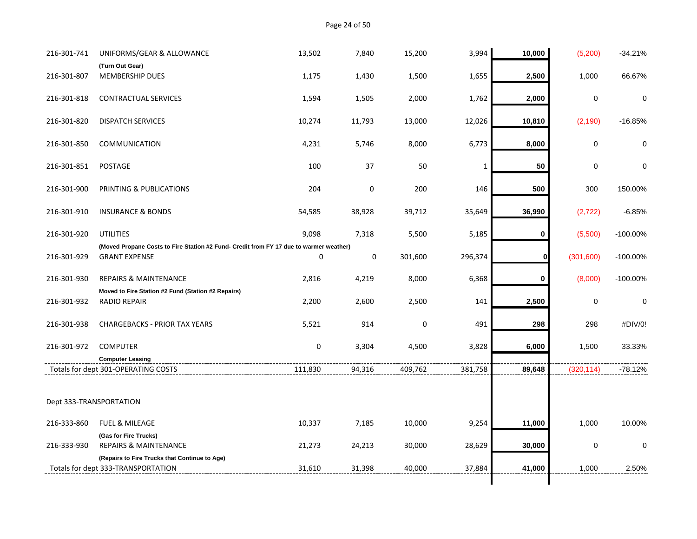Page 24 of 50

| 216-301-741             | UNIFORMS/GEAR & ALLOWANCE                                                                                  | 13,502  | 7,840       | 15,200  | 3,994        | 10,000      | (5,200)     | $-34.21%$   |
|-------------------------|------------------------------------------------------------------------------------------------------------|---------|-------------|---------|--------------|-------------|-------------|-------------|
| 216-301-807             | (Turn Out Gear)<br>MEMBERSHIP DUES                                                                         | 1,175   | 1,430       | 1,500   | 1,655        | 2,500       | 1,000       | 66.67%      |
|                         |                                                                                                            |         |             |         |              |             |             |             |
| 216-301-818             | <b>CONTRACTUAL SERVICES</b>                                                                                | 1,594   | 1,505       | 2,000   | 1,762        | 2,000       | 0           | 0           |
| 216-301-820             | <b>DISPATCH SERVICES</b>                                                                                   | 10,274  | 11,793      | 13,000  | 12,026       | 10,810      | (2, 190)    | $-16.85%$   |
| 216-301-850             | <b>COMMUNICATION</b>                                                                                       | 4,231   | 5,746       | 8,000   | 6,773        | 8,000       | 0           | $\Omega$    |
| 216-301-851             | POSTAGE                                                                                                    | 100     | 37          | 50      | $\mathbf{1}$ | 50          | $\mathbf 0$ | 0           |
| 216-301-900             | PRINTING & PUBLICATIONS                                                                                    | 204     | $\mathbf 0$ | 200     | 146          | 500         | 300         | 150.00%     |
| 216-301-910             | <b>INSURANCE &amp; BONDS</b>                                                                               | 54,585  | 38,928      | 39,712  | 35,649       | 36,990      | (2, 722)    | $-6.85%$    |
| 216-301-920             | <b>UTILITIES</b><br>(Moved Propane Costs to Fire Station #2 Fund- Credit from FY 17 due to warmer weather) | 9,098   | 7,318       | 5,500   | 5,185        | $\mathbf 0$ | (5,500)     | $-100.00\%$ |
| 216-301-929             | <b>GRANT EXPENSE</b>                                                                                       | 0       | 0           | 301,600 | 296,374      |             | (301,600)   | $-100.00\%$ |
| 216-301-930             | <b>REPAIRS &amp; MAINTENANCE</b>                                                                           | 2,816   | 4,219       | 8,000   | 6,368        | 0           | (8,000)     | $-100.00\%$ |
| 216-301-932             | Moved to Fire Station #2 Fund (Station #2 Repairs)<br><b>RADIO REPAIR</b>                                  | 2,200   | 2,600       | 2,500   | 141          | 2,500       | $\mathbf 0$ | 0           |
| 216-301-938             | <b>CHARGEBACKS - PRIOR TAX YEARS</b>                                                                       | 5,521   | 914         | 0       | 491          | 298         | 298         | #DIV/0!     |
| 216-301-972             | <b>COMPUTER</b>                                                                                            | 0       | 3,304       | 4,500   | 3,828        | 6,000       | 1,500       | 33.33%      |
|                         | <b>Computer Leasing</b>                                                                                    |         |             |         |              |             |             |             |
|                         | Totals for dept 301-OPERATING COSTS                                                                        | 111,830 | 94,316      | 409,762 | 381,758      | 89,648      | (320, 114)  | $-78.12%$   |
| Dept 333-TRANSPORTATION |                                                                                                            |         |             |         |              |             |             |             |
| 216-333-860             | <b>FUEL &amp; MILEAGE</b>                                                                                  | 10,337  | 7,185       | 10,000  | 9,254        | 11,000      | 1,000       | 10.00%      |
|                         | (Gas for Fire Trucks)                                                                                      |         |             |         |              |             |             |             |
| 216-333-930             | <b>REPAIRS &amp; MAINTENANCE</b>                                                                           | 21,273  | 24,213      | 30,000  | 28,629       | 30,000      | $\mathbf 0$ | 0           |
|                         | (Repairs to Fire Trucks that Continue to Age)                                                              |         |             |         |              |             |             |             |
|                         | Totals for dept 333-TRANSPORTATION                                                                         | 31,610  | 31,398      | 40,000  | 37,884       | 41,000      | 1,000       | 2.50%       |
|                         |                                                                                                            |         |             |         |              |             |             |             |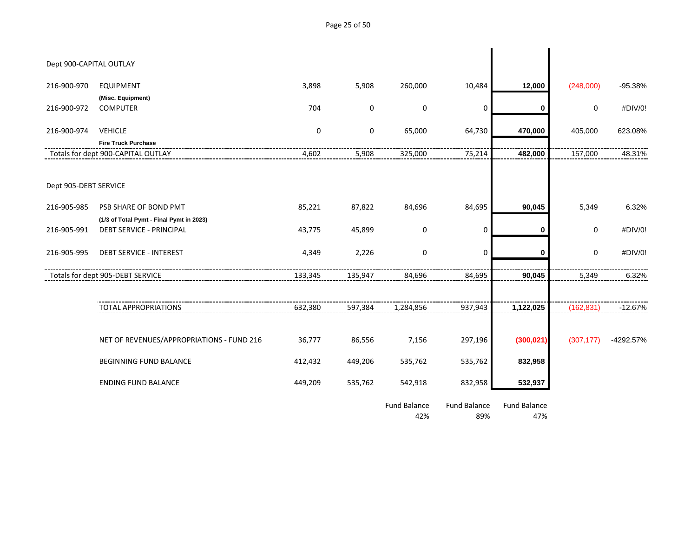Dept 900-CAPITAL OUTLAY 216-900-970 EQUIPMENT 3,898 5,908 260,000 10,484 **12,000** (248,000) -95.38% **(Misc. Equipment)** 216-900-972 COMPUTER 704 0 0 0 **0** 0 #DIV/0! 216-900-974 VEHICLE 0 0 65,000 64,730 **470,000** 405,000 623.08% **Fire Truck Purchase** Totals for dept 900-CAPITAL OUTLAY 4,602 5,908 325,000 75,214 **482,000** 157,000 48.31% Dept 905-DEBT SERVICE 216-905-985 PSB SHARE OF BOND PMT 85,221 87,822 84,696 84,695 **90,045** 5,349 6.32% **(1/3 of Total Pymt - Final Pymt in 2023)** 216-905-991 DEBT SERVICE - PRINCIPAL 43,775 45,899 0 0 **0** 0 #DIV/0! 216-905-995 DEBT SERVICE - INTEREST 4,349 2,226 0 0 **0** 0 #DIV/0! Totals for dept 905-DEBT SERVICE 133,345 133,345 135,947 135,947 84,696 84,695 **90,045** 5,349 6.32% TOTAL APPROPRIATIONS 632,380 597,384 1,284,856 937,943 **1,122,025** (162,831) -12.67% NET OF REVENUES/APPROPRIATIONS - FUND 216 36,777 86,556 7,156 297,196 **(300,021)** (307,177) -4292.57% BEGINNING FUND BALANCE 412,432 449,206 535,762 535,762 **832,958** ENDING FUND BALANCE 449,209 535,762 542,918 832,958 **532,937** Fund Balance Fund Balance Fund Balance

42% 89% 47%

Page 25 of 50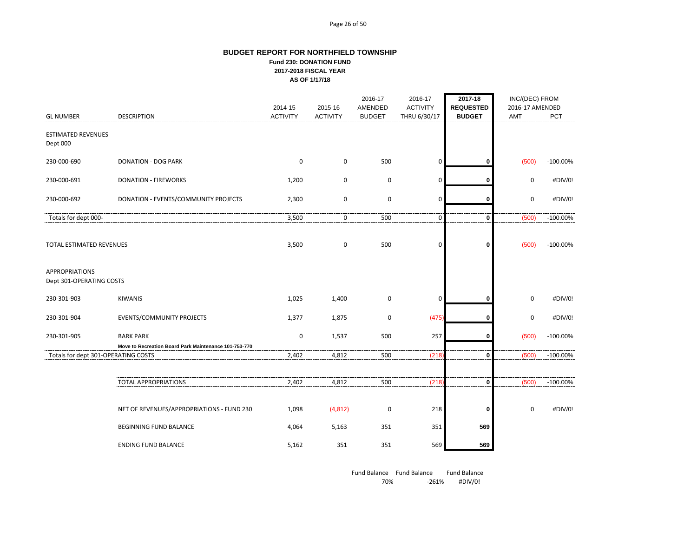#### Page 26 of 50

#### **BUDGET REPORT FOR NORTHFIELD TOWNSHIP Fund 230: DONATION FUND 2017-2018 FISCAL YEAR AS OF 1/17/18**

|                                                   |                                                                           | 2014-15         | 2015-16         | 2016-17<br>AMENDED | 2016-17<br><b>ACTIVITY</b> | 2017-18<br><b>REQUESTED</b> | INC/(DEC) FROM<br>2016-17 AMENDED |             |
|---------------------------------------------------|---------------------------------------------------------------------------|-----------------|-----------------|--------------------|----------------------------|-----------------------------|-----------------------------------|-------------|
| <b>GL NUMBER</b>                                  | <b>DESCRIPTION</b>                                                        | <b>ACTIVITY</b> | <b>ACTIVITY</b> | <b>BUDGET</b>      | THRU 6/30/17               | <b>BUDGET</b>               | AMT                               | PCT         |
| <b>ESTIMATED REVENUES</b><br>Dept 000             |                                                                           |                 |                 |                    |                            |                             |                                   |             |
| 230-000-690                                       | <b>DONATION - DOG PARK</b>                                                | 0               | 0               | 500                | 0                          | 0                           | (500)                             | $-100.00\%$ |
| 230-000-691                                       | <b>DONATION - FIREWORKS</b>                                               | 1,200           | $\pmb{0}$       | $\pmb{0}$          | $\mathbf 0$                | 0                           | $\mathbf 0$                       | #DIV/0!     |
| 230-000-692                                       | DONATION - EVENTS/COMMUNITY PROJECTS                                      | 2,300           | $\pmb{0}$       | 0                  | 0                          | 0                           | $\mathbf 0$                       | #DIV/0!     |
| Totals for dept 000-                              |                                                                           | 3,500           | 0               | 500                | $\pmb{0}$                  | 0                           | (500)                             | $-100.00\%$ |
| TOTAL ESTIMATED REVENUES                          |                                                                           | 3,500           | $\pmb{0}$       | 500                | $\mathbf 0$                | 0                           | (500)                             | $-100.00\%$ |
| <b>APPROPRIATIONS</b><br>Dept 301-OPERATING COSTS |                                                                           |                 |                 |                    |                            |                             |                                   |             |
| 230-301-903                                       | <b>KIWANIS</b>                                                            | 1,025           | 1,400           | $\pmb{0}$          | 0                          | 0                           | $\mathbf 0$                       | #DIV/0!     |
| 230-301-904                                       | EVENTS/COMMUNITY PROJECTS                                                 | 1,377           | 1,875           | $\pmb{0}$          | (475)                      | 0                           | $\pmb{0}$                         | #DIV/0!     |
| 230-301-905                                       | <b>BARK PARK</b><br>Move to Recreation Board Park Maintenance 101-753-770 | 0               | 1,537           | 500                | 257                        | 0                           | (500)                             | $-100.00\%$ |
| Totals for dept 301-OPERATING COSTS               |                                                                           | 2,402           | 4,812           | 500                | (218)                      | 0                           | (500)                             | $-100.00\%$ |
|                                                   | <b>TOTAL APPROPRIATIONS</b>                                               | 2,402           | 4,812           | 500                | (218)                      | 0                           | (500)                             | $-100.00\%$ |
|                                                   | NET OF REVENUES/APPROPRIATIONS - FUND 230                                 | 1,098           | (4, 812)        | $\pmb{0}$          | 218                        | 0                           | $\mathbf 0$                       | #DIV/0!     |
|                                                   | <b>BEGINNING FUND BALANCE</b>                                             | 4,064           | 5,163           | 351                | 351                        | 569                         |                                   |             |
|                                                   | <b>ENDING FUND BALANCE</b>                                                | 5,162           | 351             | 351                | 569                        | 569                         |                                   |             |

Fund Balance Fund Balance Fund Balance 70% -261% #DIV/0!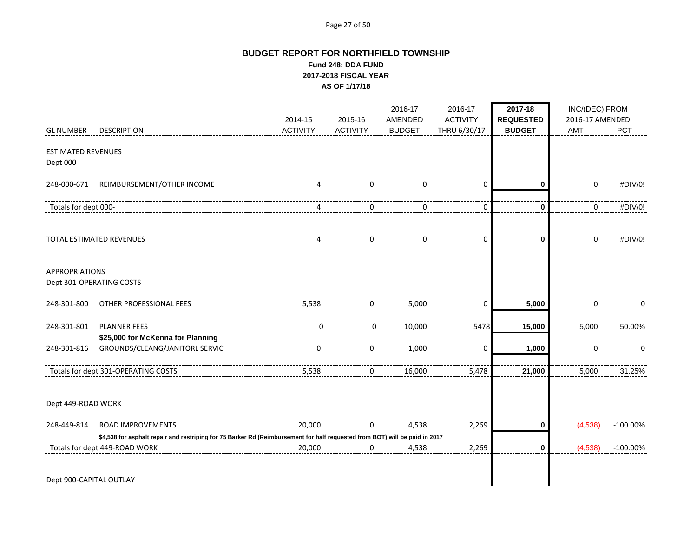#### Page 27 of 50

# **BUDGET REPORT FOR NORTHFIELD TOWNSHIP Fund 248: DDA FUND 2017-2018 FISCAL YEAR AS OF 1/17/18**

|                                       |                                                                                                                             | 2014-15         | 2015-16         | 2016-17<br>AMENDED | 2016-17<br><b>ACTIVITY</b> | 2017-18<br><b>REQUESTED</b> | INC/(DEC) FROM<br>2016-17 AMENDED |             |
|---------------------------------------|-----------------------------------------------------------------------------------------------------------------------------|-----------------|-----------------|--------------------|----------------------------|-----------------------------|-----------------------------------|-------------|
| <b>GL NUMBER</b>                      | <b>DESCRIPTION</b>                                                                                                          | <b>ACTIVITY</b> | <b>ACTIVITY</b> | <b>BUDGET</b>      | THRU 6/30/17               | <b>BUDGET</b>               | <b>AMT</b>                        | PCT         |
| <b>ESTIMATED REVENUES</b><br>Dept 000 |                                                                                                                             |                 |                 |                    |                            |                             |                                   |             |
| 248-000-671                           | REIMBURSEMENT/OTHER INCOME                                                                                                  | 4               | $\mathbf 0$     | 0                  | 0                          | 0                           | $\mathbf 0$                       | #DIV/0!     |
| Totals for dept 000-                  |                                                                                                                             | 4               | 0               | 0                  | $\mathbf 0$                | $\mathbf 0$                 | 0                                 | #DIV/0!     |
|                                       | TOTAL ESTIMATED REVENUES                                                                                                    | 4               | $\pmb{0}$       | $\pmb{0}$          | 0                          | $\mathbf 0$                 | $\pmb{0}$                         | #DIV/0!     |
| <b>APPROPRIATIONS</b>                 | Dept 301-OPERATING COSTS                                                                                                    |                 |                 |                    |                            |                             |                                   |             |
| 248-301-800                           | OTHER PROFESSIONAL FEES                                                                                                     | 5,538           | 0               | 5,000              | 0                          | 5,000                       | $\mathbf 0$                       | 0           |
| 248-301-801                           | <b>PLANNER FEES</b><br>\$25,000 for McKenna for Planning                                                                    | 0               | $\mathbf 0$     | 10,000             | 5478                       | 15,000                      | 5,000                             | 50.00%      |
| 248-301-816                           | GROUNDS/CLEANG/JANITORL SERVIC                                                                                              | $\pmb{0}$       | $\pmb{0}$       | 1,000              | 0                          | 1,000                       | $\pmb{0}$                         | $\mathbf 0$ |
|                                       | Totals for dept 301-OPERATING COSTS                                                                                         | 5,538           | 0               | 16,000             | 5,478                      | 21,000                      | 5,000                             | 31.25%      |
| Dept 449-ROAD WORK                    |                                                                                                                             |                 |                 |                    |                            |                             |                                   |             |
| 248-449-814                           | <b>ROAD IMPROVEMENTS</b>                                                                                                    | 20,000          | $\mathbf 0$     | 4,538              | 2,269                      | 0                           | (4,538)                           | $-100.00\%$ |
|                                       | \$4,538 for asphalt repair and restriping for 75 Barker Rd (Reimbursement for half requested from BOT) will be paid in 2017 |                 |                 |                    |                            |                             |                                   |             |
|                                       | Totals for dept 449-ROAD WORK                                                                                               | 20,000          | 0               | 4,538              | 2,269                      | 0                           | (4,538)                           | $-100.00\%$ |
| Dept 900-CAPITAL OUTLAY               |                                                                                                                             |                 |                 |                    |                            |                             |                                   |             |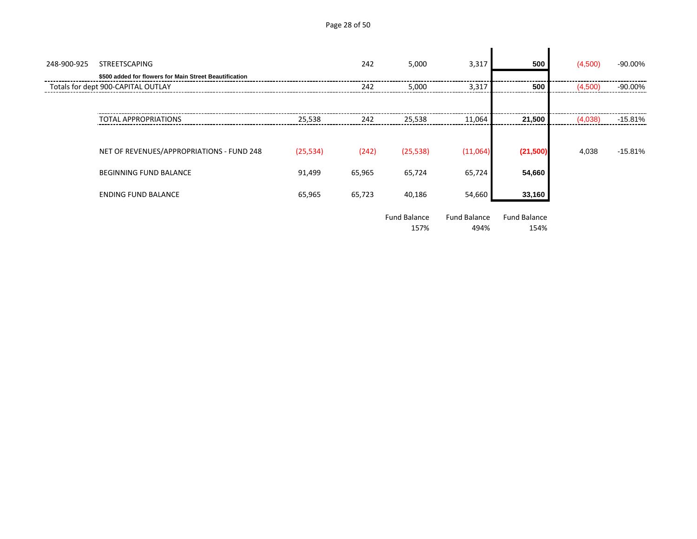Page 28 of 50

| 248-900-925 | <b>STREETSCAPING</b><br>\$500 added for flowers for Main Street Beautification |           | 242    | 5,000                       | 3,317                       | 500                         | (4,500) | $-90.00\%$ |
|-------------|--------------------------------------------------------------------------------|-----------|--------|-----------------------------|-----------------------------|-----------------------------|---------|------------|
|             | Totals for dept 900-CAPITAL OUTLAY                                             |           | 242    | 5,000                       | 3,317                       | 500                         | (4,500) | $-90.00\%$ |
|             | <b>TOTAL APPROPRIATIONS</b>                                                    | 25,538    | 242    | 25,538                      | 11,064                      | 21,500                      | (4,038) | -15.81%    |
|             | NET OF REVENUES/APPROPRIATIONS - FUND 248                                      | (25, 534) | (242)  | (25, 538)                   | (11,064)                    | (21,500)                    | 4,038   | $-15.81%$  |
|             | <b>BEGINNING FUND BALANCE</b>                                                  | 91,499    | 65,965 | 65,724                      | 65,724                      | 54,660                      |         |            |
|             | <b>ENDING FUND BALANCE</b>                                                     | 65,965    | 65,723 | 40,186                      | 54,660                      | 33,160                      |         |            |
|             |                                                                                |           |        | <b>Fund Balance</b><br>157% | <b>Fund Balance</b><br>494% | <b>Fund Balance</b><br>154% |         |            |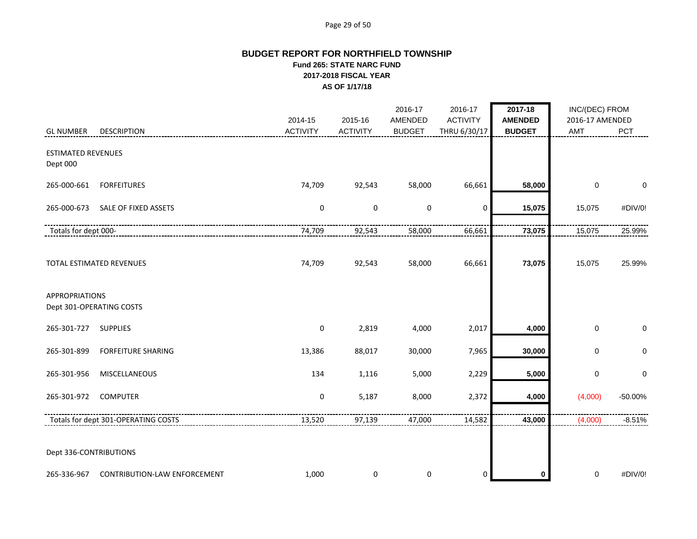#### Page 29 of 50

# **BUDGET REPORT FOR NORTHFIELD TOWNSHIP Fund 265: STATE NARC FUND 2017-2018 FISCAL YEAR AS OF 1/17/18**

|                                       |                                     | 2014-15         | 2015-16         | 2016-17<br>AMENDED | 2016-17<br><b>ACTIVITY</b> | 2017-18<br><b>AMENDED</b> | INC/(DEC) FROM<br>2016-17 AMENDED |             |
|---------------------------------------|-------------------------------------|-----------------|-----------------|--------------------|----------------------------|---------------------------|-----------------------------------|-------------|
| <b>GL NUMBER</b>                      | <b>DESCRIPTION</b>                  | <b>ACTIVITY</b> | <b>ACTIVITY</b> | <b>BUDGET</b>      | THRU 6/30/17               | <b>BUDGET</b>             | AMT                               | <b>PCT</b>  |
| <b>ESTIMATED REVENUES</b><br>Dept 000 |                                     |                 |                 |                    |                            |                           |                                   |             |
| 265-000-661                           | <b>FORFEITURES</b>                  | 74,709          | 92,543          | 58,000             | 66,661                     | 58,000                    | 0                                 | 0           |
| 265-000-673                           | SALE OF FIXED ASSETS                | $\pmb{0}$       | 0               | $\pmb{0}$          | 0                          | 15,075                    | 15,075                            | #DIV/0!     |
| Totals for dept 000-                  |                                     | 74,709          | 92,543          | 58,000             | 66,661                     | 73,075                    | 15,075                            | 25.99%      |
|                                       | TOTAL ESTIMATED REVENUES            | 74,709          | 92,543          | 58,000             | 66,661                     | 73,075                    | 15,075                            | 25.99%      |
| <b>APPROPRIATIONS</b>                 | Dept 301-OPERATING COSTS            |                 |                 |                    |                            |                           |                                   |             |
| 265-301-727                           | <b>SUPPLIES</b>                     | 0               | 2,819           | 4,000              | 2,017                      | 4,000                     | $\mathbf 0$                       | $\mathbf 0$ |
| 265-301-899                           | <b>FORFEITURE SHARING</b>           | 13,386          | 88,017          | 30,000             | 7,965                      | 30,000                    | 0                                 | $\pmb{0}$   |
| 265-301-956                           | MISCELLANEOUS                       | 134             | 1,116           | 5,000              | 2,229                      | 5,000                     | 0                                 | $\pmb{0}$   |
| 265-301-972                           | <b>COMPUTER</b>                     | $\pmb{0}$       | 5,187           | 8,000              | 2,372                      | 4,000                     | (4,000)                           | $-50.00%$   |
|                                       | Totals for dept 301-OPERATING COSTS | 13,520          | 97,139          | 47,000             | 14,582                     | 43,000                    | (4,000)                           | $-8.51%$    |
| Dept 336-CONTRIBUTIONS                |                                     |                 |                 |                    |                            |                           |                                   |             |
| 265-336-967                           | <b>CONTRIBUTION-LAW ENFORCEMENT</b> | 1,000           | 0               | 0                  | 0                          | 0                         | 0                                 | #DIV/0!     |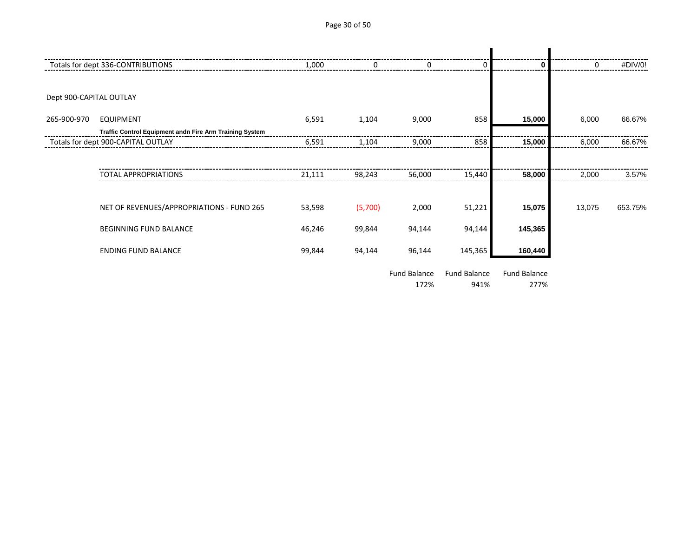Page 30 of 50

|                         | Totals for dept 336-CONTRIBUTIONS                       | 1,000  |         |                             | 0                    | 0                    | 0      | #DIV/0! |
|-------------------------|---------------------------------------------------------|--------|---------|-----------------------------|----------------------|----------------------|--------|---------|
|                         |                                                         |        |         |                             |                      |                      |        |         |
| Dept 900-CAPITAL OUTLAY |                                                         |        |         |                             |                      |                      |        |         |
| 265-900-970             | <b>EQUIPMENT</b>                                        | 6,591  | 1,104   | 9,000                       | 858                  | 15,000               | 6,000  | 66.67%  |
|                         | Traffic Control Equipment andn Fire Arm Training System |        |         |                             |                      |                      |        |         |
|                         | Totals for dept 900-CAPITAL OUTLAY                      | 6,591  | 1,104   | 9,000                       | 858                  | 15,000               | 6,000  | 66.67%  |
|                         |                                                         |        |         |                             |                      |                      |        |         |
|                         | <b>TOTAL APPROPRIATIONS</b>                             | 21,111 | 98,243  | 56,000                      | 15,440               | 58,000               | 2,000  | 3.57%   |
|                         |                                                         |        |         |                             |                      |                      |        |         |
|                         | NET OF REVENUES/APPROPRIATIONS - FUND 265               | 53,598 | (5,700) | 2,000                       | 51,221               | 15,075               | 13,075 | 653.75% |
|                         | BEGINNING FUND BALANCE                                  | 46,246 | 99,844  | 94,144                      | 94,144               | 145,365              |        |         |
|                         | <b>ENDING FUND BALANCE</b>                              | 99,844 | 94,144  | 96,144                      | 145,365              | 160,440              |        |         |
|                         |                                                         |        |         | <b>Fund Balance</b><br>172% | Fund Balance<br>941% | Fund Balance<br>277% |        |         |
|                         |                                                         |        |         |                             |                      |                      |        |         |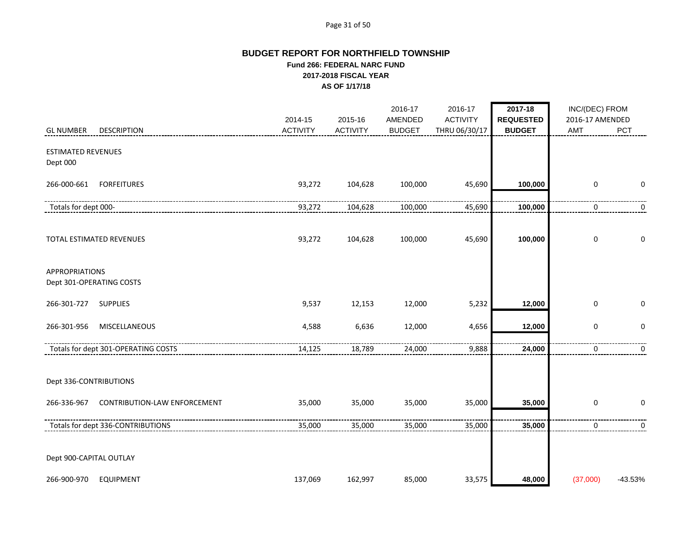#### Page 31 of 50

# **BUDGET REPORT FOR NORTHFIELD TOWNSHIP Fund 266: FEDERAL NARC FUND 2017-2018 FISCAL YEAR AS OF 1/17/18**

|                                                    |                            |                            | 2016-17                  | 2016-17                          | 2017-18                           | INC/(DEC) FROM         |            |
|----------------------------------------------------|----------------------------|----------------------------|--------------------------|----------------------------------|-----------------------------------|------------------------|------------|
| <b>DESCRIPTION</b><br><b>GL NUMBER</b>             | 2014-15<br><b>ACTIVITY</b> | 2015-16<br><b>ACTIVITY</b> | AMENDED<br><b>BUDGET</b> | <b>ACTIVITY</b><br>THRU 06/30/17 | <b>REQUESTED</b><br><b>BUDGET</b> | 2016-17 AMENDED<br>AMT | <b>PCT</b> |
| <b>ESTIMATED REVENUES</b><br>Dept 000              |                            |                            |                          |                                  |                                   |                        |            |
| 266-000-661<br><b>FORFEITURES</b>                  | 93,272                     | 104,628                    | 100,000                  | 45,690                           | 100,000                           | $\mathbf 0$            | 0          |
| Totals for dept 000-                               | 93,272                     | 104,628                    | 100,000                  | 45,690                           | 100,000                           | 0                      | 0          |
| TOTAL ESTIMATED REVENUES                           | 93,272                     | 104,628                    | 100,000                  | 45,690                           | 100,000                           | $\mathbf 0$            | 0          |
| <b>APPROPRIATIONS</b><br>Dept 301-OPERATING COSTS  |                            |                            |                          |                                  |                                   |                        |            |
| 266-301-727<br><b>SUPPLIES</b>                     | 9,537                      | 12,153                     | 12,000                   | 5,232                            | 12,000                            | $\pmb{0}$              | 0          |
| MISCELLANEOUS<br>266-301-956                       | 4,588                      | 6,636                      | 12,000                   | 4,656                            | 12,000                            | $\pmb{0}$              | $\pmb{0}$  |
| Totals for dept 301-OPERATING COSTS                | 14,125                     | 18,789                     | 24,000                   | 9,888                            | 24,000                            | 0                      | 0          |
| Dept 336-CONTRIBUTIONS                             |                            |                            |                          |                                  |                                   |                        |            |
| <b>CONTRIBUTION-LAW ENFORCEMENT</b><br>266-336-967 | 35,000                     | 35,000                     | 35,000                   | 35,000                           | 35,000                            | $\mathbf 0$            | 0          |
| Totals for dept 336-CONTRIBUTIONS                  | 35,000                     | 35,000                     | 35,000                   | 35,000                           | 35,000                            | 0                      | 0          |
| Dept 900-CAPITAL OUTLAY                            |                            |                            |                          |                                  |                                   |                        |            |
| 266-900-970<br><b>EQUIPMENT</b>                    | 137,069                    | 162,997                    | 85,000                   | 33,575                           | 48,000                            | (37,000)               | $-43.53%$  |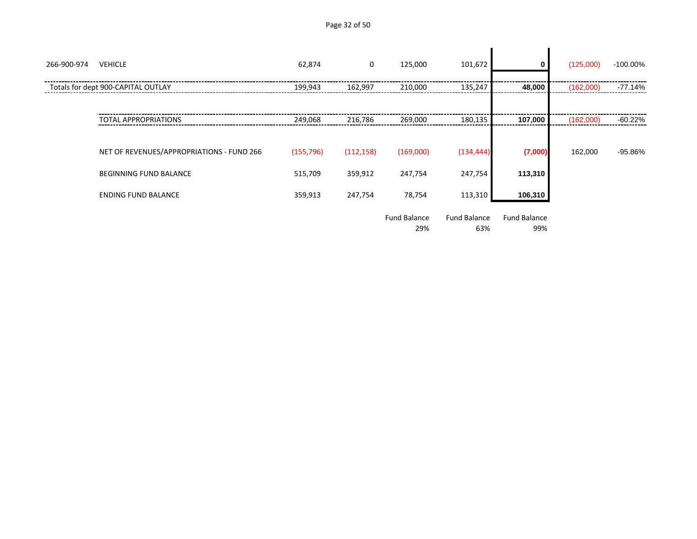| Page 32 of 50 |  |  |  |
|---------------|--|--|--|
|---------------|--|--|--|

| 266-900-974 | <b>VEHICLE</b>                            | 62,874     | 0          | 125,000                    | 101,672                    |                            | (125,000) | -100.00%  |
|-------------|-------------------------------------------|------------|------------|----------------------------|----------------------------|----------------------------|-----------|-----------|
|             | Totals for dept 900-CAPITAL OUTLAY        | 199,943    | 162,997    | 210,000                    | 135,247                    | 48,000                     | (162,000) | $-77.14%$ |
|             |                                           |            |            |                            |                            |                            |           |           |
|             | <b>TOTAL APPROPRIATIONS</b>               | 249,068    | 216,786    | 269,000                    | 180,135                    | 107,000                    | (162,000) | $-60.22%$ |
|             |                                           |            |            |                            |                            |                            |           |           |
|             | NET OF REVENUES/APPROPRIATIONS - FUND 266 | (155, 796) | (112, 158) | (169,000)                  | (134, 444)                 | (7,000)                    | 162,000   | -95.86%   |
|             | <b>BEGINNING FUND BALANCE</b>             | 515,709    | 359,912    | 247,754                    | 247,754                    | 113,310                    |           |           |
|             | <b>ENDING FUND BALANCE</b>                | 359,913    | 247,754    | 78,754                     | 113,310                    | 106,310                    |           |           |
|             |                                           |            |            | <b>Fund Balance</b><br>29% | <b>Fund Balance</b><br>63% | <b>Fund Balance</b><br>99% |           |           |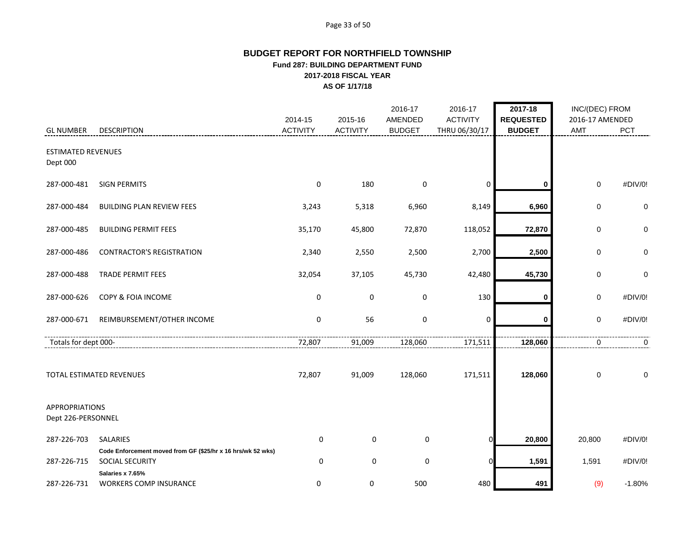#### Page 33 of 50

# **BUDGET REPORT FOR NORTHFIELD TOWNSHIP Fund 287: BUILDING DEPARTMENT FUND 2017-2018 FISCAL YEAR AS OF 1/17/18**

|                                             |                                                                                       | 2014-15         | 2015-16         | 2016-17<br>AMENDED | 2016-17<br><b>ACTIVITY</b> | 2017-18<br><b>REQUESTED</b> | INC/(DEC) FROM<br>2016-17 AMENDED |          |
|---------------------------------------------|---------------------------------------------------------------------------------------|-----------------|-----------------|--------------------|----------------------------|-----------------------------|-----------------------------------|----------|
| <b>GL NUMBER</b>                            | <b>DESCRIPTION</b>                                                                    | <b>ACTIVITY</b> | <b>ACTIVITY</b> | <b>BUDGET</b>      | THRU 06/30/17              | <b>BUDGET</b>               | <b>AMT</b>                        | PCT      |
| <b>ESTIMATED REVENUES</b><br>Dept 000       |                                                                                       |                 |                 |                    |                            |                             |                                   |          |
| 287-000-481                                 | <b>SIGN PERMITS</b>                                                                   | 0               | 180             | $\mathbf 0$        | 0                          | 0                           | $\pmb{0}$                         | #DIV/0!  |
| 287-000-484                                 | <b>BUILDING PLAN REVIEW FEES</b>                                                      | 3,243           | 5,318           | 6,960              | 8,149                      | 6,960                       | 0                                 | 0        |
| 287-000-485                                 | <b>BUILDING PERMIT FEES</b>                                                           | 35,170          | 45,800          | 72,870             | 118,052                    | 72,870                      | 0                                 | 0        |
| 287-000-486                                 | <b>CONTRACTOR'S REGISTRATION</b>                                                      | 2,340           | 2,550           | 2,500              | 2,700                      | 2,500                       | 0                                 | 0        |
| 287-000-488                                 | <b>TRADE PERMIT FEES</b>                                                              | 32,054          | 37,105          | 45,730             | 42,480                     | 45,730                      | 0                                 | 0        |
| 287-000-626                                 | COPY & FOIA INCOME                                                                    | 0               | 0               | 0                  | 130                        | 0                           | 0                                 | #DIV/0!  |
| 287-000-671                                 | REIMBURSEMENT/OTHER INCOME                                                            | $\mathbf 0$     | 56              | $\mathbf 0$        | $\mathbf{0}$               | 0                           | 0                                 | #DIV/0!  |
| Totals for dept 000-                        |                                                                                       | 72,807          | 91,009          | 128,060            | 171,511                    | 128,060                     | $\mathbf 0$                       | 0        |
|                                             | TOTAL ESTIMATED REVENUES                                                              | 72,807          | 91,009          | 128,060            | 171,511                    | 128,060                     | 0                                 | 0        |
| <b>APPROPRIATIONS</b><br>Dept 226-PERSONNEL |                                                                                       |                 |                 |                    |                            |                             |                                   |          |
| 287-226-703                                 | <b>SALARIES</b>                                                                       | 0               | $\mathbf 0$     | 0                  |                            | 20,800                      | 20,800                            | #DIV/0!  |
| 287-226-715                                 | Code Enforcement moved from GF (\$25/hr x 16 hrs/wk 52 wks)<br><b>SOCIAL SECURITY</b> | $\mathbf 0$     | $\mathbf 0$     | $\pmb{0}$          |                            | 1,591                       | 1,591                             | #DIV/0!  |
| 287-226-731                                 | Salaries x 7.65%<br><b>WORKERS COMP INSURANCE</b>                                     | 0               | 0               | 500                | 480                        | 491                         | (9)                               | $-1.80%$ |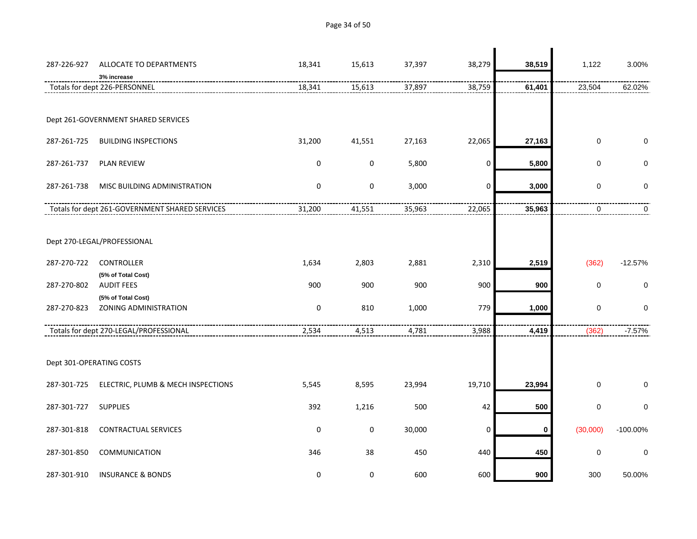287-226-927 ALLOCATE TO DEPARTMENTS 18,341 15,613 37,397 38,279 **38,519** 1,122 3.00% **3% increase** Totals for dept 226-PERSONNEL 18,341 15,613 37,897 38,759 **61,401** 23,504 62.02% Dept 261-GOVERNMENT SHARED SERVICES 287-261-725 BUILDING INSPECTIONS 31,200 41,551 27,163 22,065 **27,163** 0 0 287-261-737 PLAN REVIEW 0 0 5,800 0 **5,800** 0 0 287-261-738 MISC BUILDING ADMINISTRATION 0 0 3,000 0 **3,000** 0 0 Totals for dept 261-GOVERNMENT SHARED SERVICES 31,200 41,551 35,963 22,065 **35,963** 0 0 Dept 270-LEGAL/PROFESSIONAL 287-270-722 CONTROLLER 1,634 2,803 2,881 2,310 **2,519** (362) -12.57% **(5% of Total Cost)** 287-270-802 AUDIT FEES 900 900 900 900 **900** 0 0 **(5% of Total Cost)** 287-270-823 ZONING ADMINISTRATION 0 810 1,000 779 **1,000** 0 0 Totals for dept 270-LEGAL/PROFESSIONAL 2,534 4,513 4,781 3,988 **4,419** (362) -7.57% Dept 301-OPERATING COSTS 287-301-725 ELECTRIC, PLUMB & MECH INSPECTIONS 5,545 8,595 23,994 19,710 **23,994** 0 0 287-301-727 SUPPLIES 392 1,216 500 42 **500** 0 0 287-301-818 CONTRACTUAL SERVICES 0 0 30,000 0 **0** (30,000) -100.00% 287-301-850 COMMUNICATION 346 38 450 440 **450** 0 0

287-301-910 INSURANCE & BONDS 0 0 600 600 **900** 300 50.00%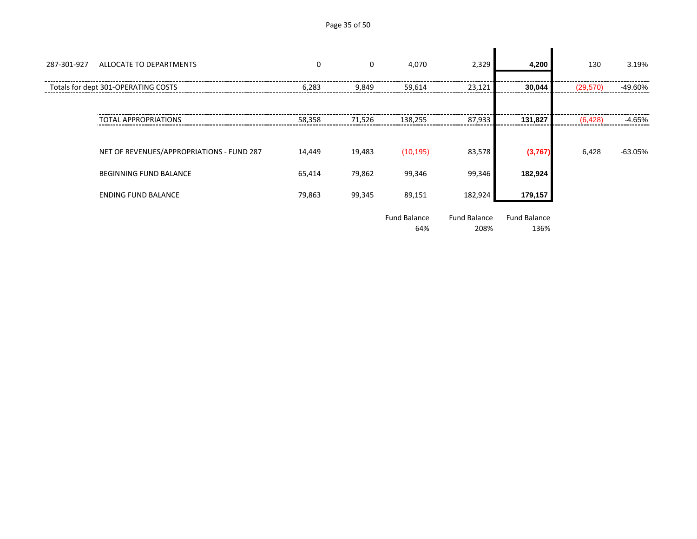| Page 35 of 50 |  |  |  |
|---------------|--|--|--|
|---------------|--|--|--|

| 287-301-927 | ALLOCATE TO DEPARTMENTS                   | $\mathbf 0$ | $\mathbf 0$ | 4,070                      | 2,329                       | 4,200                       | 130       | 3.19%     |
|-------------|-------------------------------------------|-------------|-------------|----------------------------|-----------------------------|-----------------------------|-----------|-----------|
|             | Totals for dept 301-OPERATING COSTS       | 6,283       | 9,849       | 59,614                     | 23,121                      | 30,044                      | (29, 570) | -49.60%   |
|             |                                           |             |             |                            |                             |                             |           |           |
|             | <b>TOTAL APPROPRIATIONS</b>               | 58,358      | 71,526      | 138,255                    | 87,933                      | 131,827                     | (6, 428)  | $-4.65%$  |
|             |                                           |             |             |                            |                             |                             |           |           |
|             | NET OF REVENUES/APPROPRIATIONS - FUND 287 | 14,449      | 19,483      | (10, 195)                  | 83,578                      | (3,767)                     | 6,428     | $-63.05%$ |
|             | <b>BEGINNING FUND BALANCE</b>             | 65,414      | 79,862      | 99,346                     | 99,346                      | 182,924                     |           |           |
|             | <b>ENDING FUND BALANCE</b>                | 79,863      | 99,345      | 89,151                     | 182,924                     | 179,157                     |           |           |
|             |                                           |             |             | <b>Fund Balance</b><br>64% | <b>Fund Balance</b><br>208% | <b>Fund Balance</b><br>136% |           |           |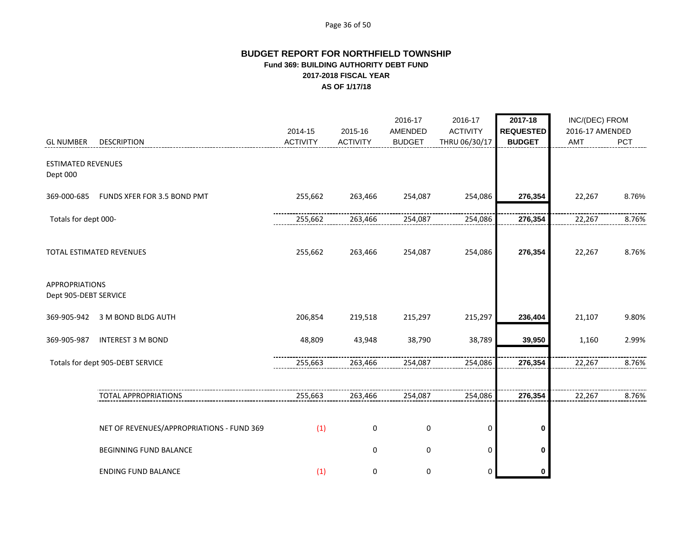#### Page 36 of 50

# **BUDGET REPORT FOR NORTHFIELD TOWNSHIP Fund 369: BUILDING AUTHORITY DEBT FUND 2017-2018 FISCAL YEAR AS OF 1/17/18**

|                                                |                                           | 2014-15         | 2015-16         | 2016-17<br>AMENDED | 2016-17<br><b>ACTIVITY</b> | 2017-18<br><b>REQUESTED</b> | INC/(DEC) FROM<br>2016-17 AMENDED |       |
|------------------------------------------------|-------------------------------------------|-----------------|-----------------|--------------------|----------------------------|-----------------------------|-----------------------------------|-------|
| <b>GL NUMBER</b>                               | <b>DESCRIPTION</b>                        | <b>ACTIVITY</b> | <b>ACTIVITY</b> | <b>BUDGET</b>      | THRU 06/30/17              | <b>BUDGET</b>               | AMT                               | PCT   |
| <b>ESTIMATED REVENUES</b><br>Dept 000          |                                           |                 |                 |                    |                            |                             |                                   |       |
| 369-000-685                                    | FUNDS XFER FOR 3.5 BOND PMT               | 255,662         | 263,466         | 254,087            | 254,086                    | 276,354                     | 22,267                            | 8.76% |
| Totals for dept 000-                           |                                           | 255,662         | 263,466         | 254,087            | 254,086                    | 276,354                     | 22,267                            | 8.76% |
|                                                | TOTAL ESTIMATED REVENUES                  | 255,662         | 263,466         | 254,087            | 254,086                    | 276,354                     | 22,267                            | 8.76% |
| <b>APPROPRIATIONS</b><br>Dept 905-DEBT SERVICE |                                           |                 |                 |                    |                            |                             |                                   |       |
| 369-905-942                                    | 3 M BOND BLDG AUTH                        | 206,854         | 219,518         | 215,297            | 215,297                    | 236,404                     | 21,107                            | 9.80% |
| 369-905-987                                    | <b>INTEREST 3 M BOND</b>                  | 48,809          | 43,948          | 38,790             | 38,789                     | 39,950                      | 1,160                             | 2.99% |
|                                                | Totals for dept 905-DEBT SERVICE          | 255,663         | 263,466         | 254,087            | 254,086                    | 276,354                     | 22,267                            | 8.76% |
|                                                | TOTAL APPROPRIATIONS                      | 255,663         | 263,466         | 254,087            | 254,086                    | 276,354                     | 22,267                            | 8.76% |
|                                                | NET OF REVENUES/APPROPRIATIONS - FUND 369 | (1)             | 0               | 0                  | 0                          | 0                           |                                   |       |
|                                                | <b>BEGINNING FUND BALANCE</b>             |                 | $\mathbf 0$     | 0                  | 0                          | $\mathbf 0$                 |                                   |       |
|                                                | <b>ENDING FUND BALANCE</b>                | (1)             | 0               | 0                  | 0                          | 0                           |                                   |       |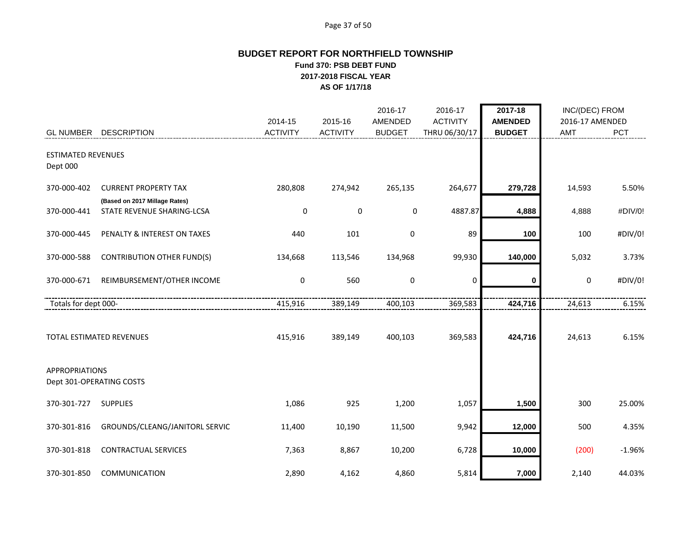#### Page 37 of 50

# **BUDGET REPORT FOR NORTHFIELD TOWNSHIP Fund 370: PSB DEBT FUND 2017-2018 FISCAL YEAR AS OF 1/17/18**

|                                                   |                                   | 2014-15         | 2015-16         | 2016-17<br>AMENDED | 2016-17<br><b>ACTIVITY</b> | 2017-18<br><b>AMENDED</b> | INC/(DEC) FROM<br>2016-17 AMENDED |          |
|---------------------------------------------------|-----------------------------------|-----------------|-----------------|--------------------|----------------------------|---------------------------|-----------------------------------|----------|
| <b>GL NUMBER</b>                                  | <b>DESCRIPTION</b>                | <b>ACTIVITY</b> | <b>ACTIVITY</b> | <b>BUDGET</b>      | THRU 06/30/17              | <b>BUDGET</b>             | AMT                               | PCT      |
| <b>ESTIMATED REVENUES</b><br>Dept 000             |                                   |                 |                 |                    |                            |                           |                                   |          |
| 370-000-402                                       | <b>CURRENT PROPERTY TAX</b>       | 280,808         | 274,942         | 265,135            | 264,677                    | 279,728                   | 14,593                            | 5.50%    |
|                                                   | (Based on 2017 Millage Rates)     |                 |                 |                    |                            |                           |                                   |          |
| 370-000-441                                       | STATE REVENUE SHARING-LCSA        | 0               | 0               | 0                  | 4887.87                    | 4,888                     | 4,888                             | #DIV/0!  |
| 370-000-445                                       | PENALTY & INTEREST ON TAXES       | 440             | 101             | 0                  | 89                         | 100                       | 100                               | #DIV/0!  |
| 370-000-588                                       | <b>CONTRIBUTION OTHER FUND(S)</b> | 134,668         | 113,546         | 134,968            | 99,930                     | 140,000                   | 5,032                             | 3.73%    |
| 370-000-671                                       | REIMBURSEMENT/OTHER INCOME        | 0               | 560             | $\pmb{0}$          | $\mathbf 0$                | 0                         | $\boldsymbol{0}$                  | #DIV/0!  |
| Totals for dept 000-                              |                                   | 415,916         | 389,149         | 400,103            | 369,583                    | 424,716                   | 24,613                            | 6.15%    |
|                                                   | TOTAL ESTIMATED REVENUES          | 415,916         | 389,149         | 400,103            | 369,583                    | 424,716                   | 24,613                            | 6.15%    |
| <b>APPROPRIATIONS</b><br>Dept 301-OPERATING COSTS |                                   |                 |                 |                    |                            |                           |                                   |          |
| 370-301-727                                       | <b>SUPPLIES</b>                   | 1,086           | 925             | 1,200              | 1,057                      | 1,500                     | 300                               | 25.00%   |
| 370-301-816                                       | GROUNDS/CLEANG/JANITORL SERVIC    | 11,400          | 10,190          | 11,500             | 9,942                      | 12,000                    | 500                               | 4.35%    |
| 370-301-818                                       | <b>CONTRACTUAL SERVICES</b>       | 7,363           | 8,867           | 10,200             | 6,728                      | 10,000                    | (200)                             | $-1.96%$ |
| 370-301-850                                       | <b>COMMUNICATION</b>              | 2,890           | 4,162           | 4,860              | 5,814                      | 7,000                     | 2,140                             | 44.03%   |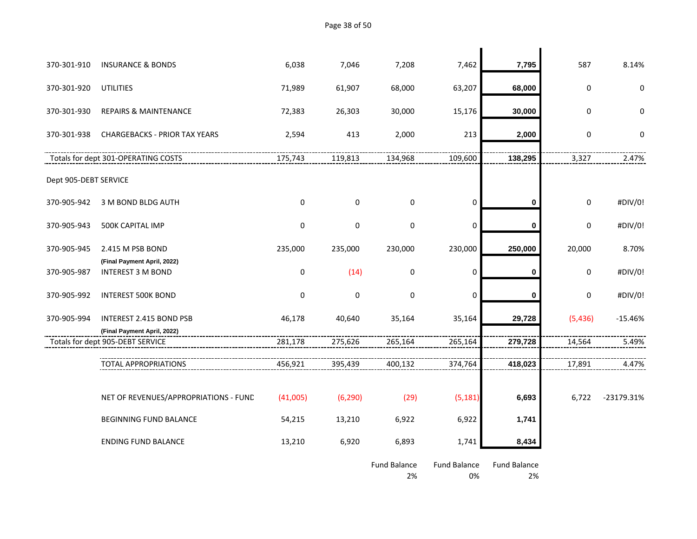Page 38 of 50

| 370-301-910           | <b>INSURANCE &amp; BONDS</b>                            | 6,038       | 7,046       | 7,208                     | 7,462                     | 7,795                     | 587         | 8.14%      |
|-----------------------|---------------------------------------------------------|-------------|-------------|---------------------------|---------------------------|---------------------------|-------------|------------|
| 370-301-920           | <b>UTILITIES</b>                                        | 71,989      | 61,907      | 68,000                    | 63,207                    | 68,000                    | $\pmb{0}$   | 0          |
| 370-301-930           | <b>REPAIRS &amp; MAINTENANCE</b>                        | 72,383      | 26,303      | 30,000                    | 15,176                    | 30,000                    | $\pmb{0}$   | 0          |
| 370-301-938           | <b>CHARGEBACKS - PRIOR TAX YEARS</b>                    | 2,594       | 413         | 2,000                     | 213                       | 2,000                     | $\pmb{0}$   | 0          |
|                       | Totals for dept 301-OPERATING COSTS                     | 175,743     | 119,813     | 134,968                   | 109,600                   | 138,295                   | 3,327       | 2.47%      |
| Dept 905-DEBT SERVICE |                                                         |             |             |                           |                           |                           |             |            |
| 370-905-942           | 3 M BOND BLDG AUTH                                      | $\mathbf 0$ | $\Omega$    | 0                         | 0                         | 0                         | $\mathbf 0$ | #DIV/0!    |
| 370-905-943           | 500K CAPITAL IMP                                        | $\mathbf 0$ | $\mathbf 0$ | $\mathbf 0$               | $\pmb{0}$                 | 0                         | $\mathbf 0$ | #DIV/0!    |
| 370-905-945           | 2.415 M PSB BOND                                        | 235,000     | 235,000     | 230,000                   | 230,000                   | 250,000                   | 20,000      | 8.70%      |
| 370-905-987           | (Final Payment April, 2022)<br><b>INTEREST 3 M BOND</b> | $\mathbf 0$ | (14)        | $\mathbf 0$               | $\pmb{0}$                 | 0                         | $\pmb{0}$   | #DIV/0!    |
| 370-905-992           | <b>INTEREST 500K BOND</b>                               | 0           | $\mathbf 0$ | $\mathbf 0$               | 0                         | $\bf{0}$                  | $\pmb{0}$   | #DIV/0!    |
| 370-905-994           | INTEREST 2.415 BOND PSB                                 | 46,178      | 40,640      | 35,164                    | 35,164                    | 29,728                    | (5,436)     | $-15.46%$  |
|                       | (Final Payment April, 2022)                             |             |             |                           |                           |                           |             |            |
|                       | Totals for dept 905-DEBT SERVICE                        | 281,178     | 275,626     | 265,164                   | 265,164                   | 279,728                   | 14,564      | 5.49%      |
|                       | <b>TOTAL APPROPRIATIONS</b>                             | 456,921     | 395,439     | 400,132                   | 374,764                   | 418,023                   | 17,891      | 4.47%      |
|                       |                                                         |             |             |                           |                           |                           |             |            |
|                       | NET OF REVENUES/APPROPRIATIONS - FUND                   | (41,005)    | (6, 290)    | (29)                      | (5, 181)                  | 6,693                     | 6,722       | -23179.31% |
|                       | BEGINNING FUND BALANCE                                  | 54,215      | 13,210      | 6,922                     | 6,922                     | 1,741                     |             |            |
|                       | <b>ENDING FUND BALANCE</b>                              | 13,210      | 6,920       | 6,893                     | 1,741                     | 8,434                     |             |            |
|                       |                                                         |             |             | <b>Fund Balance</b><br>2% | <b>Fund Balance</b><br>0% | <b>Fund Balance</b><br>2% |             |            |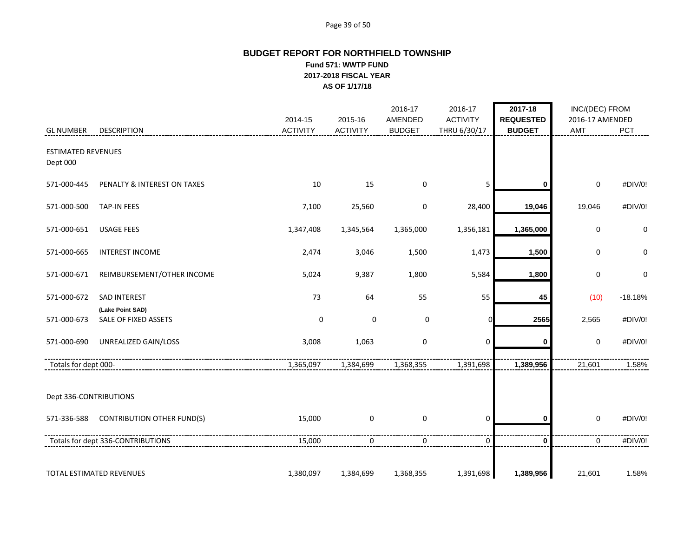#### Page 39 of 50

# **BUDGET REPORT FOR NORTHFIELD TOWNSHIP Fund 571: WWTP FUND 2017-2018 FISCAL YEAR AS OF 1/17/18**

|                                       |                                         | 2014-15         | 2015-16         | 2016-17<br>AMENDED | 2016-17<br><b>ACTIVITY</b> | 2017-18<br><b>REQUESTED</b> | INC/(DEC) FROM<br>2016-17 AMENDED |             |
|---------------------------------------|-----------------------------------------|-----------------|-----------------|--------------------|----------------------------|-----------------------------|-----------------------------------|-------------|
| <b>GL NUMBER</b>                      | <b>DESCRIPTION</b>                      | <b>ACTIVITY</b> | <b>ACTIVITY</b> | <b>BUDGET</b>      | THRU 6/30/17               | <b>BUDGET</b>               | AMT                               | PCT         |
| <b>ESTIMATED REVENUES</b><br>Dept 000 |                                         |                 |                 |                    |                            |                             |                                   |             |
| 571-000-445                           | PENALTY & INTEREST ON TAXES             | 10              | 15              | 0                  | 5                          | 0                           | $\mathbf 0$                       | #DIV/0!     |
| 571-000-500                           | <b>TAP-IN FEES</b>                      | 7,100           | 25,560          | 0                  | 28,400                     | 19,046                      | 19,046                            | #DIV/0!     |
| 571-000-651                           | <b>USAGE FEES</b>                       | 1,347,408       | 1,345,564       | 1,365,000          | 1,356,181                  | 1,365,000                   | $\pmb{0}$                         | 0           |
| 571-000-665                           | <b>INTEREST INCOME</b>                  | 2,474           | 3,046           | 1,500              | 1,473                      | 1,500                       | $\mathbf 0$                       | $\mathbf 0$ |
| 571-000-671                           | REIMBURSEMENT/OTHER INCOME              | 5,024           | 9,387           | 1,800              | 5,584                      | 1,800                       | $\pmb{0}$                         | 0           |
| 571-000-672                           | <b>SAD INTEREST</b><br>(Lake Point SAD) | 73              | 64              | 55                 | 55                         | 45                          | (10)                              | $-18.18%$   |
| 571-000-673                           | SALE OF FIXED ASSETS                    | $\pmb{0}$       | $\pmb{0}$       | $\mathbf 0$        |                            | 2565                        | 2,565                             | #DIV/0!     |
| 571-000-690                           | UNREALIZED GAIN/LOSS                    | 3,008           | 1,063           | $\mathbf 0$        | $\mathbf 0$                | 0                           | $\mathbf 0$                       | #DIV/0!     |
| Totals for dept 000-                  |                                         | 1,365,097       | 1,384,699       | 1,368,355          | 1,391,698                  | 1,389,956                   | 21,601                            | 1.58%       |
| Dept 336-CONTRIBUTIONS                |                                         |                 |                 |                    |                            |                             |                                   |             |
| 571-336-588                           | <b>CONTRIBUTION OTHER FUND(S)</b>       | 15,000          | $\mathbf 0$     | $\mathbf 0$        | $\mathbf 0$                | 0                           | $\mathbf 0$                       | #DIV/0!     |
|                                       | Totals for dept 336-CONTRIBUTIONS       | 15,000          | 0               | 0                  | $\mathbf 0$                | $\mathbf 0$                 | 0                                 | #DIV/0!     |
|                                       | TOTAL ESTIMATED REVENUES                | 1,380,097       | 1,384,699       | 1,368,355          | 1,391,698                  | 1,389,956                   | 21,601                            | 1.58%       |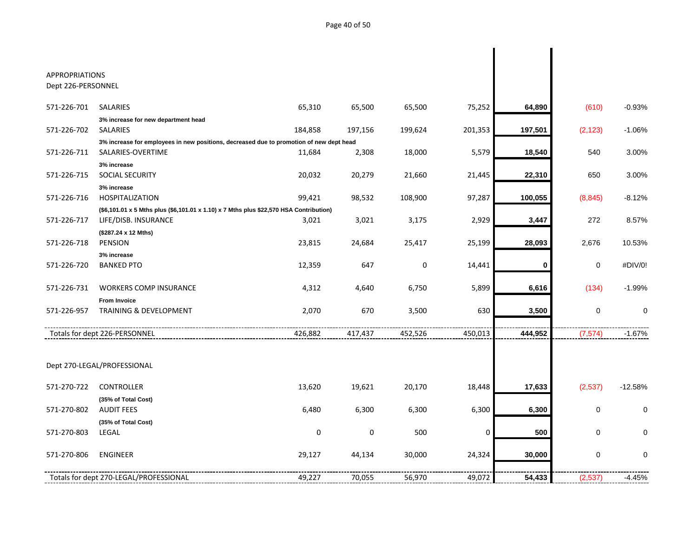| <b>APPROPRIATIONS</b> |                                                                                         |         |             |         |             |         |             |           |
|-----------------------|-----------------------------------------------------------------------------------------|---------|-------------|---------|-------------|---------|-------------|-----------|
| Dept 226-PERSONNEL    |                                                                                         |         |             |         |             |         |             |           |
| 571-226-701           | SALARIES                                                                                | 65,310  | 65,500      | 65,500  | 75,252      | 64,890  | (610)       | $-0.93%$  |
|                       | 3% increase for new department head                                                     |         |             |         |             |         |             |           |
| 571-226-702           | SALARIES                                                                                | 184,858 | 197,156     | 199,624 | 201,353     | 197,501 | (2, 123)    | $-1.06%$  |
|                       | 3% increase for employees in new positions, decreased due to promotion of new dept head |         |             |         |             |         |             |           |
| 571-226-711           | SALARIES-OVERTIME                                                                       | 11,684  | 2,308       | 18,000  | 5,579       | 18,540  | 540         | 3.00%     |
|                       | 3% increase                                                                             |         |             |         |             |         |             |           |
| 571-226-715           | <b>SOCIAL SECURITY</b>                                                                  | 20,032  | 20,279      | 21,660  | 21,445      | 22,310  | 650         | 3.00%     |
|                       | 3% increase                                                                             |         |             |         |             |         |             |           |
| 571-226-716           | <b>HOSPITALIZATION</b>                                                                  | 99,421  | 98,532      | 108,900 | 97,287      | 100,055 | (8, 845)    | $-8.12%$  |
|                       | (\$6,101.01 x 5 Mths plus (\$6,101.01 x 1.10) x 7 Mths plus \$22,570 HSA Contribution)  |         |             |         |             |         |             |           |
| 571-226-717           | LIFE/DISB. INSURANCE                                                                    | 3,021   | 3,021       | 3,175   | 2,929       | 3,447   | 272         | 8.57%     |
|                       | (\$287.24 x 12 Mths)                                                                    |         |             |         |             |         |             |           |
| 571-226-718           | PENSION                                                                                 | 23,815  | 24,684      | 25,417  | 25,199      | 28,093  | 2,676       | 10.53%    |
|                       | 3% increase                                                                             |         |             |         |             |         |             |           |
| 571-226-720           | <b>BANKED PTO</b>                                                                       | 12,359  | 647         | 0       | 14,441      | 0       | 0           | #DIV/0!   |
| 571-226-731           | <b>WORKERS COMP INSURANCE</b>                                                           | 4,312   | 4,640       | 6,750   | 5,899       | 6,616   | (134)       | $-1.99%$  |
|                       | <b>From Invoice</b>                                                                     |         |             |         |             |         |             |           |
| 571-226-957           | <b>TRAINING &amp; DEVELOPMENT</b>                                                       | 2,070   | 670         | 3,500   | 630         | 3,500   | 0           | 0         |
|                       | Totals for dept 226-PERSONNEL                                                           | 426,882 | 417,437     | 452,526 | 450,013     | 444,952 | (7, 574)    | $-1.67%$  |
|                       |                                                                                         |         |             |         |             |         |             |           |
|                       | Dept 270-LEGAL/PROFESSIONAL                                                             |         |             |         |             |         |             |           |
| 571-270-722           | <b>CONTROLLER</b>                                                                       | 13,620  | 19,621      | 20,170  | 18,448      | 17,633  | (2,537)     | $-12.58%$ |
|                       | (35% of Total Cost)                                                                     |         |             |         |             |         |             |           |
| 571-270-802           | <b>AUDIT FEES</b>                                                                       | 6,480   | 6,300       | 6,300   | 6,300       | 6,300   | $\mathbf 0$ | 0         |
|                       | (35% of Total Cost)                                                                     |         |             |         |             |         |             |           |
| 571-270-803           | LEGAL                                                                                   | 0       | $\mathbf 0$ | 500     | $\mathbf 0$ | 500     | $\mathbf 0$ | 0         |
| 571-270-806           | <b>ENGINEER</b>                                                                         | 29,127  | 44,134      | 30,000  | 24,324      | 30,000  | 0           | $\Omega$  |
|                       | Totals for dept 270-LEGAL/PROFESSIONAL                                                  | 49,227  | 70,055      | 56,970  | 49,072      | 54,433  | (2,537)     | $-4.45%$  |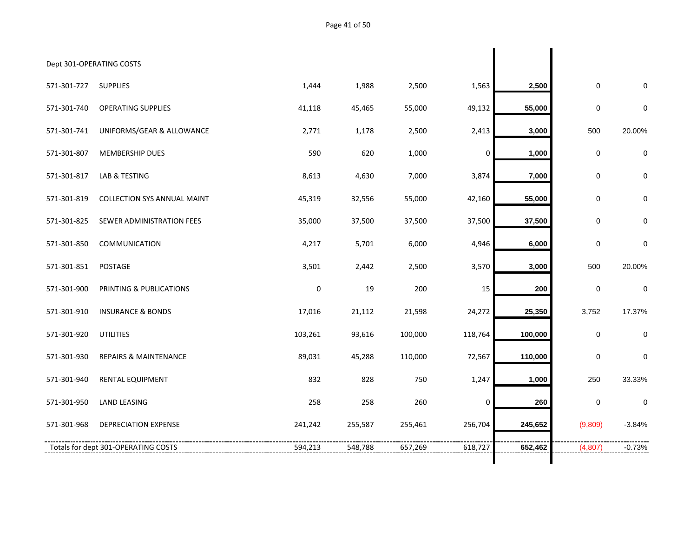| Dept 301-OPERATING COSTS |                                     |             |         |         |             |         |             |             |
|--------------------------|-------------------------------------|-------------|---------|---------|-------------|---------|-------------|-------------|
| 571-301-727              | <b>SUPPLIES</b>                     | 1,444       | 1,988   | 2,500   | 1,563       | 2,500   | $\pmb{0}$   | $\Omega$    |
| 571-301-740              | <b>OPERATING SUPPLIES</b>           | 41,118      | 45,465  | 55,000  | 49,132      | 55,000  | $\pmb{0}$   | $\mathbf 0$ |
| 571-301-741              | UNIFORMS/GEAR & ALLOWANCE           | 2,771       | 1,178   | 2,500   | 2,413       | 3,000   | 500         | 20.00%      |
| 571-301-807              | MEMBERSHIP DUES                     | 590         | 620     | 1,000   | 0           | 1,000   | 0           | $\mathbf 0$ |
| 571-301-817              | LAB & TESTING                       | 8,613       | 4,630   | 7,000   | 3,874       | 7,000   | 0           | 0           |
| 571-301-819              | <b>COLLECTION SYS ANNUAL MAINT</b>  | 45,319      | 32,556  | 55,000  | 42,160      | 55,000  | $\mathbf 0$ | $\mathbf 0$ |
| 571-301-825              | SEWER ADMINISTRATION FEES           | 35,000      | 37,500  | 37,500  | 37,500      | 37,500  | $\mathbf 0$ | $\mathbf 0$ |
| 571-301-850              | COMMUNICATION                       | 4,217       | 5,701   | 6,000   | 4,946       | 6,000   | $\mathbf 0$ | $\mathbf 0$ |
| 571-301-851              | POSTAGE                             | 3,501       | 2,442   | 2,500   | 3,570       | 3,000   | 500         | 20.00%      |
| 571-301-900              | PRINTING & PUBLICATIONS             | $\mathbf 0$ | 19      | 200     | 15          | 200     | 0           | $\mathbf 0$ |
| 571-301-910              | <b>INSURANCE &amp; BONDS</b>        | 17,016      | 21,112  | 21,598  | 24,272      | 25,350  | 3,752       | 17.37%      |
| 571-301-920              | <b>UTILITIES</b>                    | 103,261     | 93,616  | 100,000 | 118,764     | 100,000 | 0           | 0           |
| 571-301-930              | <b>REPAIRS &amp; MAINTENANCE</b>    | 89,031      | 45,288  | 110,000 | 72,567      | 110,000 | 0           | 0           |
| 571-301-940              | RENTAL EQUIPMENT                    | 832         | 828     | 750     | 1,247       | 1,000   | 250         | 33.33%      |
| 571-301-950              | <b>LAND LEASING</b>                 | 258         | 258     | 260     | $\mathbf 0$ | 260     | 0           | $\mathbf 0$ |
| 571-301-968              | <b>DEPRECIATION EXPENSE</b>         | 241,242     | 255,587 | 255,461 | 256,704     | 245,652 | (9,809)     | $-3.84%$    |
|                          | Totals for dept 301-OPERATING COSTS | 594,213     | 548,788 | 657,269 | 618,727     | 652,462 | (4,807)     | $-0.73%$    |
|                          |                                     |             |         |         |             |         |             |             |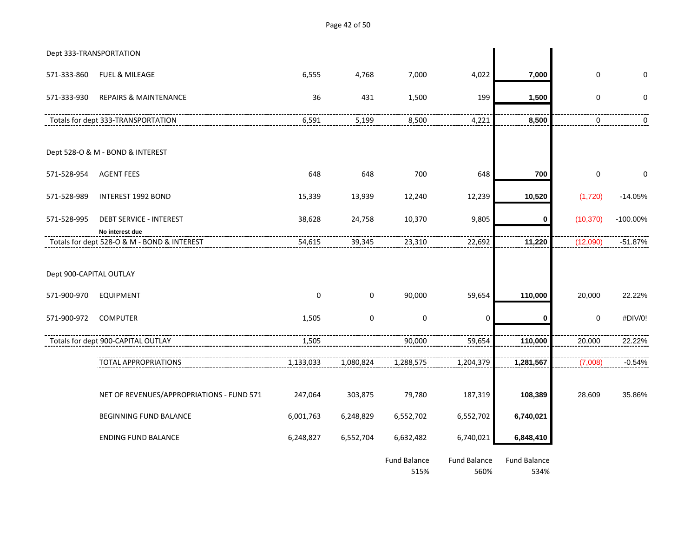Dept 333-TRANSPORTATION 571-333-860 FUEL & MILEAGE 6,555 4,768 7,000 4,022 **7,000** 0 0 571-333-930 REPAIRS & MAINTENANCE 36 431 1,500 199 **1,500** 0 0 Totals for dept 333-TRANSPORTATION 6,591 5,199 8,500 4,221 **8,500** 0 0 Dept 528-O & M - BOND & INTEREST 571-528-954 AGENT FEES 648 648 700 648 **700** 0 0 571-528-989 INTEREST 1992 BOND 15,339 13,939 12,240 12,239 **10,520** (1,720) -14.05% 571-528-995 DEBT SERVICE - INTEREST 38,628 24,758 10,370 9,805 **0** (10,370) -100.00% **No interest due** Totals for dept 528-O & M - BOND & INTEREST 54,615 39,345 23,310 22,692 **11,220** (12,090) -51.87% Dept 900-CAPITAL OUTLAY 571-900-970 EQUIPMENT 0 0 90,000 59,654 **110,000** 20,000 22.22% 571-900-972 COMPUTER 1,505 0 0 0 **0** 0 #DIV/0! Totals for dept 900-CAPITAL OUTLAY 1,505 90,000 59,654 **110,000** 20,000 22.22% TOTAL APPROPRIATIONS 1,133,033 1,080,824 1,288,575 1,204,379 1,281,567 7,008) -0.54% NET OF REVENUES/APPROPRIATIONS - FUND 571 247,064 303,875 79,780 187,319 **108,389** 28,609 35.86% BEGINNING FUND BALANCE 6,001,763 6,248,829 6,552,702 6,552,702 **6,740,021** ENDING FUND BALANCE 6,248,827 6,552,704 6,632,482 6,740,021 **6,848,410** Fund Balance Fund Balance Fund Balance

515% 560% 534%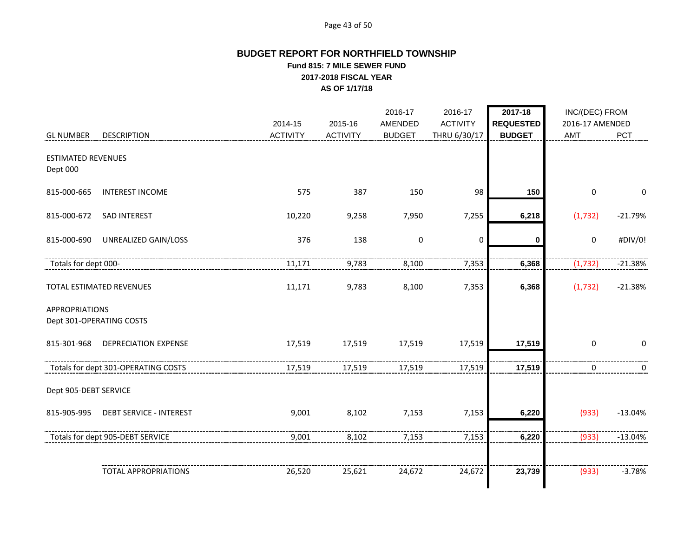# Page 43 of 50

# **BUDGET REPORT FOR NORTHFIELD TOWNSHIP Fund 815: 7 MILE SEWER FUND 2017-2018 FISCAL YEAR AS OF 1/17/18**

|                                       |                                     | 2014-15         | 2015-16         | 2016-17<br>AMENDED | 2016-17<br><b>ACTIVITY</b> | 2017-18<br><b>REQUESTED</b> | INC/(DEC) FROM<br>2016-17 AMENDED |             |
|---------------------------------------|-------------------------------------|-----------------|-----------------|--------------------|----------------------------|-----------------------------|-----------------------------------|-------------|
| <b>GL NUMBER</b>                      | <b>DESCRIPTION</b>                  | <b>ACTIVITY</b> | <b>ACTIVITY</b> | <b>BUDGET</b>      | THRU 6/30/17               | <b>BUDGET</b>               | AMT                               | PCT         |
| <b>ESTIMATED REVENUES</b><br>Dept 000 |                                     |                 |                 |                    |                            |                             |                                   |             |
| 815-000-665                           | <b>INTEREST INCOME</b>              | 575             | 387             | 150                | 98                         | 150                         | 0                                 | $\mathbf 0$ |
| 815-000-672                           | SAD INTEREST                        | 10,220          | 9,258           | 7,950              | 7,255                      | 6,218                       | (1, 732)                          | $-21.79%$   |
| 815-000-690                           | UNREALIZED GAIN/LOSS                | 376             | 138             | $\pmb{0}$          | 0                          | 0                           | 0                                 | #DIV/0!     |
| Totals for dept 000-                  |                                     | 11,171          | 9,783           | 8,100              | 7,353                      | 6,368                       | (1, 732)                          | $-21.38%$   |
|                                       | TOTAL ESTIMATED REVENUES            | 11,171          | 9,783           | 8,100              | 7,353                      | 6,368                       | (1, 732)                          | $-21.38%$   |
| <b>APPROPRIATIONS</b>                 | Dept 301-OPERATING COSTS            |                 |                 |                    |                            |                             |                                   |             |
| 815-301-968                           | <b>DEPRECIATION EXPENSE</b>         | 17,519          | 17,519          | 17,519             | 17,519                     | 17,519                      | $\mathbf 0$                       | $\Omega$    |
|                                       | Totals for dept 301-OPERATING COSTS | 17,519          | 17,519          | 17,519             | 17,519                     | 17,519                      | 0                                 | 0           |
| Dept 905-DEBT SERVICE                 |                                     |                 |                 |                    |                            |                             |                                   |             |
| 815-905-995                           | <b>DEBT SERVICE - INTEREST</b>      | 9,001           | 8,102           | 7,153              | 7,153                      | 6,220                       | (933)                             | $-13.04%$   |
|                                       | Totals for dept 905-DEBT SERVICE    | 9,001           | 8,102           | 7,153              | 7,153                      | 6,220                       | (933)                             | $-13.04%$   |
|                                       | <b>TOTAL APPROPRIATIONS</b>         | 26,520          | 25,621          | 24,672             | 24,672                     | 23,739                      | (933)                             | $-3.78%$    |
|                                       |                                     |                 |                 |                    |                            |                             |                                   |             |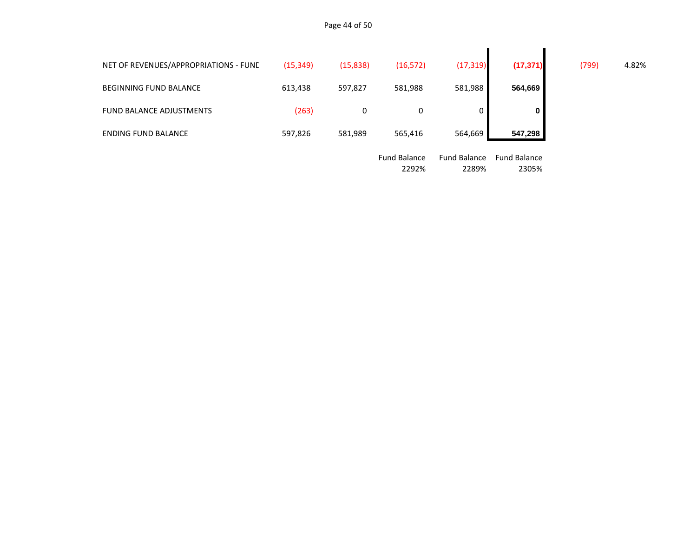| NET OF REVENUES/APPROPRIATIONS - FUNE | (15, 349) | (15, 838) | (16, 572)           | (17, 319)           | (17, 371)           | (799) | 4.82% |
|---------------------------------------|-----------|-----------|---------------------|---------------------|---------------------|-------|-------|
| <b>BEGINNING FUND BALANCE</b>         | 613,438   | 597,827   | 581,988             | 581,988             | 564,669             |       |       |
| <b>FUND BALANCE ADJUSTMENTS</b>       | (263)     | 0         | 0                   |                     | $\mathbf 0$         |       |       |
| <b>ENDING FUND BALANCE</b>            | 597,826   | 581,989   | 565,416             | 564,669             | 547,298             |       |       |
|                                       |           |           | <b>Fund Balance</b> | <b>Fund Balance</b> | <b>Fund Balance</b> |       |       |

| טטושוטכ | i unu bulunce | i unu bulunce |
|---------|---------------|---------------|
| 2292%   | 2289%         | 2305%         |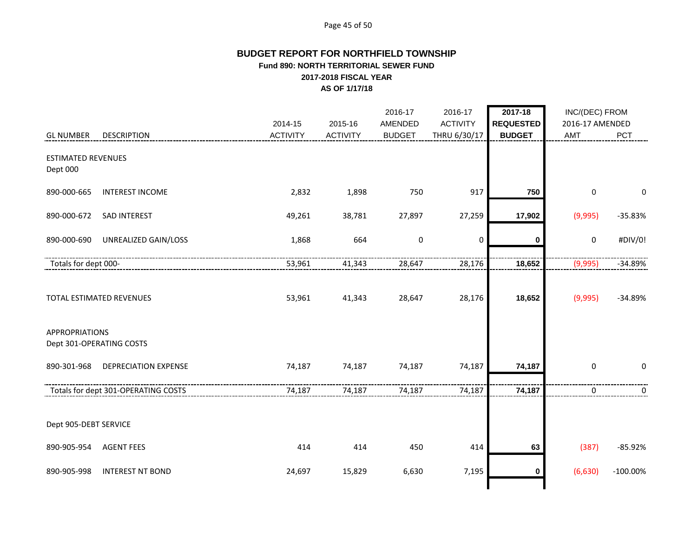## Page 45 of 50

# **BUDGET REPORT FOR NORTHFIELD TOWNSHIP Fund 890: NORTH TERRITORIAL SEWER FUND 2017-2018 FISCAL YEAR AS OF 1/17/18**

|                                       |                                     | 2014-15         | 2015-16         | 2016-17<br>AMENDED | 2016-17<br><b>ACTIVITY</b> | 2017-18<br><b>REQUESTED</b> | INC/(DEC) FROM<br>2016-17 AMENDED |             |
|---------------------------------------|-------------------------------------|-----------------|-----------------|--------------------|----------------------------|-----------------------------|-----------------------------------|-------------|
| <b>GL NUMBER</b>                      | <b>DESCRIPTION</b>                  | <b>ACTIVITY</b> | <b>ACTIVITY</b> | <b>BUDGET</b>      | THRU 6/30/17               | <b>BUDGET</b>               | AMT                               | PCT         |
| <b>ESTIMATED REVENUES</b><br>Dept 000 |                                     |                 |                 |                    |                            |                             |                                   |             |
| 890-000-665                           | <b>INTEREST INCOME</b>              | 2,832           | 1,898           | 750                | 917                        | 750                         | $\mathbf 0$                       | $\mathbf 0$ |
| 890-000-672                           | <b>SAD INTEREST</b>                 | 49,261          | 38,781          | 27,897             | 27,259                     | 17,902                      | (9,995)                           | $-35.83%$   |
| 890-000-690                           | UNREALIZED GAIN/LOSS                | 1,868           | 664             | $\pmb{0}$          | 0                          | 0                           | $\mathbf 0$                       | #DIV/0!     |
| Totals for dept 000-                  |                                     | 53,961          | 41,343          | 28,647             | 28,176                     | 18,652                      | (9,995)                           | -34.89%     |
|                                       | TOTAL ESTIMATED REVENUES            | 53,961          | 41,343          | 28,647             | 28,176                     | 18,652                      | (9,995)                           | $-34.89%$   |
| <b>APPROPRIATIONS</b>                 | Dept 301-OPERATING COSTS            |                 |                 |                    |                            |                             |                                   |             |
| 890-301-968                           | <b>DEPRECIATION EXPENSE</b>         | 74,187          | 74,187          | 74,187             | 74,187                     | 74,187                      | $\mathbf 0$                       | $\mathbf 0$ |
|                                       | Totals for dept 301-OPERATING COSTS | 74,187          | 74,187          | 74,187             | 74,187                     | 74,187                      | 0                                 | 0           |
| Dept 905-DEBT SERVICE                 |                                     |                 |                 |                    |                            |                             |                                   |             |
| 890-905-954                           | <b>AGENT FEES</b>                   | 414             | 414             | 450                | 414                        | 63                          | (387)                             | $-85.92%$   |
| 890-905-998                           | <b>INTEREST NT BOND</b>             | 24,697          | 15,829          | 6,630              | 7,195                      | 0                           | (6,630)                           | $-100.00\%$ |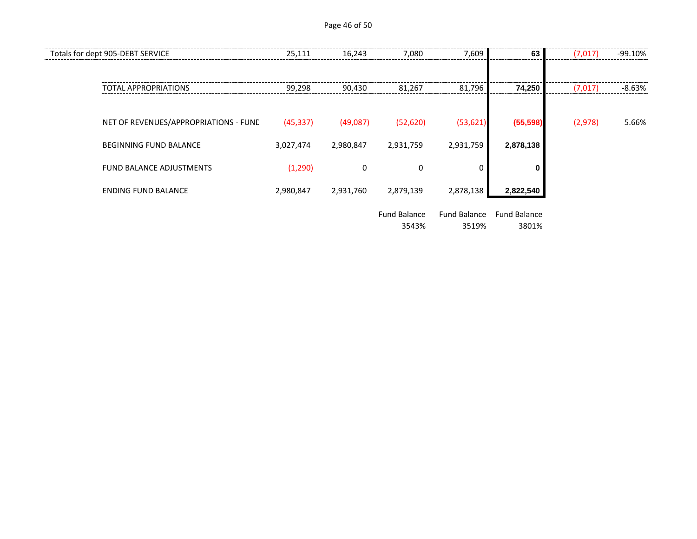Page 46 of 50

| Totals for dept 905-DEBT SERVICE      | 25,111    | 16,243    | 7,080                        | 7,609                        | 63                           | (7,017) | -99.10% |
|---------------------------------------|-----------|-----------|------------------------------|------------------------------|------------------------------|---------|---------|
| TOTAL APPROPRIATIONS                  | 99,298    | 90,430    | 81,267                       | 81,796                       | 74,250                       | (7,017) | -8.63%  |
| NET OF REVENUES/APPROPRIATIONS - FUNE | (45, 337) | (49,087)  | (52, 620)                    | (53, 621)                    | (55, 598)                    | (2,978) | 5.66%   |
| <b>BEGINNING FUND BALANCE</b>         | 3,027,474 | 2,980,847 | 2,931,759                    | 2,931,759                    | 2,878,138                    |         |         |
| <b>FUND BALANCE ADJUSTMENTS</b>       | (1,290)   | 0         | 0                            |                              | 0                            |         |         |
| <b>ENDING FUND BALANCE</b>            | 2,980,847 | 2,931,760 | 2,879,139                    | 2,878,138                    | 2,822,540                    |         |         |
|                                       |           |           | <b>Fund Balance</b><br>3543% | <b>Fund Balance</b><br>3519% | <b>Fund Balance</b><br>3801% |         |         |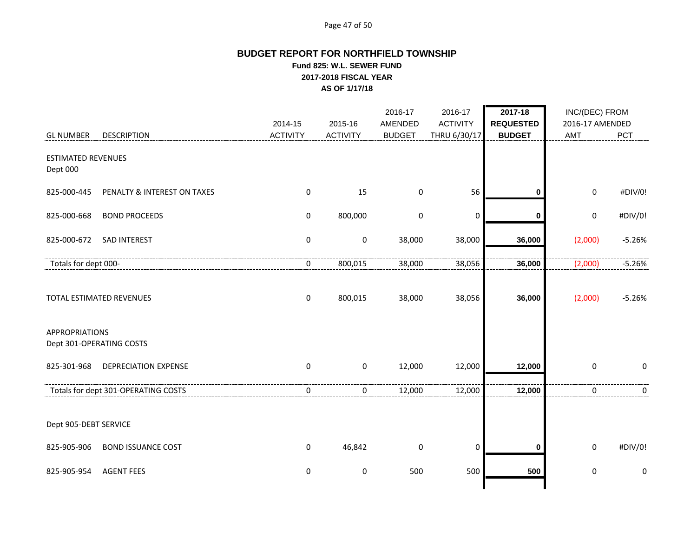# Page 47 of 50

# **BUDGET REPORT FOR NORTHFIELD TOWNSHIP Fund 825: W.L. SEWER FUND 2017-2018 FISCAL YEAR AS OF 1/17/18**

|                                       |                                     | 2014-15          | 2015-16          | 2016-17<br>AMENDED | 2016-17<br><b>ACTIVITY</b> | 2017-18<br><b>REQUESTED</b> | INC/(DEC) FROM<br>2016-17 AMENDED |             |
|---------------------------------------|-------------------------------------|------------------|------------------|--------------------|----------------------------|-----------------------------|-----------------------------------|-------------|
| <b>GL NUMBER</b>                      | <b>DESCRIPTION</b>                  | <b>ACTIVITY</b>  | <b>ACTIVITY</b>  | <b>BUDGET</b>      | THRU 6/30/17               | <b>BUDGET</b>               | AMT                               | PCT         |
| <b>ESTIMATED REVENUES</b><br>Dept 000 |                                     |                  |                  |                    |                            |                             |                                   |             |
| 825-000-445                           | PENALTY & INTEREST ON TAXES         | $\mathbf 0$      | 15               | 0                  | 56                         | 0                           | 0                                 | #DIV/0!     |
| 825-000-668                           | <b>BOND PROCEEDS</b>                | $\mathbf 0$      | 800,000          | 0                  | 0                          | 0                           | 0                                 | #DIV/0!     |
| 825-000-672                           | SAD INTEREST                        | $\pmb{0}$        | $\pmb{0}$        | 38,000             | 38,000                     | 36,000                      | (2,000)                           | $-5.26%$    |
| Totals for dept 000-                  |                                     | $\mathbf 0$      | 800,015          | 38,000             | 38,056                     | 36,000                      | (2,000)                           | $-5.26%$    |
| <b>APPROPRIATIONS</b>                 | TOTAL ESTIMATED REVENUES            | $\mathbf 0$      | 800,015          | 38,000             | 38,056                     | 36,000                      | (2,000)                           | $-5.26%$    |
|                                       | Dept 301-OPERATING COSTS            |                  |                  |                    |                            |                             |                                   |             |
| 825-301-968                           | <b>DEPRECIATION EXPENSE</b>         | $\mathbf 0$      | $\pmb{0}$        | 12,000             | 12,000                     | 12,000                      | $\mathbf 0$                       | $\mathbf 0$ |
|                                       | Totals for dept 301-OPERATING COSTS | $\boldsymbol{0}$ | 0                | 12,000             | 12,000                     | 12,000                      | 0                                 | 0           |
| Dept 905-DEBT SERVICE                 |                                     |                  |                  |                    |                            |                             |                                   |             |
| 825-905-906                           | <b>BOND ISSUANCE COST</b>           | $\mathbf 0$      | 46,842           | 0                  | $\mathbf 0$                | 0                           | 0                                 | #DIV/0!     |
| 825-905-954                           | <b>AGENT FEES</b>                   | $\mathbf 0$      | $\boldsymbol{0}$ | 500                | 500                        | 500                         | 0                                 | 0           |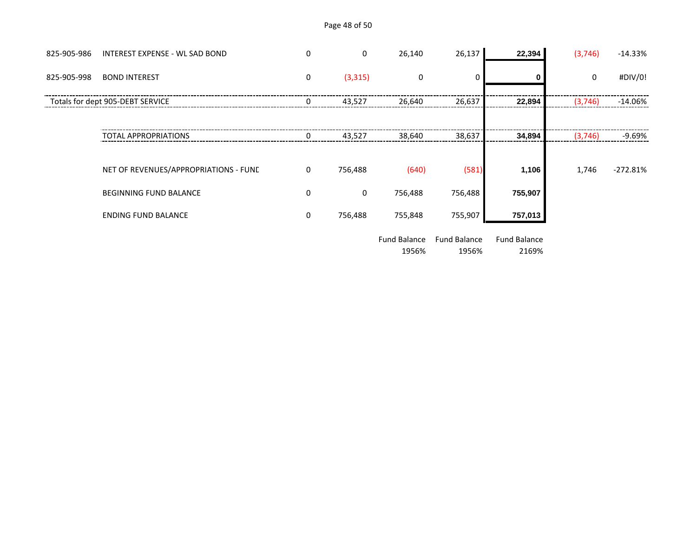# Page 48 of 50

| 825-905-986 | <b>INTEREST EXPENSE - WL SAD BOND</b> | 0        | 0        | 26,140  | 26,137  | 22,394  | (3,746) | $-14.33%$  |
|-------------|---------------------------------------|----------|----------|---------|---------|---------|---------|------------|
| 825-905-998 | <b>BOND INTEREST</b>                  | 0        | (3, 315) | 0       |         |         | 0       | #DIV/0!    |
|             | Totals for dept 905-DEBT SERVICE      | 0        | 43,527   | 26,640  | 26,637  | 22,894  | (3,746) | $-14.06\%$ |
|             |                                       |          |          |         |         |         |         |            |
|             | <b>TOTAL APPROPRIATIONS</b>           | $\Omega$ | 43,527   | 38.640  | 38,637  | 34,894  | (3,746) | -9.69%     |
|             |                                       |          |          |         |         |         |         |            |
|             | NET OF REVENUES/APPROPRIATIONS - FUNE | 0        | 756,488  | (640)   | (581)   | 1,106   | 1,746   | $-272.81%$ |
|             | <b>BEGINNING FUND BALANCE</b>         | 0        | 0        | 756,488 | 756,488 | 755,907 |         |            |
|             | <b>ENDING FUND BALANCE</b>            | 0        | 756,488  | 755,848 | 755,907 | 757,013 |         |            |

Fund Balance Fund Balance Fund Balance 1956%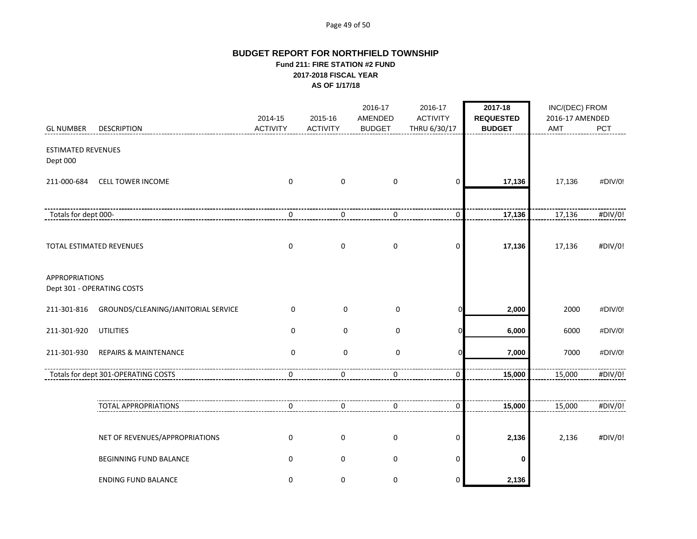#### Page 49 of 50

## **BUDGET REPORT FOR NORTHFIELD TOWNSHIP Fund 211: FIRE STATION #2 FUND 2017-2018 FISCAL YEAR AS OF 1/17/18**

|                                       |                                     | 2014-15         | 2015-16         | 2016-17<br>AMENDED | 2016-17<br><b>ACTIVITY</b> | 2017-18<br><b>REQUESTED</b> | INC/(DEC) FROM<br>2016-17 AMENDED |         |
|---------------------------------------|-------------------------------------|-----------------|-----------------|--------------------|----------------------------|-----------------------------|-----------------------------------|---------|
| <b>GL NUMBER</b>                      | <b>DESCRIPTION</b>                  | <b>ACTIVITY</b> | <b>ACTIVITY</b> | <b>BUDGET</b>      | THRU 6/30/17               | <b>BUDGET</b>               | <b>AMT</b>                        | PCT     |
| <b>ESTIMATED REVENUES</b><br>Dept 000 |                                     |                 |                 |                    |                            |                             |                                   |         |
| 211-000-684                           | <b>CELL TOWER INCOME</b>            | $\mathbf 0$     | $\pmb{0}$       | $\mathbf 0$        | $\mathbf 0$                | 17,136                      | 17,136                            | #DIV/0! |
| Totals for dept 000-                  |                                     | 0               | 0               | $\mathbf 0$        | $\mathbf 0$                | 17,136                      | 17,136                            | #DIV/0! |
|                                       | TOTAL ESTIMATED REVENUES            | $\mathbf 0$     | $\mathbf 0$     | $\mathbf 0$        | 0                          | 17,136                      | 17,136                            | #DIV/0! |
| <b>APPROPRIATIONS</b>                 | Dept 301 - OPERATING COSTS          |                 |                 |                    |                            |                             |                                   |         |
| 211-301-816                           | GROUNDS/CLEANING/JANITORIAL SERVICE | $\mathbf 0$     | $\mathbf 0$     | 0                  | ŋ                          | 2,000                       | 2000                              | #DIV/0! |
| 211-301-920                           | <b>UTILITIES</b>                    | $\mathbf 0$     | $\mathbf 0$     | 0                  | C                          | 6,000                       | 6000                              | #DIV/0! |
| 211-301-930                           | <b>REPAIRS &amp; MAINTENANCE</b>    | $\mathbf 0$     | $\mathbf 0$     | $\mathbf 0$        | n                          | 7,000                       | 7000                              | #DIV/0! |
|                                       | Totals for dept 301-OPERATING COSTS | 0               | 0               | 0                  | $\mathbf 0$                | 15,000                      | 15,000                            | #DIV/0! |
|                                       | <b>TOTAL APPROPRIATIONS</b>         | 0               | 0               | 0                  | 0                          | 15,000                      | 15,000                            | #DIV/0! |
|                                       | NET OF REVENUES/APPROPRIATIONS      | $\mathbf 0$     | $\pmb{0}$       | $\pmb{0}$          | $\mathbf 0$                | 2,136                       | 2,136                             | #DIV/0! |
|                                       | <b>BEGINNING FUND BALANCE</b>       | $\mathbf 0$     | $\mathbf 0$     | $\pmb{0}$          | 0                          | 0                           |                                   |         |
|                                       | <b>ENDING FUND BALANCE</b>          | $\mathbf 0$     | 0               | $\mathbf 0$        | 0                          | 2,136                       |                                   |         |